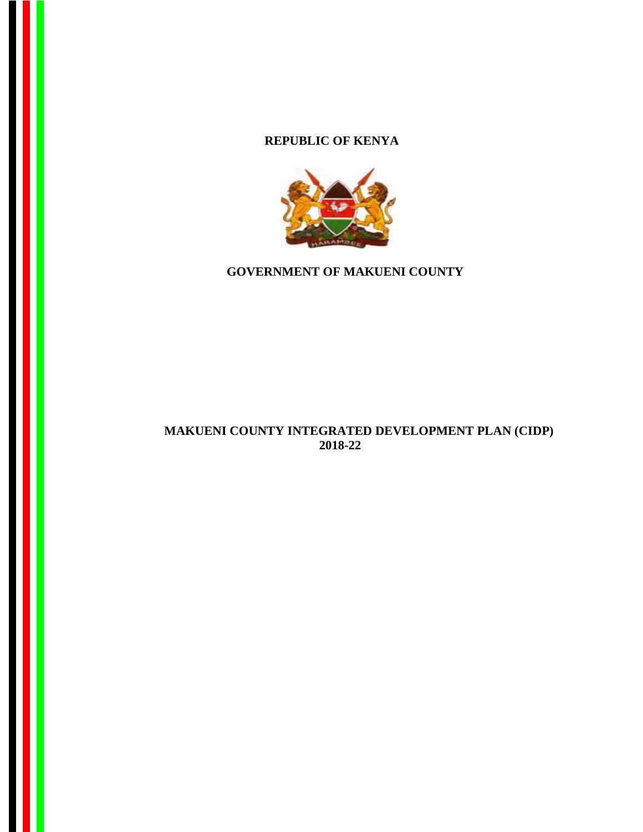## **REPUBLIC OF KENYA**



**GOVERNMENT OF MAKUENI COUNTY**

## **MAKUENI COUNTY INTEGRATED DEVELOPMENT PLAN (CIDP) 2018-22**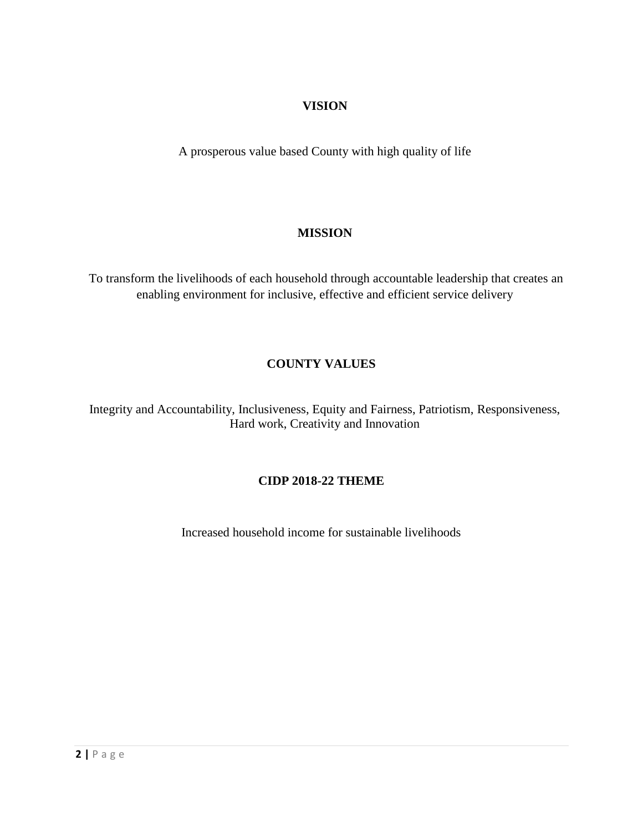## **VISION**

A prosperous value based County with high quality of life

## **MISSION**

To transform the livelihoods of each household through accountable leadership that creates an enabling environment for inclusive, effective and efficient service delivery

## **COUNTY VALUES**

Integrity and Accountability, Inclusiveness, Equity and Fairness, Patriotism, Responsiveness, Hard work, Creativity and Innovation

## **CIDP 2018-22 THEME**

Increased household income for sustainable livelihoods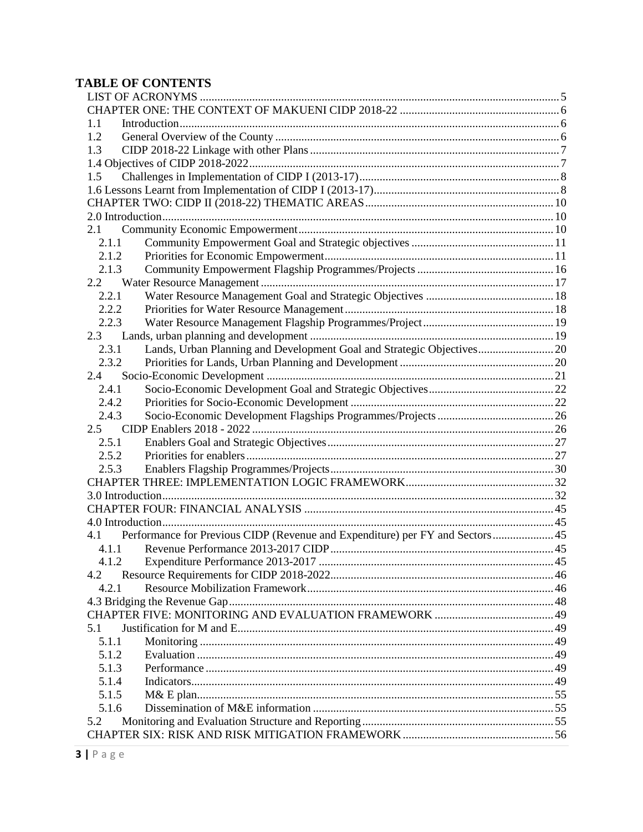# **TABLE OF CONTENTS**

| 1.1   |                                                                               |  |
|-------|-------------------------------------------------------------------------------|--|
| 1.2   |                                                                               |  |
| 1.3   |                                                                               |  |
|       |                                                                               |  |
| 1.5   |                                                                               |  |
|       |                                                                               |  |
|       |                                                                               |  |
|       |                                                                               |  |
| 2.1   |                                                                               |  |
| 2.1.1 |                                                                               |  |
| 2.1.2 |                                                                               |  |
| 2.1.3 |                                                                               |  |
| 2.2   |                                                                               |  |
| 2.2.1 |                                                                               |  |
| 2.2.2 |                                                                               |  |
| 2.2.3 |                                                                               |  |
| 2.3   |                                                                               |  |
| 2.3.1 | Lands, Urban Planning and Development Goal and Strategic Objectives 20        |  |
| 2.3.2 |                                                                               |  |
| 2.4   |                                                                               |  |
| 2.4.1 |                                                                               |  |
| 2.4.2 |                                                                               |  |
| 2.4.3 |                                                                               |  |
| 2.5   |                                                                               |  |
| 2.5.1 |                                                                               |  |
| 2.5.2 |                                                                               |  |
| 2.5.3 |                                                                               |  |
|       |                                                                               |  |
|       |                                                                               |  |
|       |                                                                               |  |
|       |                                                                               |  |
| 4.1   | Performance for Previous CIDP (Revenue and Expenditure) per FY and Sectors 45 |  |
| 4.1.1 |                                                                               |  |
|       |                                                                               |  |
| 4.2   |                                                                               |  |
| 4.2.1 |                                                                               |  |
|       |                                                                               |  |
|       |                                                                               |  |
| 5.1   |                                                                               |  |
| 5.1.1 |                                                                               |  |
| 5.1.2 |                                                                               |  |
| 5.1.3 |                                                                               |  |
| 5.1.4 |                                                                               |  |
| 5.1.5 |                                                                               |  |
| 5.1.6 |                                                                               |  |
| 5.2   |                                                                               |  |
|       |                                                                               |  |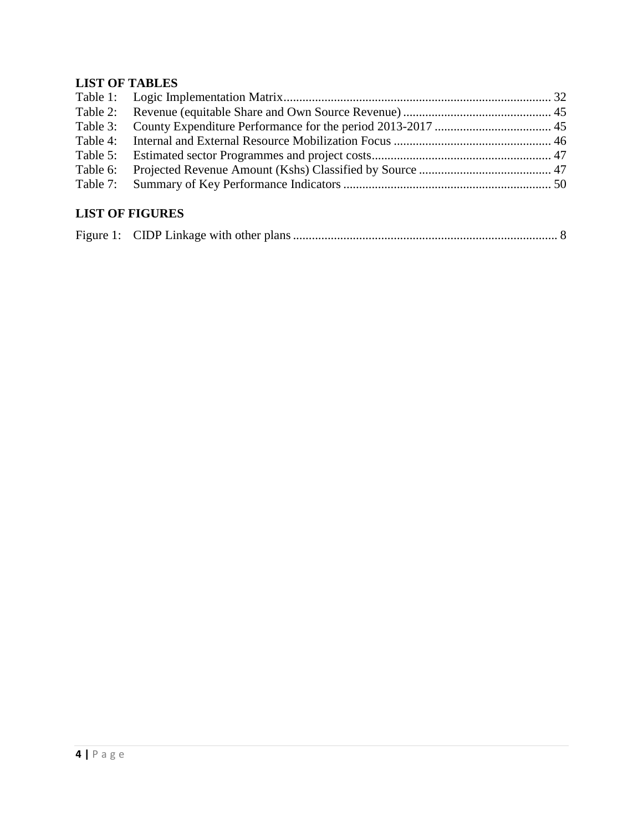## **LIST OF TABLES**

# **LIST OF FIGURES**

|--|--|--|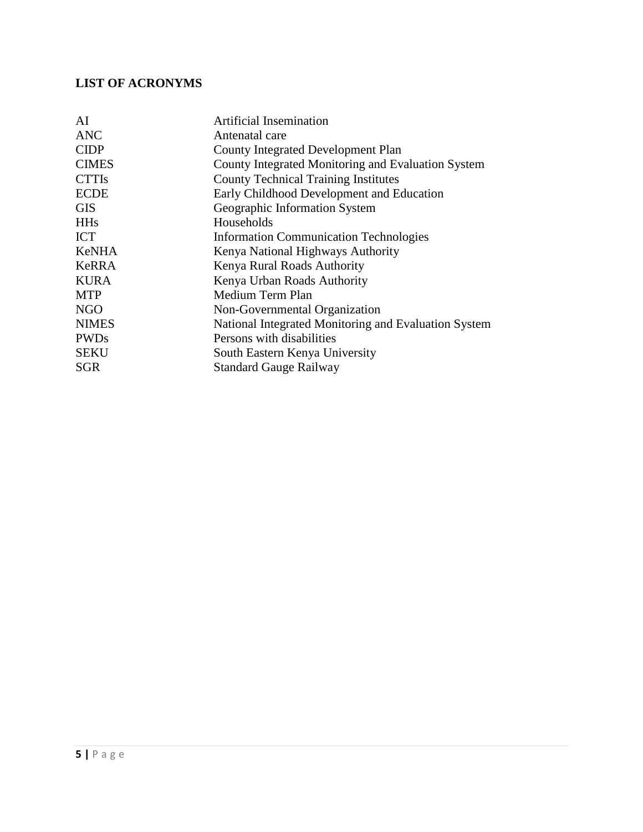## <span id="page-4-0"></span>**LIST OF ACRONYMS**

| <b>Artificial Insemination</b>                       |
|------------------------------------------------------|
| Antenatal care                                       |
| <b>County Integrated Development Plan</b>            |
| County Integrated Monitoring and Evaluation System   |
| <b>County Technical Training Institutes</b>          |
| Early Childhood Development and Education            |
| Geographic Information System                        |
| Households                                           |
| <b>Information Communication Technologies</b>        |
| Kenya National Highways Authority                    |
| Kenya Rural Roads Authority                          |
| Kenya Urban Roads Authority                          |
| Medium Term Plan                                     |
| Non-Governmental Organization                        |
| National Integrated Monitoring and Evaluation System |
| Persons with disabilities                            |
| South Eastern Kenya University                       |
| <b>Standard Gauge Railway</b>                        |
|                                                      |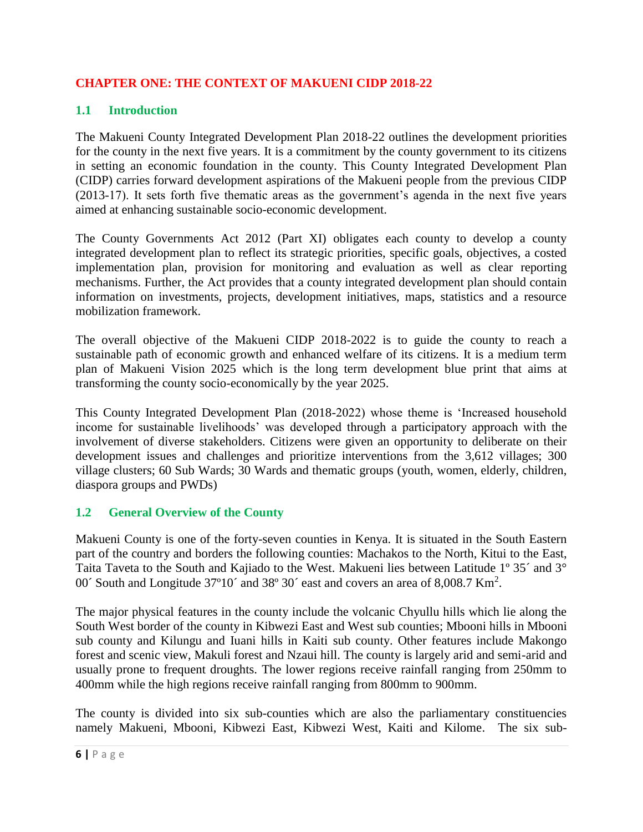## <span id="page-5-0"></span>**CHAPTER ONE: THE CONTEXT OF MAKUENI CIDP 2018-22**

## <span id="page-5-1"></span>**1.1 Introduction**

The Makueni County Integrated Development Plan 2018-22 outlines the development priorities for the county in the next five years. It is a commitment by the county government to its citizens in setting an economic foundation in the county. This County Integrated Development Plan (CIDP) carries forward development aspirations of the Makueni people from the previous CIDP (2013-17). It sets forth five thematic areas as the government's agenda in the next five years aimed at enhancing sustainable socio-economic development.

The County Governments Act 2012 (Part XI) obligates each county to develop a county integrated development plan to reflect its strategic priorities, specific goals, objectives, a costed implementation plan, provision for monitoring and evaluation as well as clear reporting mechanisms. Further, the Act provides that a county integrated development plan should contain information on investments, projects, development initiatives, maps, statistics and a resource mobilization framework.

The overall objective of the Makueni CIDP 2018-2022 is to guide the county to reach a sustainable path of economic growth and enhanced welfare of its citizens. It is a medium term plan of Makueni Vision 2025 which is the long term development blue print that aims at transforming the county socio-economically by the year 2025.

This County Integrated Development Plan (2018-2022) whose theme is 'Increased household income for sustainable livelihoods' was developed through a participatory approach with the involvement of diverse stakeholders. Citizens were given an opportunity to deliberate on their development issues and challenges and prioritize interventions from the 3,612 villages; 300 village clusters; 60 Sub Wards; 30 Wards and thematic groups (youth, women, elderly, children, diaspora groups and PWDs)

## <span id="page-5-2"></span>**1.2 General Overview of the County**

Makueni County is one of the forty-seven counties in Kenya. It is situated in the South Eastern part of the country and borders the following counties: Machakos to the North, Kitui to the East, Taita Taveta to the South and Kajiado to the West. Makueni lies between Latitude 1º 35´ and 3° 00 $\degree$  South and Longitude 37°10 $\degree$  and 38° 30 $\degree$  east and covers an area of 8,008.7 Km<sup>2</sup>.

The major physical features in the county include the volcanic Chyullu hills which lie along the South West border of the county in Kibwezi East and West sub counties; Mbooni hills in Mbooni sub county and Kilungu and Iuani hills in Kaiti sub county. Other features include Makongo forest and scenic view, Makuli forest and Nzaui hill. The county is largely arid and semi-arid and usually prone to frequent droughts. The lower regions receive rainfall ranging from 250mm to 400mm while the high regions receive rainfall ranging from 800mm to 900mm.

The county is divided into six sub-counties which are also the parliamentary constituencies namely Makueni, Mbooni, Kibwezi East, Kibwezi West, Kaiti and Kilome. The six sub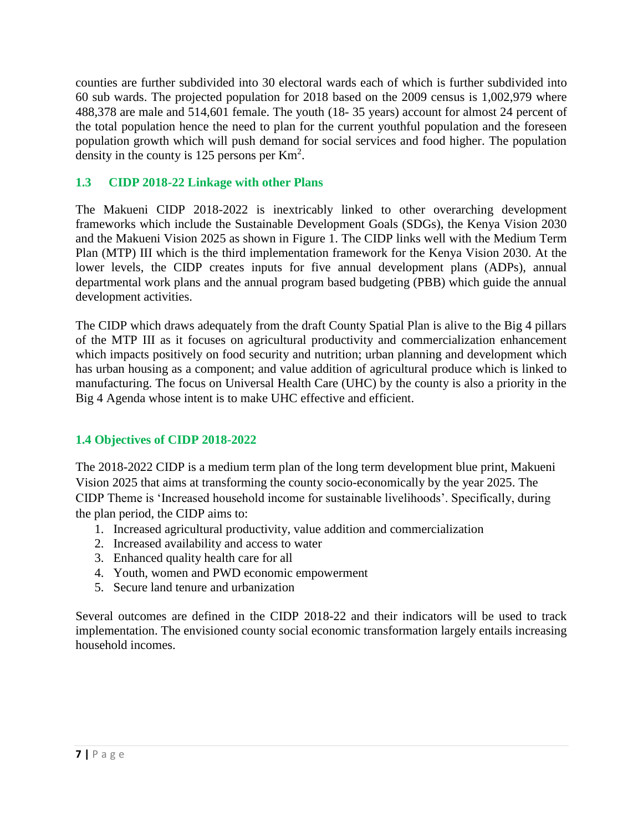counties are further subdivided into 30 electoral wards each of which is further subdivided into 60 sub wards. The projected population for 2018 based on the 2009 census is 1,002,979 where 488,378 are male and 514,601 female. The youth (18- 35 years) account for almost 24 percent of the total population hence the need to plan for the current youthful population and the foreseen population growth which will push demand for social services and food higher. The population density in the county is 125 persons per  $\text{Km}^2$ .

## <span id="page-6-0"></span>**1.3 CIDP 2018-22 Linkage with other Plans**

The Makueni CIDP 2018-2022 is inextricably linked to other overarching development frameworks which include the Sustainable Development Goals (SDGs), the Kenya Vision 2030 and the Makueni Vision 2025 as shown in Figure 1. The CIDP links well with the Medium Term Plan (MTP) III which is the third implementation framework for the Kenya Vision 2030. At the lower levels, the CIDP creates inputs for five annual development plans (ADPs), annual departmental work plans and the annual program based budgeting (PBB) which guide the annual development activities.

The CIDP which draws adequately from the draft County Spatial Plan is alive to the Big 4 pillars of the MTP III as it focuses on agricultural productivity and commercialization enhancement which impacts positively on food security and nutrition; urban planning and development which has urban housing as a component; and value addition of agricultural produce which is linked to manufacturing. The focus on Universal Health Care (UHC) by the county is also a priority in the Big 4 Agenda whose intent is to make UHC effective and efficient.

## <span id="page-6-1"></span>**1.4 Objectives of CIDP 2018-2022**

The 2018-2022 CIDP is a medium term plan of the long term development blue print, Makueni Vision 2025 that aims at transforming the county socio-economically by the year 2025. The CIDP Theme is 'Increased household income for sustainable livelihoods'. Specifically, during the plan period, the CIDP aims to:

- 1. Increased agricultural productivity, value addition and commercialization
- 2. Increased availability and access to water
- 3. Enhanced quality health care for all
- 4. Youth, women and PWD economic empowerment
- 5. Secure land tenure and urbanization

Several outcomes are defined in the CIDP 2018-22 and their indicators will be used to track implementation. The envisioned county social economic transformation largely entails increasing household incomes.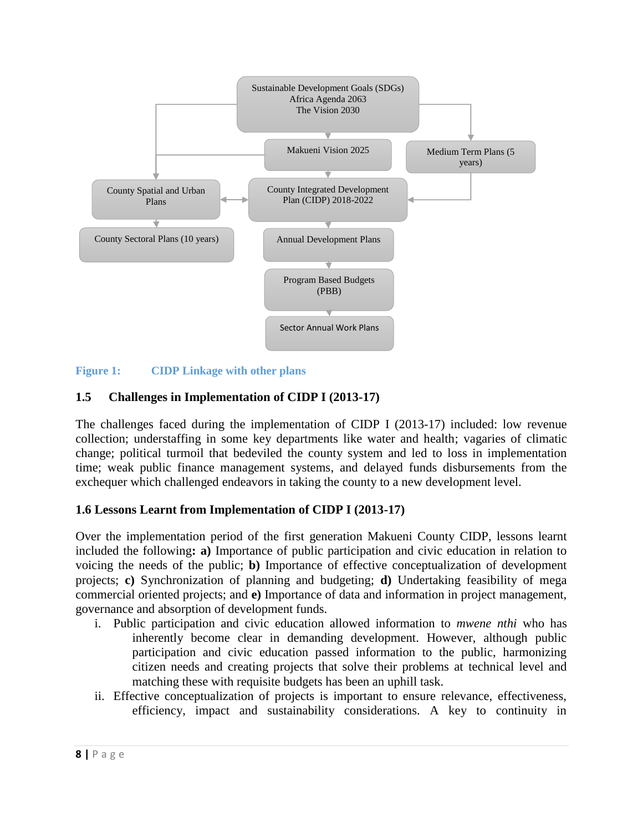

#### <span id="page-7-2"></span>**Figure 1: CIDP Linkage with other plans**

#### <span id="page-7-0"></span>**1.5 Challenges in Implementation of CIDP I (2013-17)**

The challenges faced during the implementation of CIDP I (2013-17) included: low revenue collection; understaffing in some key departments like water and health; vagaries of climatic change; political turmoil that bedeviled the county system and led to loss in implementation time; weak public finance management systems, and delayed funds disbursements from the exchequer which challenged endeavors in taking the county to a new development level.

#### <span id="page-7-1"></span>**1.6 Lessons Learnt from Implementation of CIDP I (2013-17)**

Over the implementation period of the first generation Makueni County CIDP, lessons learnt included the following**: a)** Importance of public participation and civic education in relation to voicing the needs of the public; **b)** Importance of effective conceptualization of development projects; **c)** Synchronization of planning and budgeting; **d)** Undertaking feasibility of mega commercial oriented projects; and **e)** Importance of data and information in project management, governance and absorption of development funds.

- i. Public participation and civic education allowed information to *mwene nthi* who has inherently become clear in demanding development. However, although public participation and civic education passed information to the public, harmonizing citizen needs and creating projects that solve their problems at technical level and matching these with requisite budgets has been an uphill task.
- ii. Effective conceptualization of projects is important to ensure relevance, effectiveness, efficiency, impact and sustainability considerations. A key to continuity in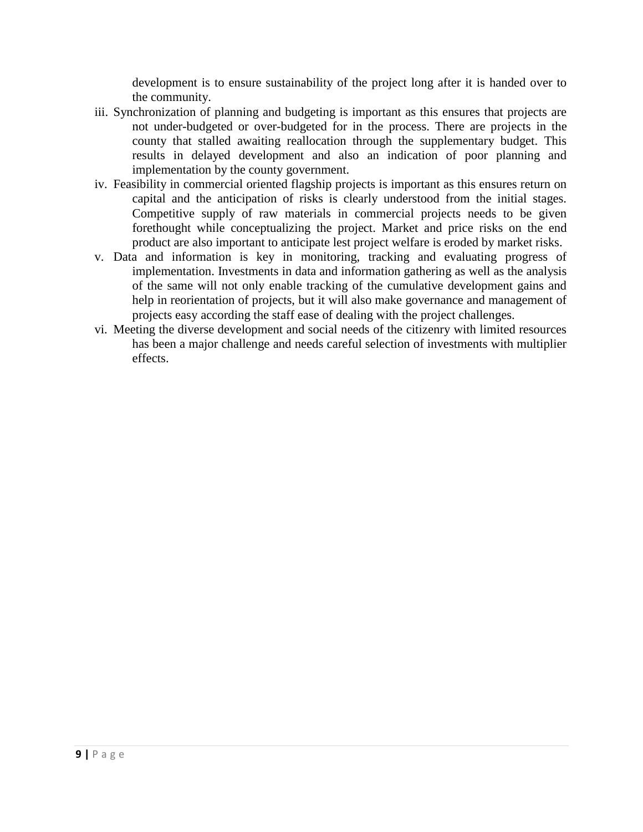development is to ensure sustainability of the project long after it is handed over to the community.

- iii. Synchronization of planning and budgeting is important as this ensures that projects are not under-budgeted or over-budgeted for in the process. There are projects in the county that stalled awaiting reallocation through the supplementary budget. This results in delayed development and also an indication of poor planning and implementation by the county government.
- iv. Feasibility in commercial oriented flagship projects is important as this ensures return on capital and the anticipation of risks is clearly understood from the initial stages. Competitive supply of raw materials in commercial projects needs to be given forethought while conceptualizing the project. Market and price risks on the end product are also important to anticipate lest project welfare is eroded by market risks.
- v. Data and information is key in monitoring, tracking and evaluating progress of implementation. Investments in data and information gathering as well as the analysis of the same will not only enable tracking of the cumulative development gains and help in reorientation of projects, but it will also make governance and management of projects easy according the staff ease of dealing with the project challenges.
- vi. Meeting the diverse development and social needs of the citizenry with limited resources has been a major challenge and needs careful selection of investments with multiplier effects.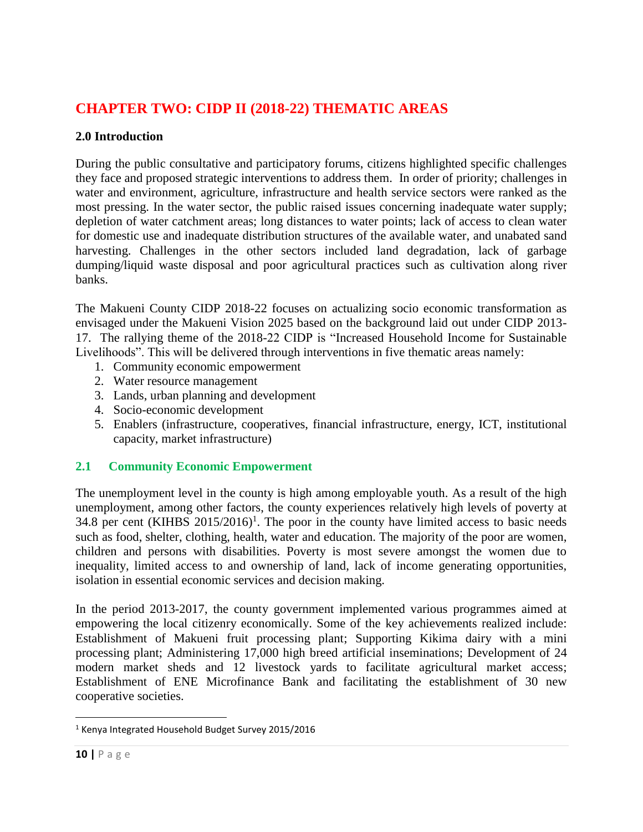# <span id="page-9-0"></span>**CHAPTER TWO: CIDP II (2018-22) THEMATIC AREAS**

## <span id="page-9-1"></span>**2.0 Introduction**

During the public consultative and participatory forums, citizens highlighted specific challenges they face and proposed strategic interventions to address them. In order of priority; challenges in water and environment, agriculture, infrastructure and health service sectors were ranked as the most pressing. In the water sector, the public raised issues concerning inadequate water supply; depletion of water catchment areas; long distances to water points; lack of access to clean water for domestic use and inadequate distribution structures of the available water, and unabated sand harvesting. Challenges in the other sectors included land degradation, lack of garbage dumping/liquid waste disposal and poor agricultural practices such as cultivation along river banks.

The Makueni County CIDP 2018-22 focuses on actualizing socio economic transformation as envisaged under the Makueni Vision 2025 based on the background laid out under CIDP 2013- 17. The rallying theme of the 2018-22 CIDP is "Increased Household Income for Sustainable Livelihoods". This will be delivered through interventions in five thematic areas namely:

- 1. Community economic empowerment
- 2. Water resource management
- 3. Lands, urban planning and development
- 4. Socio-economic development
- 5. Enablers (infrastructure, cooperatives, financial infrastructure, energy, ICT, institutional capacity, market infrastructure)

## <span id="page-9-2"></span>**2.1 Community Economic Empowerment**

The unemployment level in the county is high among employable youth. As a result of the high unemployment, among other factors, the county experiences relatively high levels of poverty at 34.8 per cent (KIHBS  $2015/2016$ <sup>1</sup>. The poor in the county have limited access to basic needs such as food, shelter, clothing, health, water and education. The majority of the poor are women, children and persons with disabilities. Poverty is most severe amongst the women due to inequality, limited access to and ownership of land, lack of income generating opportunities, isolation in essential economic services and decision making.

In the period 2013-2017, the county government implemented various programmes aimed at empowering the local citizenry economically. Some of the key achievements realized include: Establishment of Makueni fruit processing plant; Supporting Kikima dairy with a mini processing plant; Administering 17,000 high breed artificial inseminations; Development of 24 modern market sheds and 12 livestock yards to facilitate agricultural market access; Establishment of ENE Microfinance Bank and facilitating the establishment of 30 new cooperative societies.

 $\overline{\phantom{a}}$ 

<sup>1</sup> Kenya Integrated Household Budget Survey 2015/2016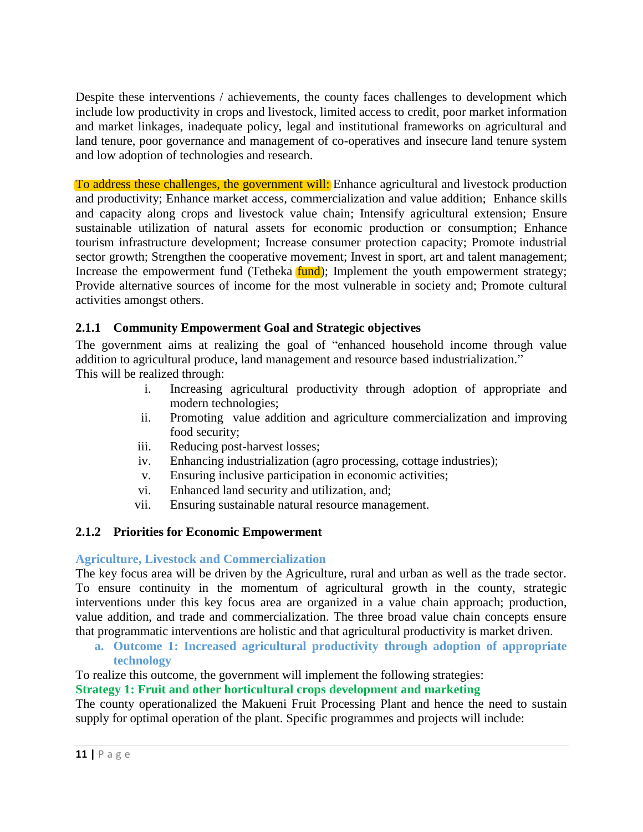Despite these interventions / achievements, the county faces challenges to development which include low productivity in crops and livestock, limited access to credit, poor market information and market linkages, inadequate policy, legal and institutional frameworks on agricultural and land tenure, poor governance and management of co-operatives and insecure land tenure system and low adoption of technologies and research.

To address these challenges, the government will: Enhance agricultural and livestock production and productivity; Enhance market access, commercialization and value addition; Enhance skills and capacity along crops and livestock value chain; Intensify agricultural extension; Ensure sustainable utilization of natural assets for economic production or consumption; Enhance tourism infrastructure development; Increase consumer protection capacity; Promote industrial sector growth; Strengthen the cooperative movement; Invest in sport, art and talent management; Increase the empowerment fund (Tetheka **fund**); Implement the youth empowerment strategy; Provide alternative sources of income for the most vulnerable in society and; Promote cultural activities amongst others.

## <span id="page-10-0"></span>**2.1.1 Community Empowerment Goal and Strategic objectives**

The government aims at realizing the goal of "enhanced household income through value addition to agricultural produce, land management and resource based industrialization." This will be realized through:

- i. Increasing agricultural productivity through adoption of appropriate and modern technologies;
- ii. Promoting value addition and agriculture commercialization and improving food security;
- iii. Reducing post-harvest losses;
- iv. Enhancing industrialization (agro processing, cottage industries);
- v. Ensuring inclusive participation in economic activities;
- vi. Enhanced land security and utilization, and;
- vii. Ensuring sustainable natural resource management.

## <span id="page-10-1"></span>**2.1.2 Priorities for Economic Empowerment**

## **Agriculture, Livestock and Commercialization**

The key focus area will be driven by the Agriculture, rural and urban as well as the trade sector. To ensure continuity in the momentum of agricultural growth in the county, strategic interventions under this key focus area are organized in a value chain approach; production, value addition, and trade and commercialization. The three broad value chain concepts ensure that programmatic interventions are holistic and that agricultural productivity is market driven.

**a. Outcome 1: Increased agricultural productivity through adoption of appropriate technology**

To realize this outcome, the government will implement the following strategies:

**Strategy 1: Fruit and other horticultural crops development and marketing**

The county operationalized the Makueni Fruit Processing Plant and hence the need to sustain supply for optimal operation of the plant. Specific programmes and projects will include: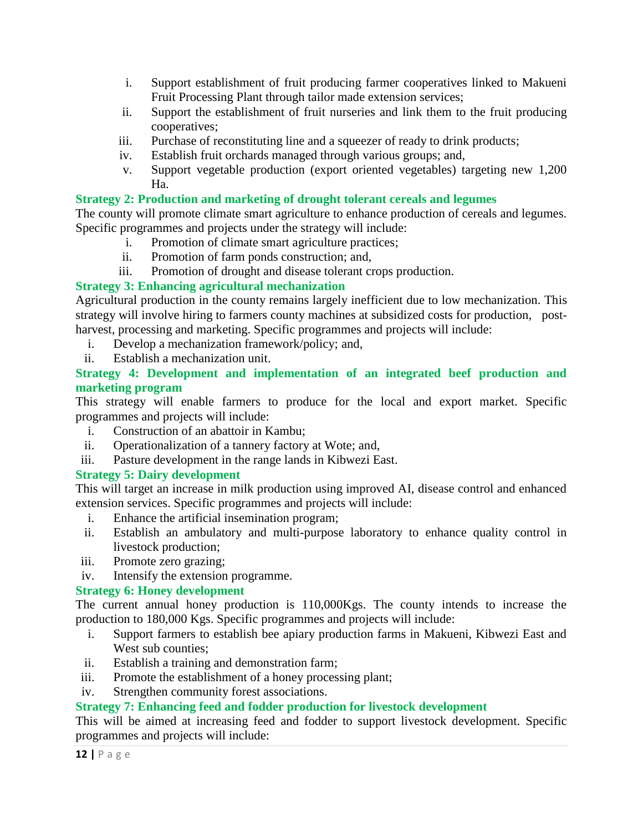- i. Support establishment of fruit producing farmer cooperatives linked to Makueni Fruit Processing Plant through tailor made extension services;
- ii. Support the establishment of fruit nurseries and link them to the fruit producing cooperatives;
- iii. Purchase of reconstituting line and a squeezer of ready to drink products;
- iv. Establish fruit orchards managed through various groups; and,
- v. Support vegetable production (export oriented vegetables) targeting new 1,200 Ha.

## **Strategy 2: Production and marketing of drought tolerant cereals and legumes**

The county will promote climate smart agriculture to enhance production of cereals and legumes. Specific programmes and projects under the strategy will include:

- i. Promotion of climate smart agriculture practices;
- ii. Promotion of farm ponds construction; and,
- iii. Promotion of drought and disease tolerant crops production.

## **Strategy 3: Enhancing agricultural mechanization**

Agricultural production in the county remains largely inefficient due to low mechanization. This strategy will involve hiring to farmers county machines at subsidized costs for production, postharvest, processing and marketing. Specific programmes and projects will include:

- i. Develop a mechanization framework/policy; and,
- ii. Establish a mechanization unit.

## **Strategy 4: Development and implementation of an integrated beef production and marketing program**

This strategy will enable farmers to produce for the local and export market. Specific programmes and projects will include:

- i. Construction of an abattoir in Kambu;
- ii. Operationalization of a tannery factory at Wote; and,
- iii. Pasture development in the range lands in Kibwezi East.

## **Strategy 5: Dairy development**

This will target an increase in milk production using improved AI, disease control and enhanced extension services. Specific programmes and projects will include:

- i. Enhance the artificial insemination program;
- ii. Establish an ambulatory and multi-purpose laboratory to enhance quality control in livestock production;
- iii. Promote zero grazing;
- iv. Intensify the extension programme.

## **Strategy 6: Honey development**

The current annual honey production is 110,000Kgs. The county intends to increase the production to 180,000 Kgs. Specific programmes and projects will include:

- i. Support farmers to establish bee apiary production farms in Makueni, Kibwezi East and West sub counties:
- ii. Establish a training and demonstration farm;
- iii. Promote the establishment of a honey processing plant;
- iv. Strengthen community forest associations.

## **Strategy 7: Enhancing feed and fodder production for livestock development**

This will be aimed at increasing feed and fodder to support livestock development. Specific programmes and projects will include: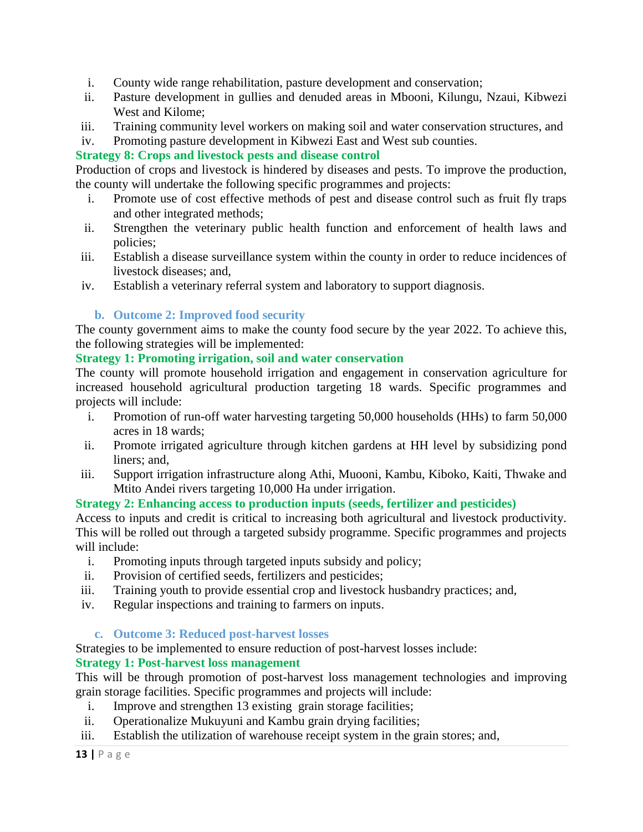- i. County wide range rehabilitation, pasture development and conservation;
- ii. Pasture development in gullies and denuded areas in Mbooni, Kilungu, Nzaui, Kibwezi West and Kilome;
- iii. Training community level workers on making soil and water conservation structures, and
- iv. Promoting pasture development in Kibwezi East and West sub counties.

## **Strategy 8: Crops and livestock pests and disease control**

Production of crops and livestock is hindered by diseases and pests. To improve the production, the county will undertake the following specific programmes and projects:

- i. Promote use of cost effective methods of pest and disease control such as fruit fly traps and other integrated methods;
- ii. Strengthen the veterinary public health function and enforcement of health laws and policies;
- iii. Establish a disease surveillance system within the county in order to reduce incidences of livestock diseases; and,
- iv. Establish a veterinary referral system and laboratory to support diagnosis.

## **b. Outcome 2: Improved food security**

The county government aims to make the county food secure by the year 2022. To achieve this, the following strategies will be implemented:

## **Strategy 1: Promoting irrigation, soil and water conservation**

The county will promote household irrigation and engagement in conservation agriculture for increased household agricultural production targeting 18 wards. Specific programmes and projects will include:

- i. Promotion of run-off water harvesting targeting 50,000 households (HHs) to farm 50,000 acres in 18 wards;
- ii. Promote irrigated agriculture through kitchen gardens at HH level by subsidizing pond liners; and,
- iii. Support irrigation infrastructure along Athi, Muooni, Kambu, Kiboko, Kaiti, Thwake and Mtito Andei rivers targeting 10,000 Ha under irrigation.

## **Strategy 2: Enhancing access to production inputs (seeds, fertilizer and pesticides)**

Access to inputs and credit is critical to increasing both agricultural and livestock productivity. This will be rolled out through a targeted subsidy programme. Specific programmes and projects will include:

- i. Promoting inputs through targeted inputs subsidy and policy;
- ii. Provision of certified seeds, fertilizers and pesticides;
- iii. Training youth to provide essential crop and livestock husbandry practices; and,
- iv. Regular inspections and training to farmers on inputs.

## **c. Outcome 3: Reduced post-harvest losses**

Strategies to be implemented to ensure reduction of post-harvest losses include:

## **Strategy 1: Post-harvest loss management**

This will be through promotion of post-harvest loss management technologies and improving grain storage facilities. Specific programmes and projects will include:

- i. Improve and strengthen 13 existing grain storage facilities;
- ii. Operationalize Mukuyuni and Kambu grain drying facilities;
- iii. Establish the utilization of warehouse receipt system in the grain stores; and,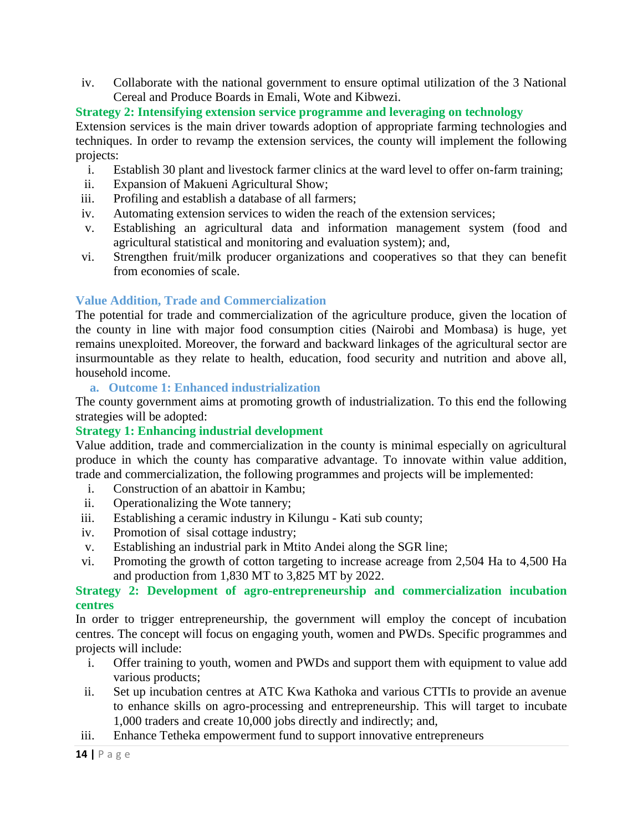iv. Collaborate with the national government to ensure optimal utilization of the 3 National Cereal and Produce Boards in Emali, Wote and Kibwezi.

## **Strategy 2: Intensifying extension service programme and leveraging on technology**

Extension services is the main driver towards adoption of appropriate farming technologies and techniques. In order to revamp the extension services, the county will implement the following projects:

- i. Establish 30 plant and livestock farmer clinics at the ward level to offer on-farm training;
- ii. Expansion of Makueni Agricultural Show;
- iii. Profiling and establish a database of all farmers;
- iv. Automating extension services to widen the reach of the extension services;
- v. Establishing an agricultural data and information management system (food and agricultural statistical and monitoring and evaluation system); and,
- vi. Strengthen fruit/milk producer organizations and cooperatives so that they can benefit from economies of scale.

## **Value Addition, Trade and Commercialization**

The potential for trade and commercialization of the agriculture produce, given the location of the county in line with major food consumption cities (Nairobi and Mombasa) is huge, yet remains unexploited. Moreover, the forward and backward linkages of the agricultural sector are insurmountable as they relate to health, education, food security and nutrition and above all, household income.

**a. Outcome 1: Enhanced industrialization**

The county government aims at promoting growth of industrialization. To this end the following strategies will be adopted:

## **Strategy 1: Enhancing industrial development**

Value addition, trade and commercialization in the county is minimal especially on agricultural produce in which the county has comparative advantage. To innovate within value addition, trade and commercialization, the following programmes and projects will be implemented:

- i. Construction of an abattoir in Kambu;
- ii. Operationalizing the Wote tannery;
- iii. Establishing a ceramic industry in Kilungu Kati sub county;
- iv. Promotion of sisal cottage industry;
- v. Establishing an industrial park in Mtito Andei along the SGR line;
- vi. Promoting the growth of cotton targeting to increase acreage from 2,504 Ha to 4,500 Ha and production from 1,830 MT to 3,825 MT by 2022.

## **Strategy 2: Development of agro-entrepreneurship and commercialization incubation centres**

In order to trigger entrepreneurship, the government will employ the concept of incubation centres. The concept will focus on engaging youth, women and PWDs. Specific programmes and projects will include:

- i. Offer training to youth, women and PWDs and support them with equipment to value add various products;
- ii. Set up incubation centres at ATC Kwa Kathoka and various CTTIs to provide an avenue to enhance skills on agro-processing and entrepreneurship. This will target to incubate 1,000 traders and create 10,000 jobs directly and indirectly; and,
- iii. Enhance Tetheka empowerment fund to support innovative entrepreneurs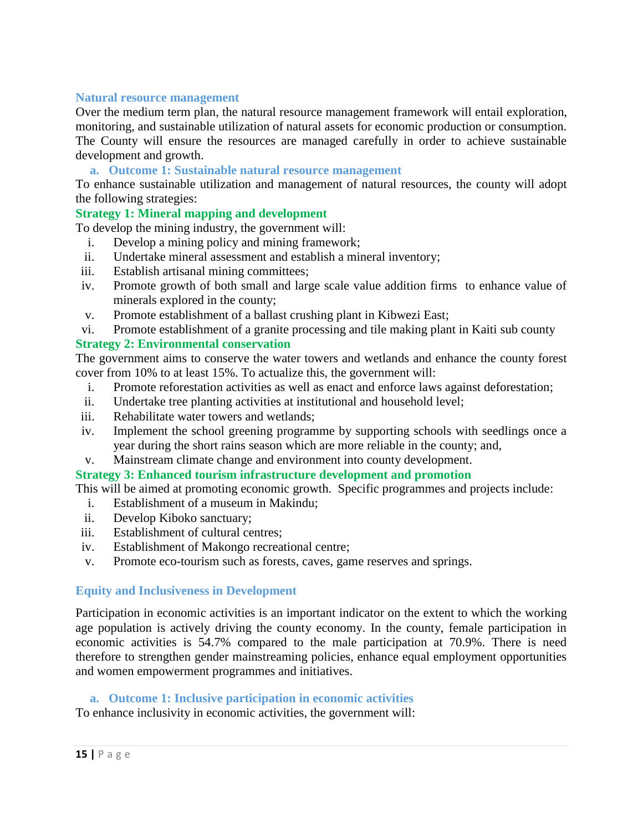#### **Natural resource management**

Over the medium term plan, the natural resource management framework will entail exploration, monitoring, and sustainable utilization of natural assets for economic production or consumption. The County will ensure the resources are managed carefully in order to achieve sustainable development and growth.

#### **a. Outcome 1: Sustainable natural resource management**

To enhance sustainable utilization and management of natural resources, the county will adopt the following strategies:

## **Strategy 1: Mineral mapping and development**

To develop the mining industry, the government will:

- i. Develop a mining policy and mining framework;
- ii. Undertake mineral assessment and establish a mineral inventory;
- iii. Establish artisanal mining committees;
- iv. Promote growth of both small and large scale value addition firms to enhance value of minerals explored in the county;
- v. Promote establishment of a ballast crushing plant in Kibwezi East;
- vi. Promote establishment of a granite processing and tile making plant in Kaiti sub county

#### **Strategy 2: Environmental conservation**

The government aims to conserve the water towers and wetlands and enhance the county forest cover from 10% to at least 15%. To actualize this, the government will:

- i. Promote reforestation activities as well as enact and enforce laws against deforestation;
- ii. Undertake tree planting activities at institutional and household level;
- iii. Rehabilitate water towers and wetlands;
- iv. Implement the school greening programme by supporting schools with seedlings once a year during the short rains season which are more reliable in the county; and,
- v. Mainstream climate change and environment into county development.

#### **Strategy 3: Enhanced tourism infrastructure development and promotion**

This will be aimed at promoting economic growth. Specific programmes and projects include:

- i. Establishment of a museum in Makindu;
- ii. Develop Kiboko sanctuary;
- iii. Establishment of cultural centres;
- iv. Establishment of Makongo recreational centre;
- v. Promote eco-tourism such as forests, caves, game reserves and springs.

#### **Equity and Inclusiveness in Development**

Participation in economic activities is an important indicator on the extent to which the working age population is actively driving the county economy. In the county, female participation in economic activities is 54.7% compared to the male participation at 70.9%. There is need therefore to strengthen gender mainstreaming policies, enhance equal employment opportunities and women empowerment programmes and initiatives.

#### **a. Outcome 1: Inclusive participation in economic activities**

To enhance inclusivity in economic activities, the government will: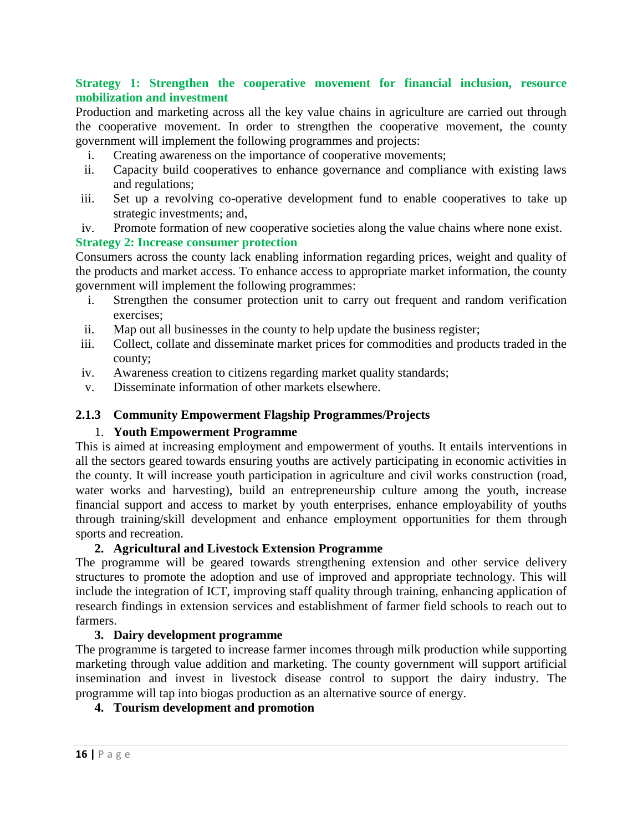#### **Strategy 1: Strengthen the cooperative movement for financial inclusion, resource mobilization and investment**

Production and marketing across all the key value chains in agriculture are carried out through the cooperative movement. In order to strengthen the cooperative movement, the county government will implement the following programmes and projects:

- i. Creating awareness on the importance of cooperative movements;
- ii. Capacity build cooperatives to enhance governance and compliance with existing laws and regulations;
- iii. Set up a revolving co-operative development fund to enable cooperatives to take up strategic investments; and,
- iv. Promote formation of new cooperative societies along the value chains where none exist.

#### **Strategy 2: Increase consumer protection**

Consumers across the county lack enabling information regarding prices, weight and quality of the products and market access. To enhance access to appropriate market information, the county government will implement the following programmes:

- i. Strengthen the consumer protection unit to carry out frequent and random verification exercises;
- ii. Map out all businesses in the county to help update the business register;
- iii. Collect, collate and disseminate market prices for commodities and products traded in the county;
- iv. Awareness creation to citizens regarding market quality standards;
- v. Disseminate information of other markets elsewhere.

### <span id="page-15-0"></span>**2.1.3 Community Empowerment Flagship Programmes/Projects**

#### 1. **Youth Empowerment Programme**

This is aimed at increasing employment and empowerment of youths. It entails interventions in all the sectors geared towards ensuring youths are actively participating in economic activities in the county. It will increase youth participation in agriculture and civil works construction (road, water works and harvesting), build an entrepreneurship culture among the youth, increase financial support and access to market by youth enterprises, enhance employability of youths through training/skill development and enhance employment opportunities for them through sports and recreation.

#### **2. Agricultural and Livestock Extension Programme**

The programme will be geared towards strengthening extension and other service delivery structures to promote the adoption and use of improved and appropriate technology. This will include the integration of ICT, improving staff quality through training, enhancing application of research findings in extension services and establishment of farmer field schools to reach out to farmers.

## **3. Dairy development programme**

The programme is targeted to increase farmer incomes through milk production while supporting marketing through value addition and marketing. The county government will support artificial insemination and invest in livestock disease control to support the dairy industry. The programme will tap into biogas production as an alternative source of energy.

## **4. Tourism development and promotion**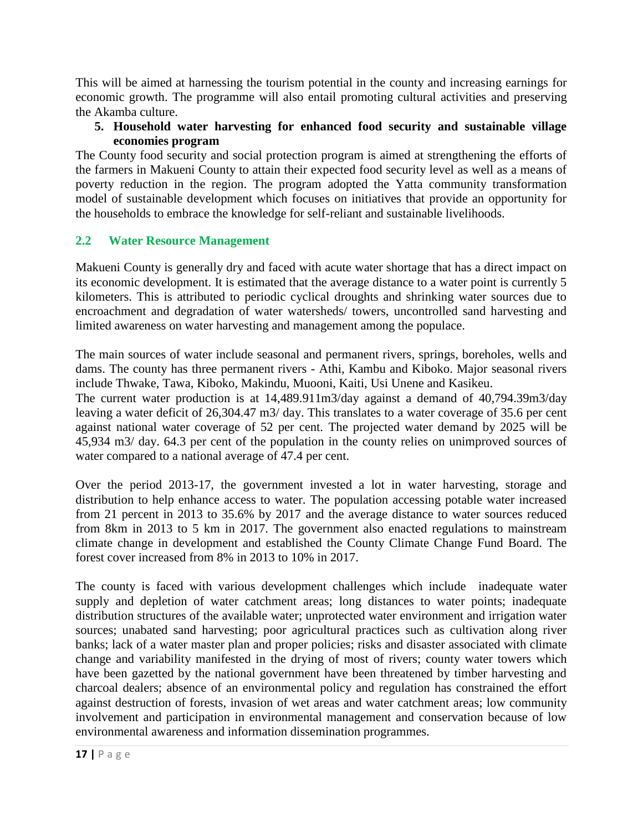This will be aimed at harnessing the tourism potential in the county and increasing earnings for economic growth. The programme will also entail promoting cultural activities and preserving the Akamba culture.

## **5. Household water harvesting for enhanced food security and sustainable village economies program**

The County food security and social protection program is aimed at strengthening the efforts of the farmers in Makueni County to attain their expected food security level as well as a means of poverty reduction in the region. The program adopted the Yatta community transformation model of sustainable development which focuses on initiatives that provide an opportunity for the households to embrace the knowledge for self-reliant and sustainable livelihoods.

## <span id="page-16-0"></span>**2.2 Water Resource Management**

Makueni County is generally dry and faced with acute water shortage that has a direct impact on its economic development. It is estimated that the average distance to a water point is currently 5 kilometers. This is attributed to periodic cyclical droughts and shrinking water sources due to encroachment and degradation of water watersheds/ towers, uncontrolled sand harvesting and limited awareness on water harvesting and management among the populace.

The main sources of water include seasonal and permanent rivers, springs, boreholes, wells and dams. The county has three permanent rivers - Athi, Kambu and Kiboko. Major seasonal rivers include Thwake, Tawa, Kiboko, Makindu, Muooni, Kaiti, Usi Unene and Kasikeu.

The current water production is at 14,489.911m3/day against a demand of 40,794.39m3/day leaving a water deficit of 26,304.47 m3/ day. This translates to a water coverage of 35.6 per cent against national water coverage of 52 per cent. The projected water demand by 2025 will be 45,934 m3/ day. 64.3 per cent of the population in the county relies on unimproved sources of water compared to a national average of 47.4 per cent.

Over the period 2013-17, the government invested a lot in water harvesting, storage and distribution to help enhance access to water. The population accessing potable water increased from 21 percent in 2013 to 35.6% by 2017 and the average distance to water sources reduced from 8km in 2013 to 5 km in 2017. The government also enacted regulations to mainstream climate change in development and established the County Climate Change Fund Board. The forest cover increased from 8% in 2013 to 10% in 2017.

The county is faced with various development challenges which include inadequate water supply and depletion of water catchment areas; long distances to water points; inadequate distribution structures of the available water; unprotected water environment and irrigation water sources; unabated sand harvesting; poor agricultural practices such as cultivation along river banks; lack of a water master plan and proper policies; risks and disaster associated with climate change and variability manifested in the drying of most of rivers; county water towers which have been gazetted by the national government have been threatened by timber harvesting and charcoal dealers; absence of an environmental policy and regulation has constrained the effort against destruction of forests, invasion of wet areas and water catchment areas; low community involvement and participation in environmental management and conservation because of low environmental awareness and information dissemination programmes.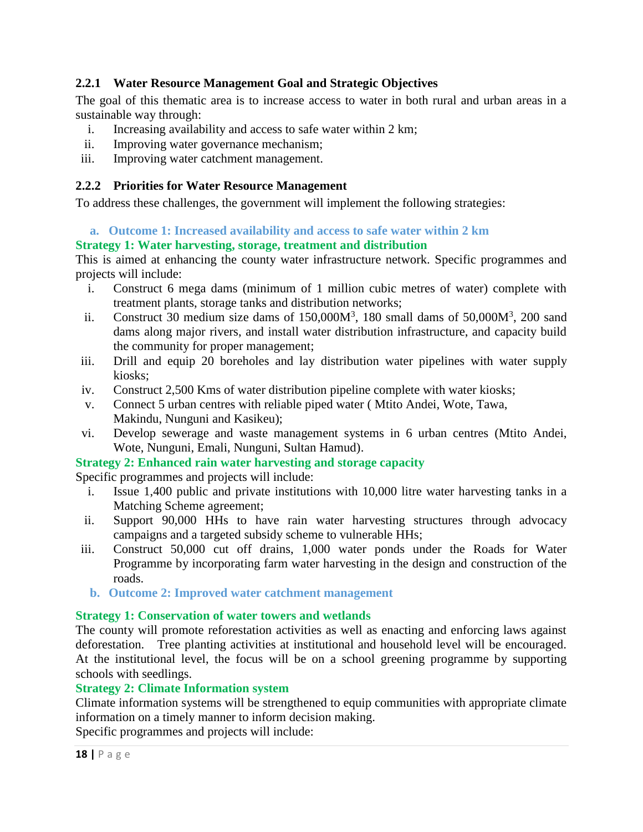## <span id="page-17-0"></span>**2.2.1 Water Resource Management Goal and Strategic Objectives**

The goal of this thematic area is to increase access to water in both rural and urban areas in a sustainable way through:

- i. Increasing availability and access to safe water within 2 km;
- ii. Improving water governance mechanism;
- iii. Improving water catchment management.

## <span id="page-17-1"></span>**2.2.2 Priorities for Water Resource Management**

To address these challenges, the government will implement the following strategies:

## **a. Outcome 1: Increased availability and access to safe water within 2 km**

## **Strategy 1: Water harvesting, storage, treatment and distribution**

This is aimed at enhancing the county water infrastructure network. Specific programmes and projects will include:

- i. Construct 6 mega dams (minimum of 1 million cubic metres of water) complete with treatment plants, storage tanks and distribution networks;
- ii. Construct 30 medium size dams of  $150,000M^3$ , 180 small dams of  $50,000M^3$ , 200 sand dams along major rivers, and install water distribution infrastructure, and capacity build the community for proper management;
- iii. Drill and equip 20 boreholes and lay distribution water pipelines with water supply kiosks;
- iv. Construct 2,500 Kms of water distribution pipeline complete with water kiosks;
- v. Connect 5 urban centres with reliable piped water ( Mtito Andei, Wote, Tawa, Makindu, Nunguni and Kasikeu);
- vi. Develop sewerage and waste management systems in 6 urban centres (Mtito Andei, Wote, Nunguni, Emali, Nunguni, Sultan Hamud).

## **Strategy 2: Enhanced rain water harvesting and storage capacity**

Specific programmes and projects will include:

- i. Issue 1,400 public and private institutions with 10,000 litre water harvesting tanks in a Matching Scheme agreement;
- ii. Support 90,000 HHs to have rain water harvesting structures through advocacy campaigns and a targeted subsidy scheme to vulnerable HHs;
- iii. Construct 50,000 cut off drains, 1,000 water ponds under the Roads for Water Programme by incorporating farm water harvesting in the design and construction of the roads.
	- **b. Outcome 2: Improved water catchment management**

## **Strategy 1: Conservation of water towers and wetlands**

The county will promote reforestation activities as well as enacting and enforcing laws against deforestation. Tree planting activities at institutional and household level will be encouraged. At the institutional level, the focus will be on a school greening programme by supporting schools with seedlings.

## **Strategy 2: Climate Information system**

Climate information systems will be strengthened to equip communities with appropriate climate information on a timely manner to inform decision making.

Specific programmes and projects will include: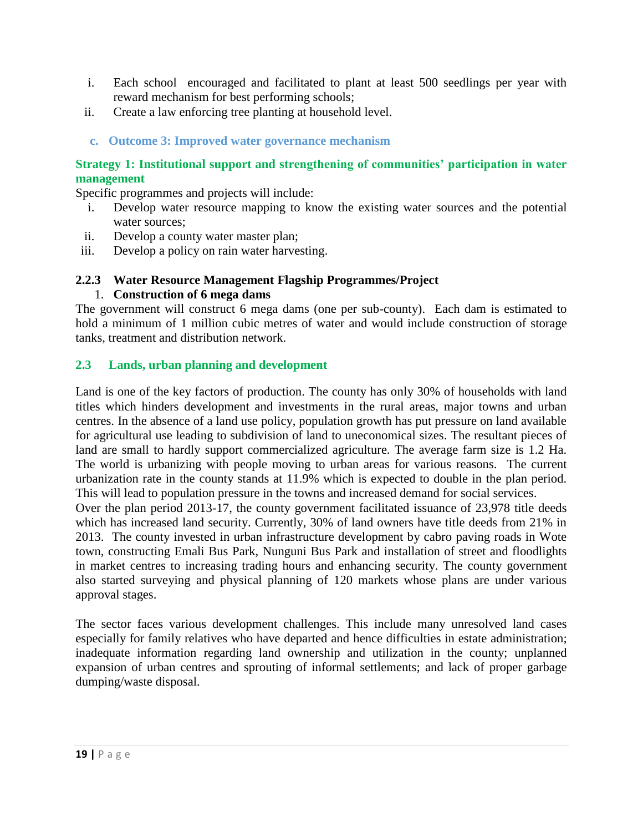- i. Each school encouraged and facilitated to plant at least 500 seedlings per year with reward mechanism for best performing schools;
- ii. Create a law enforcing tree planting at household level.
- **c. Outcome 3: Improved water governance mechanism**

## **Strategy 1: Institutional support and strengthening of communities' participation in water management**

Specific programmes and projects will include:

- i. Develop water resource mapping to know the existing water sources and the potential water sources;
- ii. Develop a county water master plan;
- iii. Develop a policy on rain water harvesting.

#### <span id="page-18-0"></span>**2.2.3 Water Resource Management Flagship Programmes/Project** 1. **Construction of 6 mega dams**

The government will construct 6 mega dams (one per sub-county). Each dam is estimated to hold a minimum of 1 million cubic metres of water and would include construction of storage tanks, treatment and distribution network.

#### <span id="page-18-1"></span>**2.3 Lands, urban planning and development**

Land is one of the key factors of production. The county has only 30% of households with land titles which hinders development and investments in the rural areas, major towns and urban centres. In the absence of a land use policy, population growth has put pressure on land available for agricultural use leading to subdivision of land to uneconomical sizes. The resultant pieces of land are small to hardly support commercialized agriculture. The average farm size is 1.2 Ha. The world is urbanizing with people moving to urban areas for various reasons. The current urbanization rate in the county stands at 11.9% which is expected to double in the plan period. This will lead to population pressure in the towns and increased demand for social services.

Over the plan period 2013-17, the county government facilitated issuance of 23,978 title deeds which has increased land security. Currently, 30% of land owners have title deeds from 21% in 2013. The county invested in urban infrastructure development by cabro paving roads in Wote town, constructing Emali Bus Park, Nunguni Bus Park and installation of street and floodlights in market centres to increasing trading hours and enhancing security. The county government also started surveying and physical planning of 120 markets whose plans are under various approval stages.

The sector faces various development challenges. This include many unresolved land cases especially for family relatives who have departed and hence difficulties in estate administration; inadequate information regarding land ownership and utilization in the county; unplanned expansion of urban centres and sprouting of informal settlements; and lack of proper garbage dumping/waste disposal.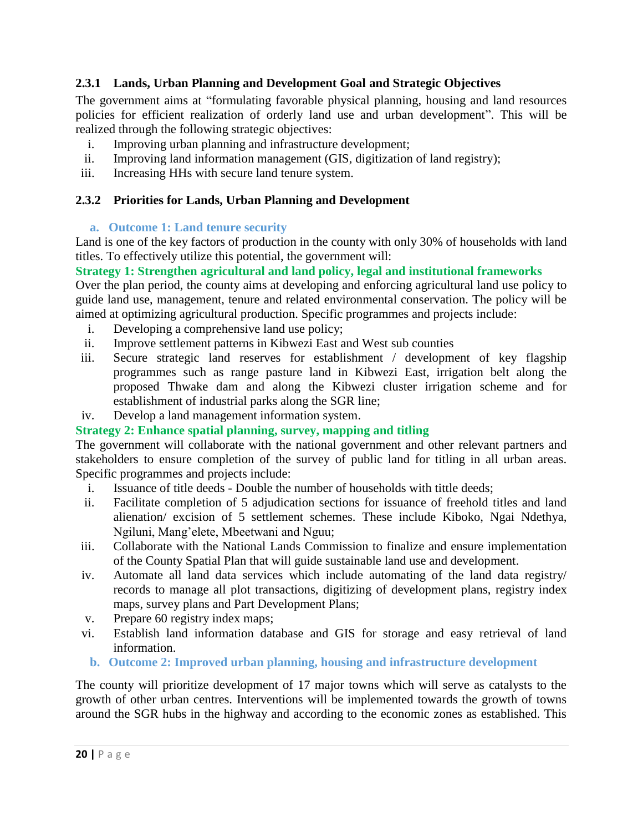## <span id="page-19-0"></span>**2.3.1 Lands, Urban Planning and Development Goal and Strategic Objectives**

The government aims at "formulating favorable physical planning, housing and land resources policies for efficient realization of orderly land use and urban development". This will be realized through the following strategic objectives:

- i. Improving urban planning and infrastructure development;
- ii. Improving land information management (GIS, digitization of land registry);
- iii. Increasing HHs with secure land tenure system.

## <span id="page-19-1"></span>**2.3.2 Priorities for Lands, Urban Planning and Development**

## **a. Outcome 1: Land tenure security**

Land is one of the key factors of production in the county with only 30% of households with land titles. To effectively utilize this potential, the government will:

## **Strategy 1: Strengthen agricultural and land policy, legal and institutional frameworks**

Over the plan period, the county aims at developing and enforcing agricultural land use policy to guide land use, management, tenure and related environmental conservation. The policy will be aimed at optimizing agricultural production. Specific programmes and projects include:

- i. Developing a comprehensive land use policy;
- ii. Improve settlement patterns in Kibwezi East and West sub counties
- iii. Secure strategic land reserves for establishment / development of key flagship programmes such as range pasture land in Kibwezi East, irrigation belt along the proposed Thwake dam and along the Kibwezi cluster irrigation scheme and for establishment of industrial parks along the SGR line;
- iv. Develop a land management information system.

## **Strategy 2: Enhance spatial planning, survey, mapping and titling**

The government will collaborate with the national government and other relevant partners and stakeholders to ensure completion of the survey of public land for titling in all urban areas. Specific programmes and projects include:

- i. Issuance of title deeds Double the number of households with tittle deeds;
- ii. Facilitate completion of 5 adjudication sections for issuance of freehold titles and land alienation/ excision of 5 settlement schemes. These include Kiboko, Ngai Ndethya, Ngiluni, Mang'elete, Mbeetwani and Nguu;
- iii. Collaborate with the National Lands Commission to finalize and ensure implementation of the County Spatial Plan that will guide sustainable land use and development.
- iv. Automate all land data services which include automating of the land data registry/ records to manage all plot transactions, digitizing of development plans, registry index maps, survey plans and Part Development Plans;
- v. Prepare 60 registry index maps;
- vi. Establish land information database and GIS for storage and easy retrieval of land information.
- **b. Outcome 2: Improved urban planning, housing and infrastructure development**

The county will prioritize development of 17 major towns which will serve as catalysts to the growth of other urban centres. Interventions will be implemented towards the growth of towns around the SGR hubs in the highway and according to the economic zones as established. This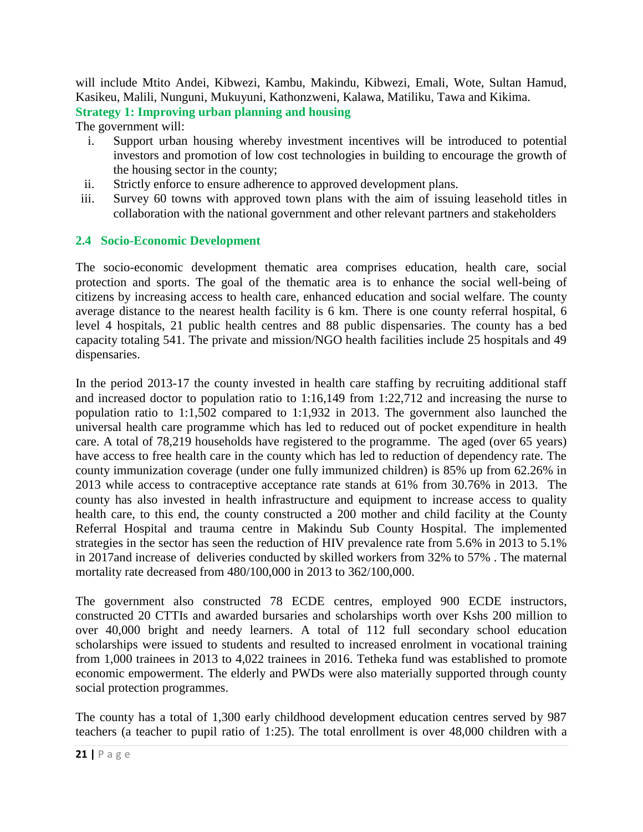will include Mtito Andei, Kibwezi, Kambu, Makindu, Kibwezi, Emali, Wote, Sultan Hamud, Kasikeu, Malili, Nunguni, Mukuyuni, Kathonzweni, Kalawa, Matiliku, Tawa and Kikima. **Strategy 1: Improving urban planning and housing**

The government will:

- i. Support urban housing whereby investment incentives will be introduced to potential investors and promotion of low cost technologies in building to encourage the growth of the housing sector in the county;
- ii. Strictly enforce to ensure adherence to approved development plans.
- iii. Survey 60 towns with approved town plans with the aim of issuing leasehold titles in collaboration with the national government and other relevant partners and stakeholders

## <span id="page-20-0"></span>**2.4 Socio-Economic Development**

The socio-economic development thematic area comprises education, health care, social protection and sports. The goal of the thematic area is to enhance the social well-being of citizens by increasing access to health care, enhanced education and social welfare. The county average distance to the nearest health facility is 6 km. There is one county referral hospital, 6 level 4 hospitals, 21 public health centres and 88 public dispensaries. The county has a bed capacity totaling 541. The private and mission/NGO health facilities include 25 hospitals and 49 dispensaries.

In the period 2013-17 the county invested in health care staffing by recruiting additional staff and increased doctor to population ratio to 1:16,149 from 1:22,712 and increasing the nurse to population ratio to 1:1,502 compared to 1:1,932 in 2013. The government also launched the universal health care programme which has led to reduced out of pocket expenditure in health care. A total of 78,219 households have registered to the programme. The aged (over 65 years) have access to free health care in the county which has led to reduction of dependency rate. The county immunization coverage (under one fully immunized children) is 85% up from 62.26% in 2013 while access to contraceptive acceptance rate stands at 61% from 30.76% in 2013. The county has also invested in health infrastructure and equipment to increase access to quality health care, to this end, the county constructed a 200 mother and child facility at the County Referral Hospital and trauma centre in Makindu Sub County Hospital. The implemented strategies in the sector has seen the reduction of HIV prevalence rate from 5.6% in 2013 to 5.1% in 2017and increase of deliveries conducted by skilled workers from 32% to 57% . The maternal mortality rate decreased from 480/100,000 in 2013 to 362/100,000.

The government also constructed 78 ECDE centres, employed 900 ECDE instructors, constructed 20 CTTIs and awarded bursaries and scholarships worth over Kshs 200 million to over 40,000 bright and needy learners. A total of 112 full secondary school education scholarships were issued to students and resulted to increased enrolment in vocational training from 1,000 trainees in 2013 to 4,022 trainees in 2016. Tetheka fund was established to promote economic empowerment. The elderly and PWDs were also materially supported through county social protection programmes.

The county has a total of 1,300 early childhood development education centres served by 987 teachers (a teacher to pupil ratio of 1:25). The total enrollment is over 48,000 children with a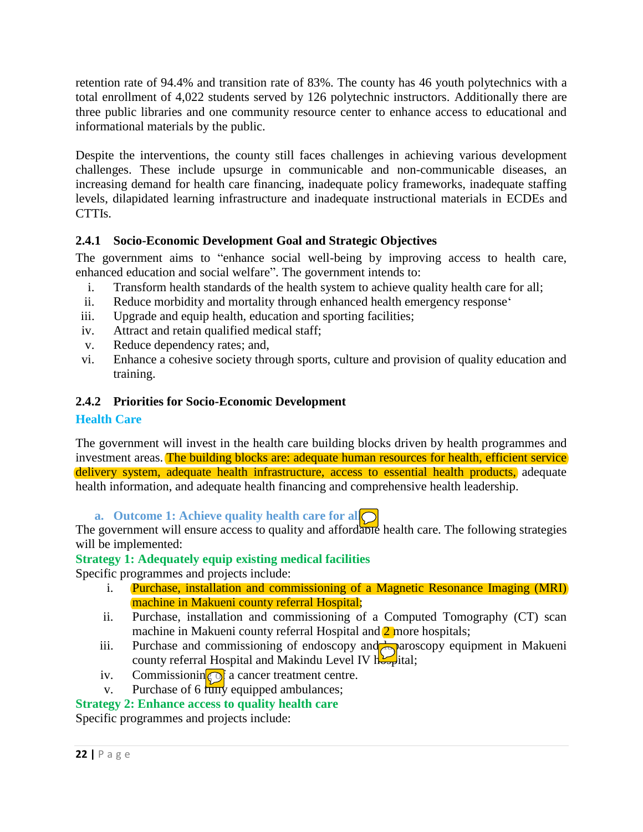retention rate of 94.4% and transition rate of 83%. The county has 46 youth polytechnics with a total enrollment of 4,022 students served by 126 polytechnic instructors. Additionally there are three public libraries and one community resource center to enhance access to educational and informational materials by the public.

Despite the interventions, the county still faces challenges in achieving various development challenges. These include upsurge in communicable and non-communicable diseases, an increasing demand for health care financing, inadequate policy frameworks, inadequate staffing levels, dilapidated learning infrastructure and inadequate instructional materials in ECDEs and CTTIs.

## <span id="page-21-0"></span>**2.4.1 Socio-Economic Development Goal and Strategic Objectives**

The government aims to "enhance social well-being by improving access to health care, enhanced education and social welfare". The government intends to:

- i. Transform health standards of the health system to achieve quality health care for all;
- ii. Reduce morbidity and mortality through enhanced health emergency response'
- iii. Upgrade and equip health, education and sporting facilities;
- iv. Attract and retain qualified medical staff;
- v. Reduce dependency rates; and,
- vi. Enhance a cohesive society through sports, culture and provision of quality education and training.

## <span id="page-21-1"></span>**2.4.2 Priorities for Socio-Economic Development**

## **Health Care**

The government will invest in the health care building blocks driven by health programmes and investment areas. The building blocks are: adequate human resources for health, efficient service delivery system, adequate health infrastructure, access to essential health products, adequate health information, and adequate health financing and comprehensive health leadership.

**a. Outcome 1: Achieve quality health care for all**

The government will ensure access to quality and affordable health care. The following strategies will be implemented:

## **Strategy 1: Adequately equip existing medical facilities**

Specific programmes and projects include:

- i. Purchase, installation and commissioning of a Magnetic Resonance Imaging (MRI) machine in Makueni county referral Hospital;
- ii. Purchase, installation and commissioning of a Computed Tomography (CT) scan machine in Makueni county referral Hospital and 2 more hospitals;
- iii. Purchase and commissioning of endoscopy and **A** paroscopy equipment in Makueni county referral Hospital and Makindu Level IV hospital;
- iv. Commissionin $\odot$  a cancer treatment centre.
- v. Purchase of  $6 \overline{\text{uny}}$  equipped ambulances;

## **Strategy 2: Enhance access to quality health care**

Specific programmes and projects include: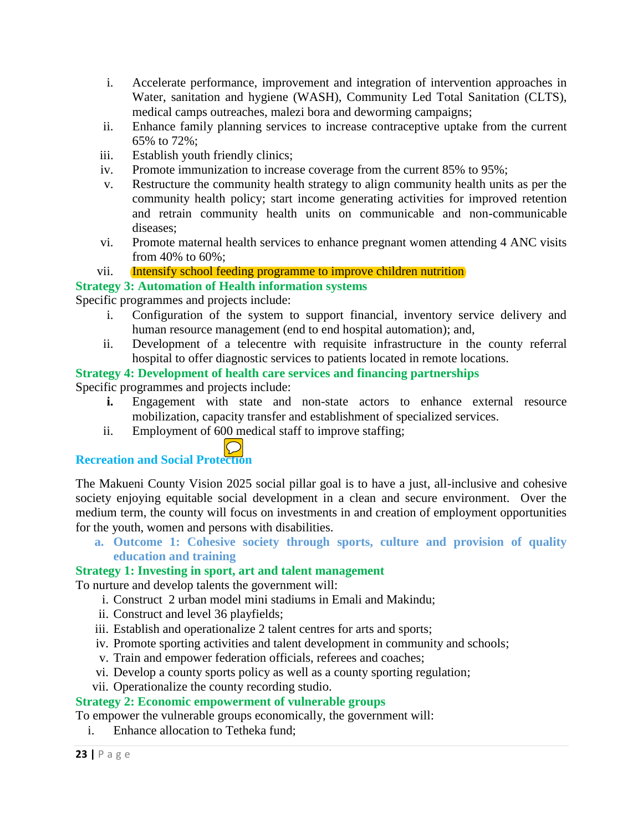- i. Accelerate performance, improvement and integration of intervention approaches in Water, sanitation and hygiene (WASH), Community Led Total Sanitation (CLTS), medical camps outreaches, malezi bora and deworming campaigns;
- ii. Enhance family planning services to increase contraceptive uptake from the current 65% to 72%;
- iii. Establish youth friendly clinics;
- iv. Promote immunization to increase coverage from the current 85% to 95%;
- v. Restructure the community health strategy to align community health units as per the community health policy; start income generating activities for improved retention and retrain community health units on communicable and non-communicable diseases;
- vi. Promote maternal health services to enhance pregnant women attending 4 ANC visits from 40% to 60%;

#### vii. **Intensify school feeding programme to improve children nutrition**

#### **Strategy 3: Automation of Health information systems**

Specific programmes and projects include:

- i. Configuration of the system to support financial, inventory service delivery and human resource management (end to end hospital automation); and,
- ii. Development of a telecentre with requisite infrastructure in the county referral hospital to offer diagnostic services to patients located in remote locations.

#### **Strategy 4: Development of health care services and financing partnerships**

Specific programmes and projects include:

- **i.** Engagement with state and non-state actors to enhance external resource mobilization, capacity transfer and establishment of specialized services.
- ii. Employment of 600 medical staff to improve staffing;

# **Recreation and Social Protection**

The Makueni County Vision 2025 social pillar goal is to have a just, all-inclusive and cohesive society enjoying equitable social development in a clean and secure environment. Over the medium term, the county will focus on investments in and creation of employment opportunities for the youth, women and persons with disabilities.

**a. Outcome 1: Cohesive society through sports, culture and provision of quality education and training**

## **Strategy 1: Investing in sport, art and talent management**

To nurture and develop talents the government will:

- i. Construct 2 urban model mini stadiums in Emali and Makindu;
- ii. Construct and level 36 playfields;
- iii. Establish and operationalize 2 talent centres for arts and sports;
- iv. Promote sporting activities and talent development in community and schools;
- v. Train and empower federation officials, referees and coaches;
- vi. Develop a county sports policy as well as a county sporting regulation;
- vii. Operationalize the county recording studio.

## **Strategy 2: Economic empowerment of vulnerable groups**

To empower the vulnerable groups economically, the government will:

i. Enhance allocation to Tetheka fund;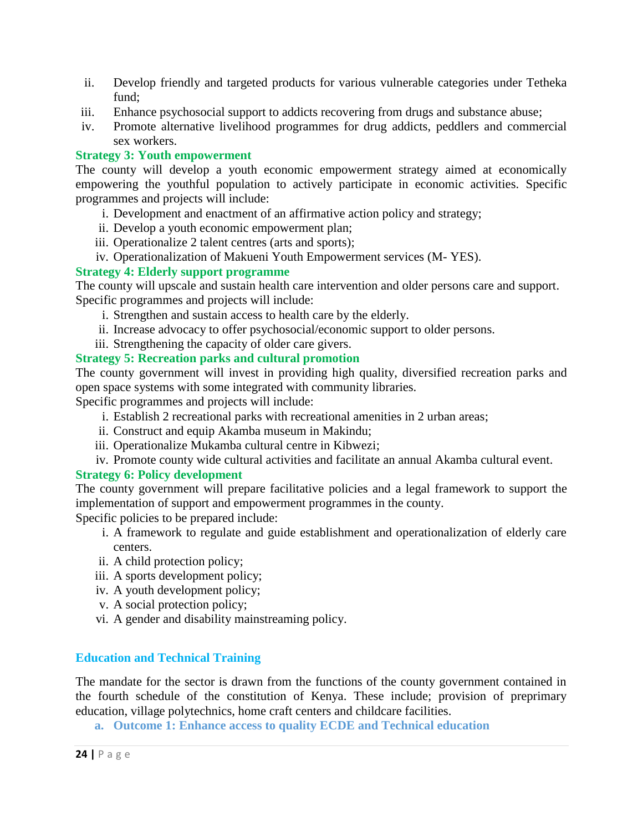- ii. Develop friendly and targeted products for various vulnerable categories under Tetheka fund;
- iii. Enhance psychosocial support to addicts recovering from drugs and substance abuse;
- iv. Promote alternative livelihood programmes for drug addicts, peddlers and commercial sex workers.

#### **Strategy 3: Youth empowerment**

The county will develop a youth economic empowerment strategy aimed at economically empowering the youthful population to actively participate in economic activities. Specific programmes and projects will include:

- i. Development and enactment of an affirmative action policy and strategy;
- ii. Develop a youth economic empowerment plan;
- iii. Operationalize 2 talent centres (arts and sports);
- iv. Operationalization of Makueni Youth Empowerment services (M- YES).

#### **Strategy 4: Elderly support programme**

The county will upscale and sustain health care intervention and older persons care and support. Specific programmes and projects will include:

- i. Strengthen and sustain access to health care by the elderly.
- ii. Increase advocacy to offer psychosocial/economic support to older persons.
- iii. Strengthening the capacity of older care givers.

#### **Strategy 5: Recreation parks and cultural promotion**

The county government will invest in providing high quality, diversified recreation parks and open space systems with some integrated with community libraries.

Specific programmes and projects will include:

- i. Establish 2 recreational parks with recreational amenities in 2 urban areas;
- ii. Construct and equip Akamba museum in Makindu;
- iii. Operationalize Mukamba cultural centre in Kibwezi;
- iv. Promote county wide cultural activities and facilitate an annual Akamba cultural event.

#### **Strategy 6: Policy development**

The county government will prepare facilitative policies and a legal framework to support the implementation of support and empowerment programmes in the county.

Specific policies to be prepared include:

- i. A framework to regulate and guide establishment and operationalization of elderly care centers.
- ii. A child protection policy;
- iii. A sports development policy;
- iv. A youth development policy;
- v. A social protection policy;
- vi. A gender and disability mainstreaming policy.

## **Education and Technical Training**

The mandate for the sector is drawn from the functions of the county government contained in the fourth schedule of the constitution of Kenya. These include; provision of preprimary education, village polytechnics, home craft centers and childcare facilities.

**a. Outcome 1: Enhance access to quality ECDE and Technical education**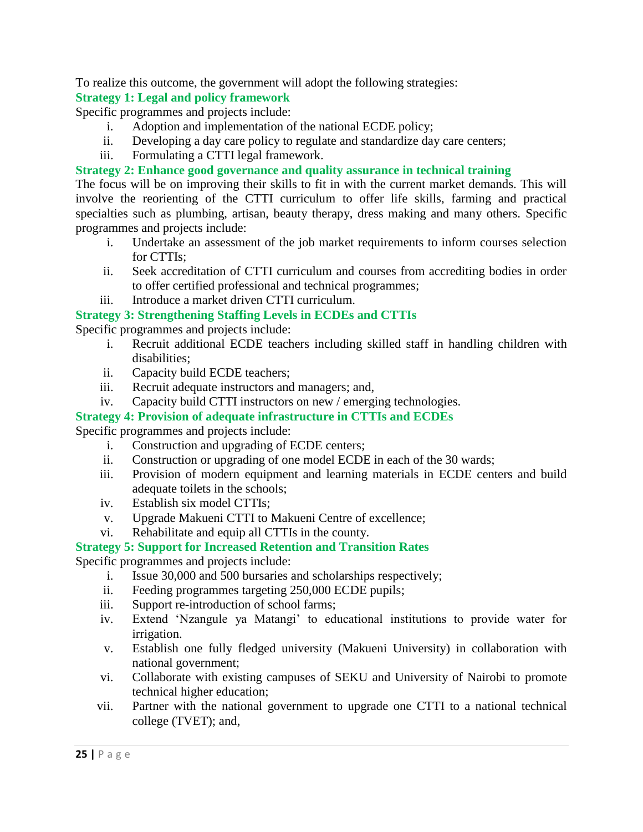To realize this outcome, the government will adopt the following strategies:

## **Strategy 1: Legal and policy framework**

Specific programmes and projects include:

- i. Adoption and implementation of the national ECDE policy;
- ii. Developing a day care policy to regulate and standardize day care centers;
- iii. Formulating a CTTI legal framework.

## **Strategy 2: Enhance good governance and quality assurance in technical training**

The focus will be on improving their skills to fit in with the current market demands. This will involve the reorienting of the CTTI curriculum to offer life skills, farming and practical specialties such as plumbing, artisan, beauty therapy, dress making and many others. Specific programmes and projects include:

- i. Undertake an assessment of the job market requirements to inform courses selection for CTTIs;
- ii. Seek accreditation of CTTI curriculum and courses from accrediting bodies in order to offer certified professional and technical programmes;
- iii. Introduce a market driven CTTI curriculum.

## **Strategy 3: Strengthening Staffing Levels in ECDEs and CTTIs**

Specific programmes and projects include:

- i. Recruit additional ECDE teachers including skilled staff in handling children with disabilities;
- ii. Capacity build ECDE teachers;
- iii. Recruit adequate instructors and managers; and,
- iv. Capacity build CTTI instructors on new / emerging technologies.

## **Strategy 4: Provision of adequate infrastructure in CTTIs and ECDEs**

Specific programmes and projects include:

- i. Construction and upgrading of ECDE centers;
- ii. Construction or upgrading of one model ECDE in each of the 30 wards;
- iii. Provision of modern equipment and learning materials in ECDE centers and build adequate toilets in the schools;
- iv. Establish six model CTTIs;
- v. Upgrade Makueni CTTI to Makueni Centre of excellence;
- vi. Rehabilitate and equip all CTTIs in the county.

## **Strategy 5: Support for Increased Retention and Transition Rates**

Specific programmes and projects include:

- i. Issue 30,000 and 500 bursaries and scholarships respectively;
- ii. Feeding programmes targeting 250,000 ECDE pupils;
- iii. Support re-introduction of school farms;
- iv. Extend 'Nzangule ya Matangi' to educational institutions to provide water for irrigation.
- v. Establish one fully fledged university (Makueni University) in collaboration with national government;
- vi. Collaborate with existing campuses of SEKU and University of Nairobi to promote technical higher education;
- vii. Partner with the national government to upgrade one CTTI to a national technical college (TVET); and,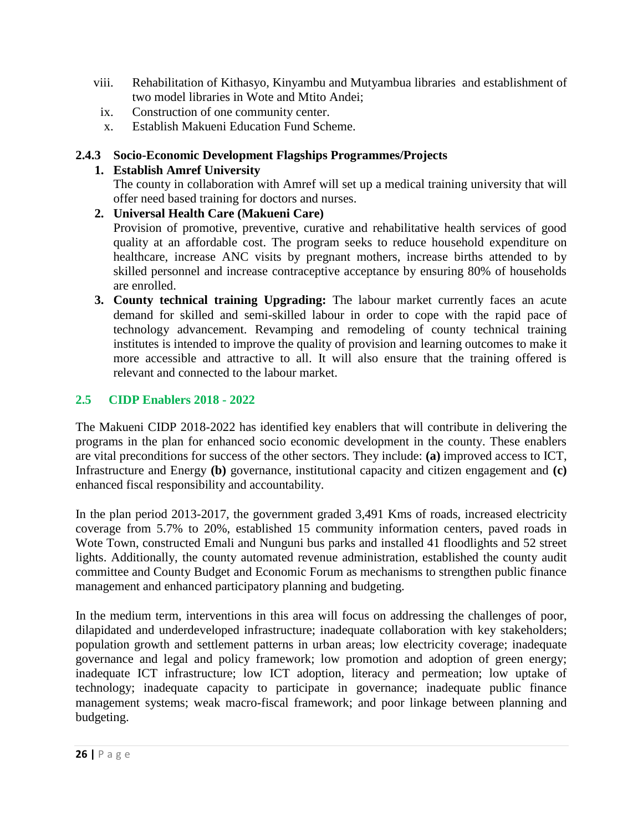- viii. Rehabilitation of Kithasyo, Kinyambu and Mutyambua libraries and establishment of two model libraries in Wote and Mtito Andei;
- ix. Construction of one community center.
- x. Establish Makueni Education Fund Scheme.

## <span id="page-25-0"></span>**2.4.3 Socio-Economic Development Flagships Programmes/Projects**

## **1. Establish Amref University**

The county in collaboration with Amref will set up a medical training university that will offer need based training for doctors and nurses.

**2. Universal Health Care (Makueni Care)**

Provision of promotive, preventive, curative and rehabilitative health services of good quality at an affordable cost. The program seeks to reduce household expenditure on healthcare, increase ANC visits by pregnant mothers, increase births attended to by skilled personnel and increase contraceptive acceptance by ensuring 80% of households are enrolled.

**3. County technical training Upgrading:** The labour market currently faces an acute demand for skilled and semi-skilled labour in order to cope with the rapid pace of technology advancement. Revamping and remodeling of county technical training institutes is intended to improve the quality of provision and learning outcomes to make it more accessible and attractive to all. It will also ensure that the training offered is relevant and connected to the labour market.

## <span id="page-25-1"></span>**2.5 CIDP Enablers 2018 - 2022**

The Makueni CIDP 2018-2022 has identified key enablers that will contribute in delivering the programs in the plan for enhanced socio economic development in the county. These enablers are vital preconditions for success of the other sectors. They include: **(a)** improved access to ICT, Infrastructure and Energy **(b)** governance, institutional capacity and citizen engagement and **(c)** enhanced fiscal responsibility and accountability.

In the plan period 2013-2017, the government graded 3,491 Kms of roads, increased electricity coverage from 5.7% to 20%, established 15 community information centers, paved roads in Wote Town, constructed Emali and Nunguni bus parks and installed 41 floodlights and 52 street lights. Additionally, the county automated revenue administration, established the county audit committee and County Budget and Economic Forum as mechanisms to strengthen public finance management and enhanced participatory planning and budgeting.

In the medium term, interventions in this area will focus on addressing the challenges of poor, dilapidated and underdeveloped infrastructure; inadequate collaboration with key stakeholders; population growth and settlement patterns in urban areas; low electricity coverage; inadequate governance and legal and policy framework; low promotion and adoption of green energy; inadequate ICT infrastructure; low ICT adoption, literacy and permeation; low uptake of technology; inadequate capacity to participate in governance; inadequate public finance management systems; weak macro-fiscal framework; and poor linkage between planning and budgeting.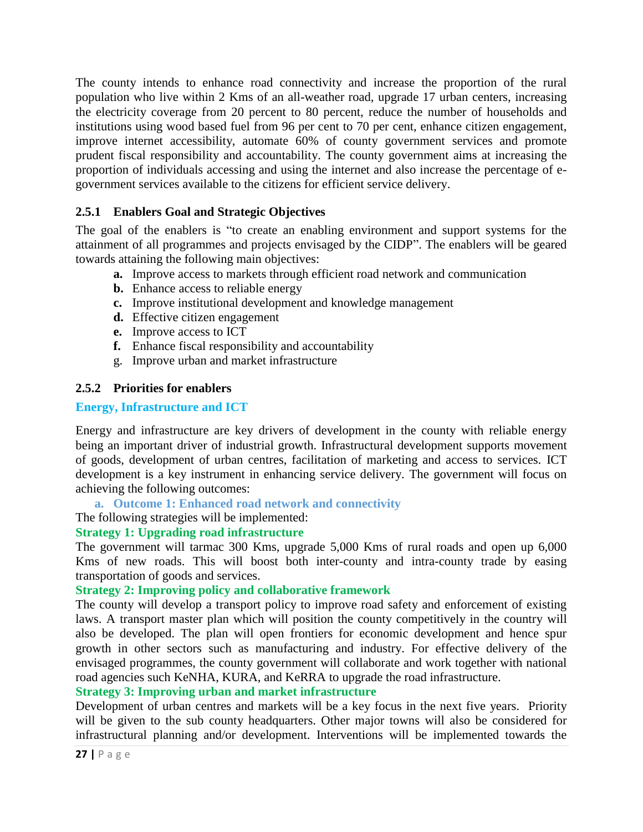The county intends to enhance road connectivity and increase the proportion of the rural population who live within 2 Kms of an all-weather road, upgrade 17 urban centers, increasing the electricity coverage from 20 percent to 80 percent, reduce the number of households and institutions using wood based fuel from 96 per cent to 70 per cent, enhance citizen engagement, improve internet accessibility, automate 60% of county government services and promote prudent fiscal responsibility and accountability. The county government aims at increasing the proportion of individuals accessing and using the internet and also increase the percentage of egovernment services available to the citizens for efficient service delivery.

## <span id="page-26-0"></span>**2.5.1 Enablers Goal and Strategic Objectives**

The goal of the enablers is "to create an enabling environment and support systems for the attainment of all programmes and projects envisaged by the CIDP". The enablers will be geared towards attaining the following main objectives:

- **a.** Improve access to markets through efficient road network and communication
- **b.** Enhance access to reliable energy
- **c.** Improve institutional development and knowledge management
- **d.** Effective citizen engagement
- **e.** Improve access to ICT
- **f.** Enhance fiscal responsibility and accountability
- g. Improve urban and market infrastructure

## <span id="page-26-1"></span>**2.5.2 Priorities for enablers**

## **Energy, Infrastructure and ICT**

Energy and infrastructure are key drivers of development in the county with reliable energy being an important driver of industrial growth. Infrastructural development supports movement of goods, development of urban centres, facilitation of marketing and access to services. ICT development is a key instrument in enhancing service delivery. The government will focus on achieving the following outcomes:

## **a. Outcome 1: Enhanced road network and connectivity**

## The following strategies will be implemented:

## **Strategy 1: Upgrading road infrastructure**

The government will tarmac 300 Kms, upgrade 5,000 Kms of rural roads and open up 6,000 Kms of new roads. This will boost both inter-county and intra-county trade by easing transportation of goods and services.

## **Strategy 2: Improving policy and collaborative framework**

The county will develop a transport policy to improve road safety and enforcement of existing laws. A transport master plan which will position the county competitively in the country will also be developed. The plan will open frontiers for economic development and hence spur growth in other sectors such as manufacturing and industry. For effective delivery of the envisaged programmes, the county government will collaborate and work together with national road agencies such KeNHA, KURA, and KeRRA to upgrade the road infrastructure.

## **Strategy 3: Improving urban and market infrastructure**

Development of urban centres and markets will be a key focus in the next five years. Priority will be given to the sub county headquarters. Other major towns will also be considered for infrastructural planning and/or development. Interventions will be implemented towards the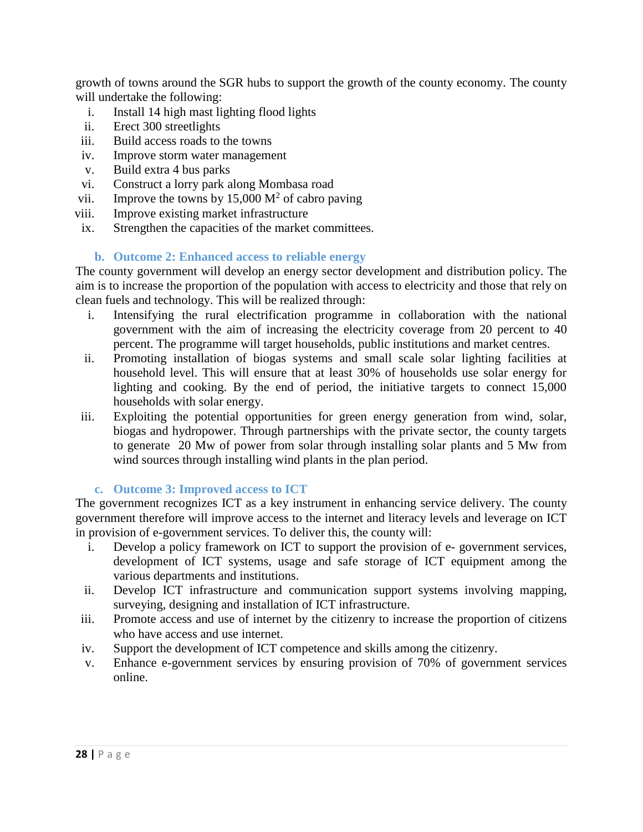growth of towns around the SGR hubs to support the growth of the county economy. The county will undertake the following:

- i. Install 14 high mast lighting flood lights
- ii. Erect 300 streetlights
- iii. Build access roads to the towns
- iv. Improve storm water management
- v. Build extra 4 bus parks
- vi. Construct a lorry park along Mombasa road
- vii. Improve the towns by 15,000  $M^2$  of cabro paving
- viii. Improve existing market infrastructure
- ix. Strengthen the capacities of the market committees.

## **b. Outcome 2: Enhanced access to reliable energy**

The county government will develop an energy sector development and distribution policy. The aim is to increase the proportion of the population with access to electricity and those that rely on clean fuels and technology. This will be realized through:

- i. Intensifying the rural electrification programme in collaboration with the national government with the aim of increasing the electricity coverage from 20 percent to 40 percent. The programme will target households, public institutions and market centres.
- ii. Promoting installation of biogas systems and small scale solar lighting facilities at household level. This will ensure that at least 30% of households use solar energy for lighting and cooking. By the end of period, the initiative targets to connect 15,000 households with solar energy.
- iii. Exploiting the potential opportunities for green energy generation from wind, solar, biogas and hydropower. Through partnerships with the private sector, the county targets to generate 20 Mw of power from solar through installing solar plants and 5 Mw from wind sources through installing wind plants in the plan period.

## **c. Outcome 3: Improved access to ICT**

The government recognizes ICT as a key instrument in enhancing service delivery. The county government therefore will improve access to the internet and literacy levels and leverage on ICT in provision of e-government services. To deliver this, the county will:

- i. Develop a policy framework on ICT to support the provision of e- government services, development of ICT systems, usage and safe storage of ICT equipment among the various departments and institutions.
- ii. Develop ICT infrastructure and communication support systems involving mapping, surveying, designing and installation of ICT infrastructure.
- iii. Promote access and use of internet by the citizenry to increase the proportion of citizens who have access and use internet.
- iv. Support the development of ICT competence and skills among the citizenry.
- v. Enhance e-government services by ensuring provision of 70% of government services online.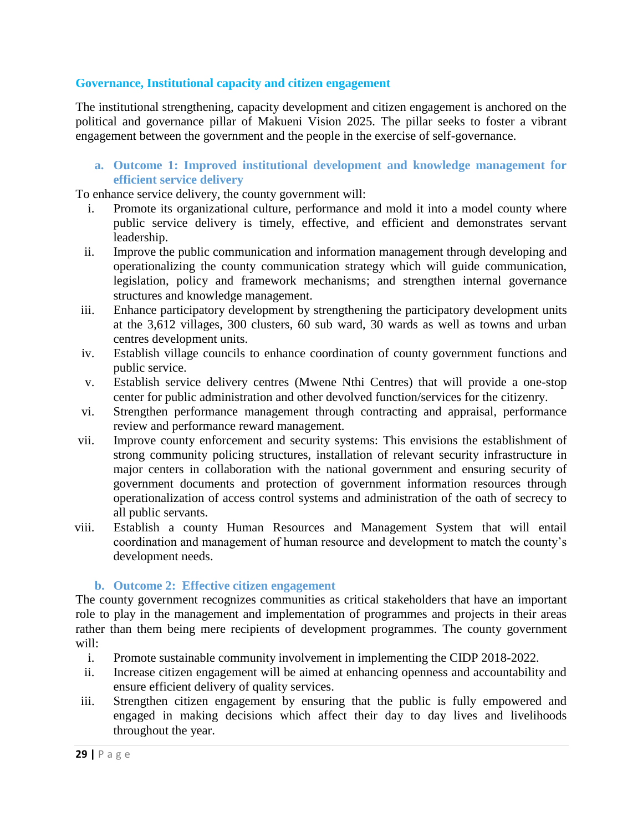### **Governance, Institutional capacity and citizen engagement**

The institutional strengthening, capacity development and citizen engagement is anchored on the political and governance pillar of Makueni Vision 2025. The pillar seeks to foster a vibrant engagement between the government and the people in the exercise of self-governance.

#### **a. Outcome 1: Improved institutional development and knowledge management for efficient service delivery**

To enhance service delivery, the county government will:

- i. Promote its organizational culture, performance and mold it into a model county where public service delivery is timely, effective, and efficient and demonstrates servant leadership.
- ii. Improve the public communication and information management through developing and operationalizing the county communication strategy which will guide communication, legislation, policy and framework mechanisms; and strengthen internal governance structures and knowledge management.
- iii. Enhance participatory development by strengthening the participatory development units at the 3,612 villages, 300 clusters, 60 sub ward, 30 wards as well as towns and urban centres development units.
- iv. Establish village councils to enhance coordination of county government functions and public service.
- v. Establish service delivery centres (Mwene Nthi Centres) that will provide a one-stop center for public administration and other devolved function/services for the citizenry.
- vi. Strengthen performance management through contracting and appraisal, performance review and performance reward management.
- vii. Improve county enforcement and security systems: This envisions the establishment of strong community policing structures, installation of relevant security infrastructure in major centers in collaboration with the national government and ensuring security of government documents and protection of government information resources through operationalization of access control systems and administration of the oath of secrecy to all public servants.
- viii. Establish a county Human Resources and Management System that will entail coordination and management of human resource and development to match the county's development needs.

#### **b. Outcome 2: Effective citizen engagement**

The county government recognizes communities as critical stakeholders that have an important role to play in the management and implementation of programmes and projects in their areas rather than them being mere recipients of development programmes. The county government will:

- i. Promote sustainable community involvement in implementing the CIDP 2018-2022.
- ii. Increase citizen engagement will be aimed at enhancing openness and accountability and ensure efficient delivery of quality services.
- iii. Strengthen citizen engagement by ensuring that the public is fully empowered and engaged in making decisions which affect their day to day lives and livelihoods throughout the year.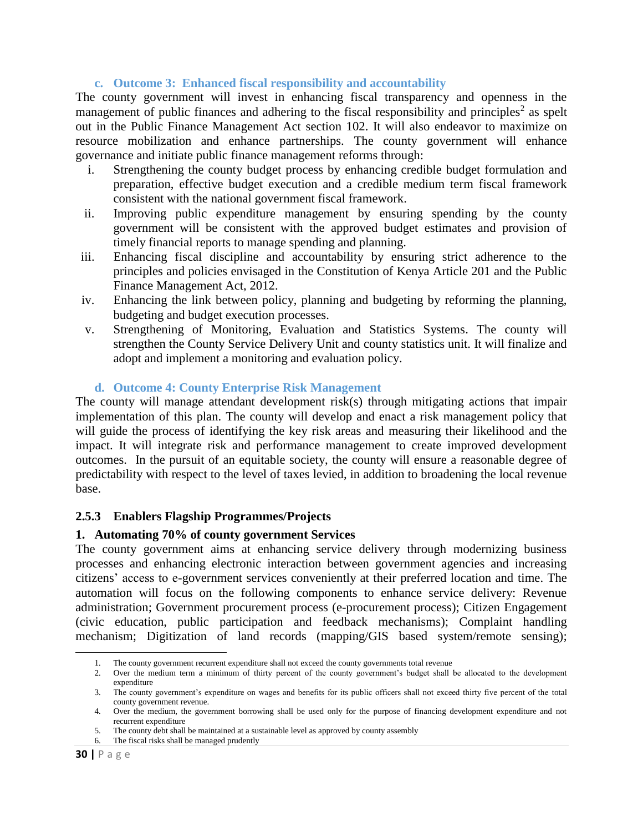### **c. Outcome 3: Enhanced fiscal responsibility and accountability**

The county government will invest in enhancing fiscal transparency and openness in the management of public finances and adhering to the fiscal responsibility and principles<sup>2</sup> as spelt out in the Public Finance Management Act section 102. It will also endeavor to maximize on resource mobilization and enhance partnerships. The county government will enhance governance and initiate public finance management reforms through:

- i. Strengthening the county budget process by enhancing credible budget formulation and preparation, effective budget execution and a credible medium term fiscal framework consistent with the national government fiscal framework.
- ii. Improving public expenditure management by ensuring spending by the county government will be consistent with the approved budget estimates and provision of timely financial reports to manage spending and planning.
- iii. Enhancing fiscal discipline and accountability by ensuring strict adherence to the principles and policies envisaged in the Constitution of Kenya Article 201 and the Public Finance Management Act, 2012.
- iv. Enhancing the link between policy, planning and budgeting by reforming the planning, budgeting and budget execution processes.
- v. Strengthening of Monitoring, Evaluation and Statistics Systems. The county will strengthen the County Service Delivery Unit and county statistics unit. It will finalize and adopt and implement a monitoring and evaluation policy.

#### **d. Outcome 4: County Enterprise Risk Management**

The county will manage attendant development risk(s) through mitigating actions that impair implementation of this plan. The county will develop and enact a risk management policy that will guide the process of identifying the key risk areas and measuring their likelihood and the impact. It will integrate risk and performance management to create improved development outcomes. In the pursuit of an equitable society, the county will ensure a reasonable degree of predictability with respect to the level of taxes levied, in addition to broadening the local revenue base.

#### <span id="page-29-0"></span>**2.5.3 Enablers Flagship Programmes/Projects**

#### **1. Automating 70% of county government Services**

The county government aims at enhancing service delivery through modernizing business processes and enhancing electronic interaction between government agencies and increasing citizens' access to e-government services conveniently at their preferred location and time. The automation will focus on the following components to enhance service delivery: Revenue administration; Government procurement process (e-procurement process); Citizen Engagement (civic education, public participation and feedback mechanisms); Complaint handling mechanism; Digitization of land records (mapping/GIS based system/remote sensing);

 $\overline{\phantom{a}}$ 

<sup>1.</sup> The county government recurrent expenditure shall not exceed the county governments total revenue

<sup>2.</sup> Over the medium term a minimum of thirty percent of the county government's budget shall be allocated to the development expenditure

<sup>3.</sup> The county government's expenditure on wages and benefits for its public officers shall not exceed thirty five percent of the total county government revenue.

<sup>4.</sup> Over the medium, the government borrowing shall be used only for the purpose of financing development expenditure and not recurrent expenditure

<sup>5.</sup> The county debt shall be maintained at a sustainable level as approved by county assembly

<sup>6.</sup> The fiscal risks shall be managed prudently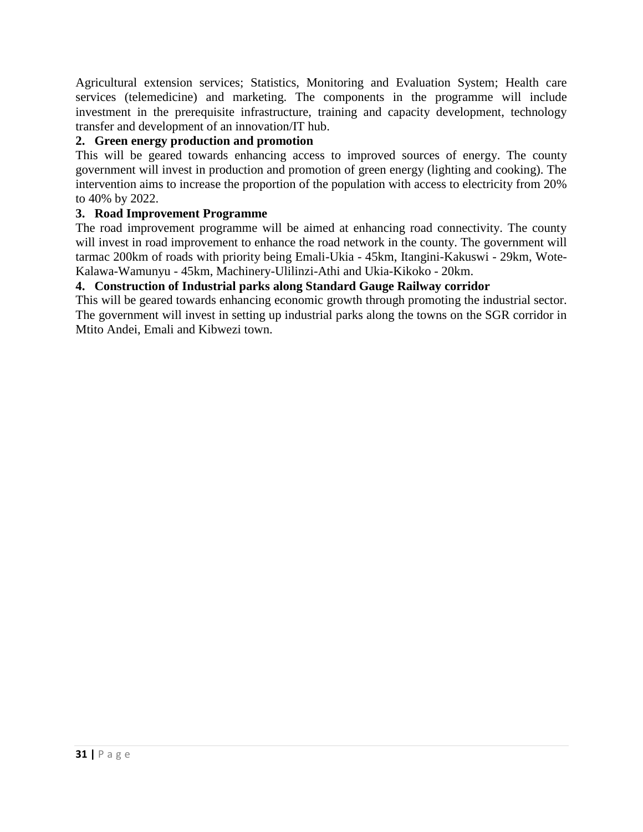Agricultural extension services; Statistics, Monitoring and Evaluation System; Health care services (telemedicine) and marketing. The components in the programme will include investment in the prerequisite infrastructure, training and capacity development, technology transfer and development of an innovation/IT hub.

## **2. Green energy production and promotion**

This will be geared towards enhancing access to improved sources of energy. The county government will invest in production and promotion of green energy (lighting and cooking). The intervention aims to increase the proportion of the population with access to electricity from 20% to 40% by 2022.

## **3. Road Improvement Programme**

The road improvement programme will be aimed at enhancing road connectivity. The county will invest in road improvement to enhance the road network in the county. The government will tarmac 200km of roads with priority being Emali-Ukia - 45km, Itangini-Kakuswi - 29km, Wote-Kalawa-Wamunyu - 45km, Machinery-Ulilinzi-Athi and Ukia-Kikoko - 20km.

## **4. Construction of Industrial parks along Standard Gauge Railway corridor**

This will be geared towards enhancing economic growth through promoting the industrial sector. The government will invest in setting up industrial parks along the towns on the SGR corridor in Mtito Andei, Emali and Kibwezi town.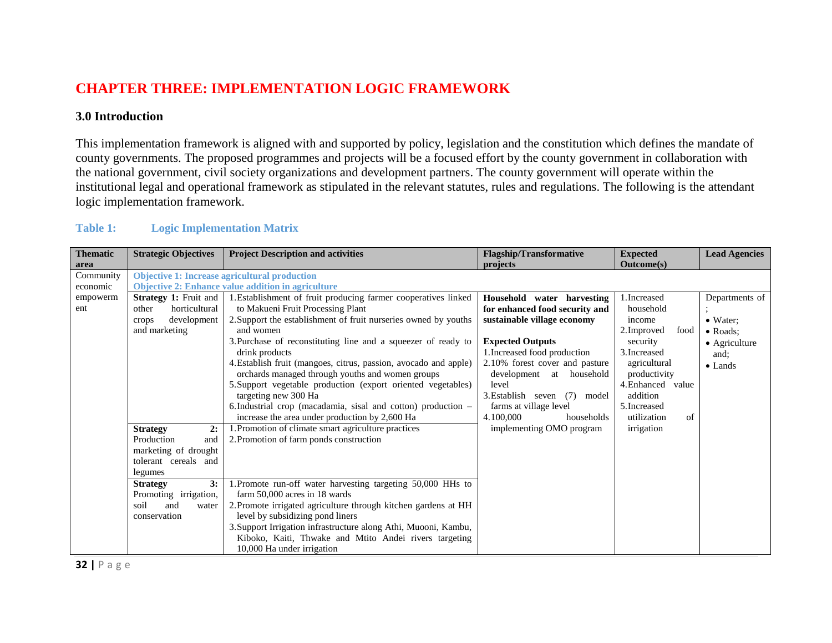# **CHAPTER THREE: IMPLEMENTATION LOGIC FRAMEWORK**

## **3.0 Introduction**

This implementation framework is aligned with and supported by policy, legislation and the constitution which defines the mandate of county governments. The proposed programmes and projects will be a focused effort by the county government in collaboration with the national government, civil society organizations and development partners. The county government will operate within the institutional legal and operational framework as stipulated in the relevant statutes, rules and regulations. The following is the attendant logic implementation framework.

| <b>Table 1:</b> | <b>Logic Implementation Matrix</b> |  |
|-----------------|------------------------------------|--|
|                 |                                    |  |

<span id="page-31-2"></span><span id="page-31-1"></span><span id="page-31-0"></span>

| <b>Thematic</b> | <b>Strategic Objectives</b>  | <b>Project Description and activities</b>                        | <b>Flagship/Transformative</b>     | <b>Expected</b>     | <b>Lead Agencies</b> |
|-----------------|------------------------------|------------------------------------------------------------------|------------------------------------|---------------------|----------------------|
| area            |                              |                                                                  | projects                           | Outcome(s)          |                      |
| Community       |                              | <b>Objective 1: Increase agricultural production</b>             |                                    |                     |                      |
| economic        |                              | <b>Objective 2: Enhance value addition in agriculture</b>        |                                    |                     |                      |
| empowerm        | <b>Strategy 1: Fruit and</b> | 1. Establishment of fruit producing farmer cooperatives linked   | Household water harvesting         | 1. Increased        | Departments of       |
| ent             | horticultural<br>other       | to Makueni Fruit Processing Plant                                | for enhanced food security and     | household           |                      |
|                 | development<br>crops         | 2. Support the establishment of fruit nurseries owned by youths  | sustainable village economy        | income              | $\bullet$ Water:     |
|                 | and marketing                | and women                                                        |                                    | 2. Improved<br>food | $\bullet$ Roads:     |
|                 |                              | 3. Purchase of reconstituting line and a squeezer of ready to    | <b>Expected Outputs</b>            | security            | • Agriculture        |
|                 |                              | drink products                                                   | 1. Increased food production       | 3. Increased        | and;                 |
|                 |                              | 4. Establish fruit (mangoes, citrus, passion, avocado and apple) | 2.10% forest cover and pasture     | agricultural        | $\bullet$ Lands      |
|                 |                              | orchards managed through youths and women groups                 | development at household           | productivity        |                      |
|                 |                              | 5. Support vegetable production (export oriented vegetables)     | level                              | 4. Enhanced value   |                      |
|                 |                              | targeting new 300 Ha                                             | 3. Establish seven<br>(7)<br>model | addition            |                      |
|                 |                              | 6. Industrial crop (macadamia, sisal and cotton) production –    | farms at village level             | 5. Increased        |                      |
|                 |                              | increase the area under production by 2,600 Ha                   | 4.100,000<br>households            | utilization<br>of   |                      |
|                 | 2:<br><b>Strategy</b>        | . Promotion of climate smart agriculture practices               | implementing OMO program           | irrigation          |                      |
|                 | Production<br>and            | 2. Promotion of farm ponds construction                          |                                    |                     |                      |
|                 | marketing of drought         |                                                                  |                                    |                     |                      |
|                 | tolerant cereals and         |                                                                  |                                    |                     |                      |
|                 | legumes                      |                                                                  |                                    |                     |                      |
|                 | 3:<br><b>Strategy</b>        | 1. Promote run-off water harvesting targeting 50,000 HHs to      |                                    |                     |                      |
|                 | Promoting irrigation,        | farm 50,000 acres in 18 wards                                    |                                    |                     |                      |
|                 | soil<br>and<br>water         | 2. Promote irrigated agriculture through kitchen gardens at HH   |                                    |                     |                      |
|                 | conservation                 | level by subsidizing pond liners                                 |                                    |                     |                      |
|                 |                              | 3. Support Irrigation infrastructure along Athi, Muooni, Kambu,  |                                    |                     |                      |
|                 |                              | Kiboko, Kaiti, Thwake and Mtito Andei rivers targeting           |                                    |                     |                      |
|                 |                              | 10,000 Ha under irrigation                                       |                                    |                     |                      |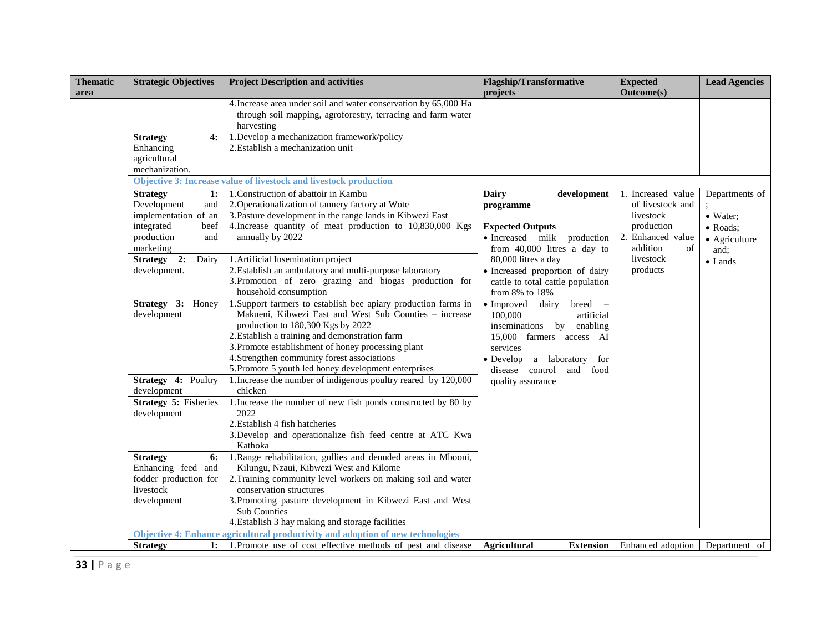| <b>Thematic</b><br>area | <b>Strategic Objectives</b>                                                                                                                         | <b>Project Description and activities</b>                                                                                                                                                                                                                                                                                                                                    | <b>Flagship/Transformative</b><br>projects                                                                                                                                                           | <b>Expected</b><br>Outcome(s)                                                                                                     | <b>Lead Agencies</b>                                                               |
|-------------------------|-----------------------------------------------------------------------------------------------------------------------------------------------------|------------------------------------------------------------------------------------------------------------------------------------------------------------------------------------------------------------------------------------------------------------------------------------------------------------------------------------------------------------------------------|------------------------------------------------------------------------------------------------------------------------------------------------------------------------------------------------------|-----------------------------------------------------------------------------------------------------------------------------------|------------------------------------------------------------------------------------|
|                         | <b>Strategy</b><br>4:<br>Enhancing<br>agricultural<br>mechanization.                                                                                | 4. Increase area under soil and water conservation by 65,000 Ha<br>through soil mapping, agroforestry, terracing and farm water<br>harvesting<br>1. Develop a mechanization framework/policy<br>2. Establish a mechanization unit                                                                                                                                            |                                                                                                                                                                                                      |                                                                                                                                   |                                                                                    |
|                         |                                                                                                                                                     | Objective 3: Increase value of livestock and livestock production                                                                                                                                                                                                                                                                                                            |                                                                                                                                                                                                      |                                                                                                                                   |                                                                                    |
|                         | <b>Strategy</b><br>1:<br>Development<br>and<br>implementation of an<br>integrated<br>beef<br>production<br>and<br>marketing<br>Strategy 2:<br>Dairy | 1. Construction of abattoir in Kambu<br>2. Operationalization of tannery factory at Wote<br>3. Pasture development in the range lands in Kibwezi East<br>4. Increase quantity of meat production to 10,830,000 Kgs<br>annually by 2022<br>1. Artificial Insemination project                                                                                                 | <b>Dairy</b><br>development<br>programme<br><b>Expected Outputs</b><br>· Increased milk production<br>from 40,000 litres a day to<br>80,000 litres a day                                             | 1. Increased value<br>of livestock and<br>livestock<br>production<br>2. Enhanced value<br>addition<br>of<br>livestock<br>products | Departments of<br>• Water;<br>• Roads:<br>• Agriculture<br>and:<br>$\bullet$ Lands |
|                         | development.                                                                                                                                        | 2. Establish an ambulatory and multi-purpose laboratory<br>3. Promotion of zero grazing and biogas production for<br>household consumption                                                                                                                                                                                                                                   | · Increased proportion of dairy<br>cattle to total cattle population<br>from 8% to 18%                                                                                                               |                                                                                                                                   |                                                                                    |
|                         | Strategy 3: Honey<br>development                                                                                                                    | 1. Support farmers to establish bee apiary production farms in<br>Makueni, Kibwezi East and West Sub Counties - increase<br>production to 180,300 Kgs by 2022<br>2. Establish a training and demonstration farm<br>3. Promote establishment of honey processing plant<br>4. Strengthen community forest associations<br>5. Promote 5 youth led honey development enterprises | · Improved dairy<br>breed -<br>100,000<br>artificial<br>inseminations by enabling<br>15,000 farmers access AI<br>services<br>$\bullet$ Develop<br>a laboratory for<br>disease control<br>and<br>food |                                                                                                                                   |                                                                                    |
|                         | Strategy 4: Poultry<br>development                                                                                                                  | 1. Increase the number of indigenous poultry reared by 120,000<br>chicken                                                                                                                                                                                                                                                                                                    | quality assurance                                                                                                                                                                                    |                                                                                                                                   |                                                                                    |
|                         | Strategy 5: Fisheries<br>development                                                                                                                | 1. Increase the number of new fish ponds constructed by 80 by<br>2022<br>2. Establish 4 fish hatcheries<br>3. Develop and operationalize fish feed centre at ATC Kwa<br>Kathoka                                                                                                                                                                                              |                                                                                                                                                                                                      |                                                                                                                                   |                                                                                    |
|                         | 6:<br><b>Strategy</b><br>Enhancing feed and<br>fodder production for<br>livestock<br>development                                                    | 1. Range rehabilitation, gullies and denuded areas in Mbooni,<br>Kilungu, Nzaui, Kibwezi West and Kilome<br>2. Training community level workers on making soil and water<br>conservation structures<br>3. Promoting pasture development in Kibwezi East and West<br><b>Sub Counties</b><br>4. Establish 3 hay making and storage facilities                                  |                                                                                                                                                                                                      |                                                                                                                                   |                                                                                    |
|                         | <b>Strategy</b>                                                                                                                                     | Objective 4: Enhance agricultural productivity and adoption of new technologies<br>1: 1. Promote use of cost effective methods of pest and disease                                                                                                                                                                                                                           | Agricultural<br><b>Extension</b>                                                                                                                                                                     | Enhanced adoption                                                                                                                 | Department of                                                                      |
|                         |                                                                                                                                                     |                                                                                                                                                                                                                                                                                                                                                                              |                                                                                                                                                                                                      |                                                                                                                                   |                                                                                    |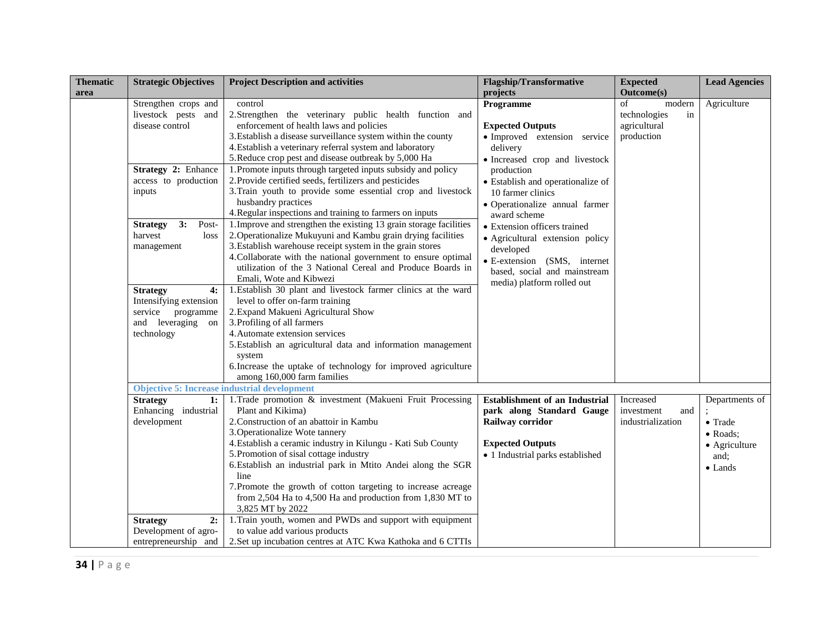| <b>Thematic</b> | <b>Strategic Objectives</b>                                                                                                                                                                                                                                                                              | <b>Project Description and activities</b>                                                                                                                                                                                                                                                                                                                                                                                                                                                                                                                                                                                                                                                                                                                                                                                                                                                                                                                                                                                                                                                                                                                                                                                                                                                                                         | <b>Flagship/Transformative</b>                                                                                                                                                                                                                                                                                                                                                                                                         | <b>Expected</b>                                                                       | <b>Lead Agencies</b>                                                                      |
|-----------------|----------------------------------------------------------------------------------------------------------------------------------------------------------------------------------------------------------------------------------------------------------------------------------------------------------|-----------------------------------------------------------------------------------------------------------------------------------------------------------------------------------------------------------------------------------------------------------------------------------------------------------------------------------------------------------------------------------------------------------------------------------------------------------------------------------------------------------------------------------------------------------------------------------------------------------------------------------------------------------------------------------------------------------------------------------------------------------------------------------------------------------------------------------------------------------------------------------------------------------------------------------------------------------------------------------------------------------------------------------------------------------------------------------------------------------------------------------------------------------------------------------------------------------------------------------------------------------------------------------------------------------------------------------|----------------------------------------------------------------------------------------------------------------------------------------------------------------------------------------------------------------------------------------------------------------------------------------------------------------------------------------------------------------------------------------------------------------------------------------|---------------------------------------------------------------------------------------|-------------------------------------------------------------------------------------------|
| area            | Strengthen crops and<br>livestock pests and<br>disease control<br>Strategy 2: Enhance<br>access to production<br>inputs<br>3:<br><b>Strategy</b><br>Post-<br>harvest<br>loss<br>management<br><b>Strategy</b><br>4:<br>Intensifying extension<br>service programme<br>and leveraging<br>on<br>technology | control<br>2. Strengthen the veterinary public health function and<br>enforcement of health laws and policies<br>3. Establish a disease surveillance system within the county<br>4. Establish a veterinary referral system and laboratory<br>5. Reduce crop pest and disease outbreak by 5,000 Ha<br>1. Promote inputs through targeted inputs subsidy and policy<br>2. Provide certified seeds, fertilizers and pesticides<br>3. Train youth to provide some essential crop and livestock<br>husbandry practices<br>4. Regular inspections and training to farmers on inputs<br>1. Improve and strengthen the existing 13 grain storage facilities<br>2. Operationalize Mukuyuni and Kambu grain drying facilities<br>3. Establish warehouse receipt system in the grain stores<br>4. Collaborate with the national government to ensure optimal<br>utilization of the 3 National Cereal and Produce Boards in<br>Emali, Wote and Kibwezi<br>1. Establish 30 plant and livestock farmer clinics at the ward<br>level to offer on-farm training<br>2. Expand Makueni Agricultural Show<br>3. Profiling of all farmers<br>4. Automate extension services<br>5. Establish an agricultural data and information management<br>system<br>6. Increase the uptake of technology for improved agriculture<br>among 160,000 farm families | projects<br>Programme<br><b>Expected Outputs</b><br>· Improved extension service<br>delivery<br>· Increased crop and livestock<br>production<br>· Establish and operationalize of<br>10 farmer clinics<br>· Operationalize annual farmer<br>award scheme<br>• Extension officers trained<br>· Agricultural extension policy<br>developed<br>· E-extension (SMS, internet<br>based, social and mainstream<br>media) platform rolled out | <b>Outcome(s)</b><br>of<br>modern<br>technologies<br>in<br>agricultural<br>production | Agriculture                                                                               |
|                 | <b>Strategy</b><br>1:<br>Enhancing industrial<br>development<br><b>Strategy</b><br>2:<br>Development of agro-<br>entrepreneurship and                                                                                                                                                                    | <b>Objective 5: Increase industrial development</b><br>1. Trade promotion & investment (Makueni Fruit Processing<br>Plant and Kikima)<br>2. Construction of an abattoir in Kambu<br>3. Operationalize Wote tannery<br>4. Establish a ceramic industry in Kilungu - Kati Sub County<br>5. Promotion of sisal cottage industry<br>6. Establish an industrial park in Mtito Andei along the SGR<br>line<br>7. Promote the growth of cotton targeting to increase acreage<br>from 2,504 Ha to 4,500 Ha and production from 1,830 MT to<br>3,825 MT by 2022<br>1. Train youth, women and PWDs and support with equipment<br>to value add various products<br>2. Set up incubation centres at ATC Kwa Kathoka and 6 CTTIs                                                                                                                                                                                                                                                                                                                                                                                                                                                                                                                                                                                                               | <b>Establishment of an Industrial</b><br>park along Standard Gauge<br>Railway corridor<br><b>Expected Outputs</b><br>· 1 Industrial parks established                                                                                                                                                                                                                                                                                  | Increased<br>investment<br>and<br>industrialization                                   | Departments of<br>$\bullet$ Trade<br>• Roads:<br>• Agriculture<br>and;<br>$\bullet$ Lands |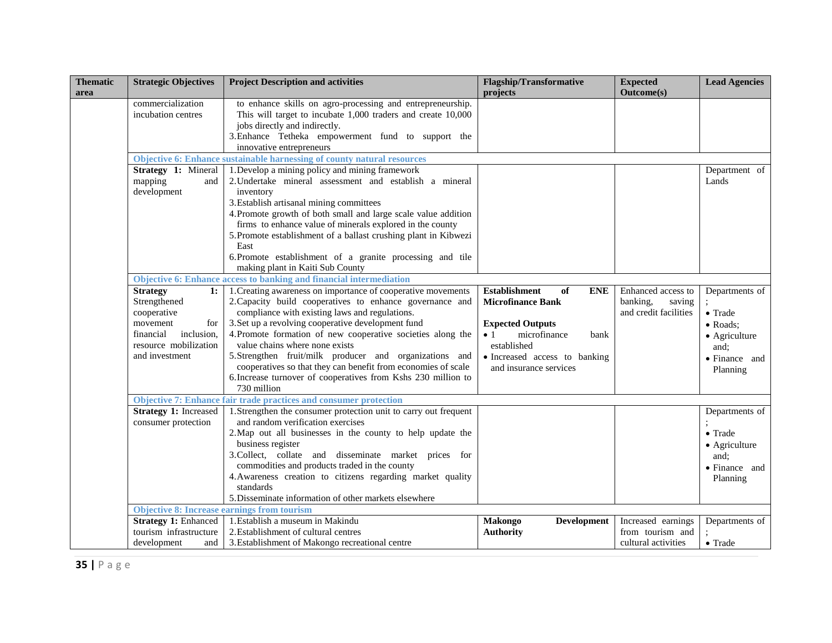| <b>Thematic</b><br>area | <b>Strategic Objectives</b>                                                 | <b>Project Description and activities</b>                                                                                                                                                                                                                                                                                                                                                                                                  | <b>Flagship/Transformative</b><br>projects                                    | <b>Expected</b><br><b>Outcome(s)</b>                              | <b>Lead Agencies</b>                                                                    |
|-------------------------|-----------------------------------------------------------------------------|--------------------------------------------------------------------------------------------------------------------------------------------------------------------------------------------------------------------------------------------------------------------------------------------------------------------------------------------------------------------------------------------------------------------------------------------|-------------------------------------------------------------------------------|-------------------------------------------------------------------|-----------------------------------------------------------------------------------------|
|                         | commercialization<br>incubation centres                                     | to enhance skills on agro-processing and entrepreneurship.<br>This will target to incubate 1,000 traders and create 10,000<br>jobs directly and indirectly.<br>3. Enhance Tetheka empowerment fund to support the<br>innovative entrepreneurs                                                                                                                                                                                              |                                                                               |                                                                   |                                                                                         |
|                         |                                                                             | Objective 6: Enhance sustainable harnessing of county natural resources                                                                                                                                                                                                                                                                                                                                                                    |                                                                               |                                                                   |                                                                                         |
|                         | Strategy 1: Mineral<br>mapping<br>and<br>development                        | 1. Develop a mining policy and mining framework<br>2. Undertake mineral assessment and establish a mineral<br>inventory<br>3. Establish artisanal mining committees<br>4. Promote growth of both small and large scale value addition<br>firms to enhance value of minerals explored in the county<br>5. Promote establishment of a ballast crushing plant in Kibwezi<br>East<br>6. Promote establishment of a granite processing and tile |                                                                               |                                                                   | Department of<br>Lands                                                                  |
|                         |                                                                             | making plant in Kaiti Sub County                                                                                                                                                                                                                                                                                                                                                                                                           |                                                                               |                                                                   |                                                                                         |
|                         |                                                                             | Objective 6: Enhance access to banking and financial intermediation                                                                                                                                                                                                                                                                                                                                                                        |                                                                               |                                                                   |                                                                                         |
|                         | <b>Strategy</b><br>1:<br>Strengthened<br>cooperative                        | 1. Creating awareness on importance of cooperative movements<br>2. Capacity build cooperatives to enhance governance and<br>compliance with existing laws and regulations.                                                                                                                                                                                                                                                                 | <b>Establishment</b><br>of<br><b>ENE</b><br><b>Microfinance Bank</b>          | Enhanced access to<br>banking,<br>saving<br>and credit facilities | Departments of<br>• Trade                                                               |
|                         | movement<br>for<br>inclusion,<br>financial<br>resource mobilization         | 3. Set up a revolving cooperative development fund<br>4. Promote formation of new cooperative societies along the<br>value chains where none exists                                                                                                                                                                                                                                                                                        | <b>Expected Outputs</b><br>microfinance<br>$\bullet$ 1<br>bank<br>established |                                                                   | $\bullet$ Roads:<br>• Agriculture<br>and;                                               |
|                         | and investment                                                              | 5.Strengthen fruit/milk producer and organizations and<br>cooperatives so that they can benefit from economies of scale<br>6. Increase turnover of cooperatives from Kshs 230 million to<br>730 million                                                                                                                                                                                                                                    | · Increased access to banking<br>and insurance services                       |                                                                   | • Finance and<br>Planning                                                               |
|                         |                                                                             | <b>Objective 7: Enhance fair trade practices and consumer protection</b>                                                                                                                                                                                                                                                                                                                                                                   |                                                                               |                                                                   |                                                                                         |
|                         | <b>Strategy 1: Increased</b><br>consumer protection                         | 1. Strengthen the consumer protection unit to carry out frequent<br>and random verification exercises<br>2. Map out all businesses in the county to help update the<br>business register<br>3. Collect, collate and disseminate market prices for<br>commodities and products traded in the county<br>4. Awareness creation to citizens regarding market quality<br>standards                                                              |                                                                               |                                                                   | Departments of<br>$\bullet$ Trade<br>• Agriculture<br>and:<br>• Finance and<br>Planning |
|                         |                                                                             | 5. Disseminate information of other markets elsewhere                                                                                                                                                                                                                                                                                                                                                                                      |                                                                               |                                                                   |                                                                                         |
|                         | <b>Objective 8: Increase earnings from tourism</b>                          |                                                                                                                                                                                                                                                                                                                                                                                                                                            |                                                                               |                                                                   |                                                                                         |
|                         | <b>Strategy 1: Enhanced</b><br>tourism infrastructure<br>development<br>and | 1. Establish a museum in Makindu<br>2. Establishment of cultural centres<br>3. Establishment of Makongo recreational centre                                                                                                                                                                                                                                                                                                                | <b>Makongo</b><br><b>Development</b><br><b>Authority</b>                      | Increased earnings<br>from tourism and<br>cultural activities     | Departments of<br>$\bullet$ Trade                                                       |
|                         |                                                                             |                                                                                                                                                                                                                                                                                                                                                                                                                                            |                                                                               |                                                                   |                                                                                         |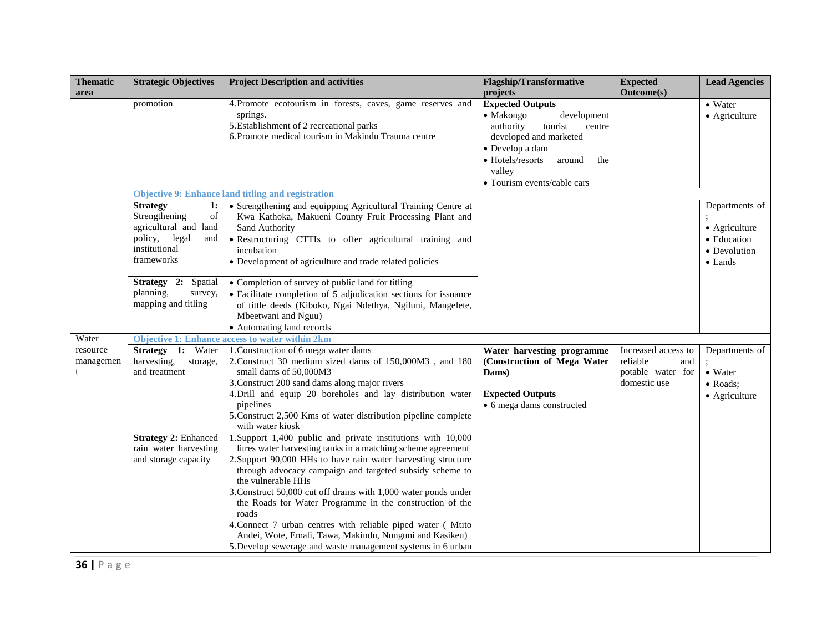| <b>Thematic</b><br>area | <b>Strategic Objectives</b>                                                                                                  | <b>Project Description and activities</b>                                                                                                                                                                                                                                                                                                                                                                                                                                                                                                                                                                        | <b>Flagship/Transformative</b><br>projects                                                                                                                                                                               | <b>Expected</b><br><b>Outcome(s)</b>                                        | <b>Lead Agencies</b>                                                              |
|-------------------------|------------------------------------------------------------------------------------------------------------------------------|------------------------------------------------------------------------------------------------------------------------------------------------------------------------------------------------------------------------------------------------------------------------------------------------------------------------------------------------------------------------------------------------------------------------------------------------------------------------------------------------------------------------------------------------------------------------------------------------------------------|--------------------------------------------------------------------------------------------------------------------------------------------------------------------------------------------------------------------------|-----------------------------------------------------------------------------|-----------------------------------------------------------------------------------|
|                         | promotion                                                                                                                    | 4. Promote ecotourism in forests, caves, game reserves and<br>springs.<br>5. Establishment of 2 recreational parks<br>6. Promote medical tourism in Makindu Trauma centre                                                                                                                                                                                                                                                                                                                                                                                                                                        | <b>Expected Outputs</b><br>development<br>$\bullet$ Makongo<br>authority<br>tourist<br>centre<br>developed and marketed<br>· Develop a dam<br>• Hotels/resorts<br>around<br>the<br>valley<br>· Tourism events/cable cars |                                                                             | $\bullet$ Water<br>• Agriculture                                                  |
|                         |                                                                                                                              | <b>Objective 9: Enhance land titling and registration</b>                                                                                                                                                                                                                                                                                                                                                                                                                                                                                                                                                        |                                                                                                                                                                                                                          |                                                                             |                                                                                   |
|                         | <b>Strategy</b><br>1:<br>Strengthening<br>of<br>agricultural and land<br>policy, legal<br>and<br>institutional<br>frameworks | • Strengthening and equipping Agricultural Training Centre at<br>Kwa Kathoka, Makueni County Fruit Processing Plant and<br>Sand Authority<br>· Restructuring CTTIs to offer agricultural training and<br>incubation<br>• Development of agriculture and trade related policies                                                                                                                                                                                                                                                                                                                                   |                                                                                                                                                                                                                          |                                                                             | Departments of<br>• Agriculture<br>• Education<br>• Devolution<br>$\bullet$ Lands |
|                         | Strategy 2:<br>Spatial<br>planning,<br>survey,<br>mapping and titling                                                        | • Completion of survey of public land for titling<br>• Facilitate completion of 5 adjudication sections for issuance<br>of tittle deeds (Kiboko, Ngai Ndethya, Ngiluni, Mangelete,<br>Mbeetwani and Nguu)<br>• Automating land records                                                                                                                                                                                                                                                                                                                                                                           |                                                                                                                                                                                                                          |                                                                             |                                                                                   |
| Water                   |                                                                                                                              | <b>Objective 1: Enhance access to water within 2km</b>                                                                                                                                                                                                                                                                                                                                                                                                                                                                                                                                                           |                                                                                                                                                                                                                          |                                                                             |                                                                                   |
| resource<br>managemen   | Strategy 1: Water<br>harvesting,<br>storage,<br>and treatment                                                                | 1. Construction of 6 mega water dams<br>2. Construct 30 medium sized dams of 150,000M3, and 180<br>small dams of 50,000M3<br>3. Construct 200 sand dams along major rivers<br>4. Drill and equip 20 boreholes and lay distribution water<br>pipelines<br>5. Construct 2,500 Kms of water distribution pipeline complete<br>with water kiosk                                                                                                                                                                                                                                                                      | Water harvesting programme<br>(Construction of Mega Water<br>Dams)<br><b>Expected Outputs</b><br>• 6 mega dams constructed                                                                                               | Increased access to<br>reliable<br>and<br>potable water for<br>domestic use | Departments of<br>• Water<br>• Roads;<br>• Agriculture                            |
|                         | <b>Strategy 2: Enhanced</b><br>rain water harvesting<br>and storage capacity                                                 | 1. Support 1,400 public and private institutions with 10,000<br>litres water harvesting tanks in a matching scheme agreement<br>2. Support 90,000 HHs to have rain water harvesting structure<br>through advocacy campaign and targeted subsidy scheme to<br>the vulnerable HHs<br>3. Construct 50,000 cut off drains with 1,000 water ponds under<br>the Roads for Water Programme in the construction of the<br>roads<br>4. Connect 7 urban centres with reliable piped water (Mtito<br>Andei, Wote, Emali, Tawa, Makindu, Nunguni and Kasikeu)<br>5. Develop sewerage and waste management systems in 6 urban |                                                                                                                                                                                                                          |                                                                             |                                                                                   |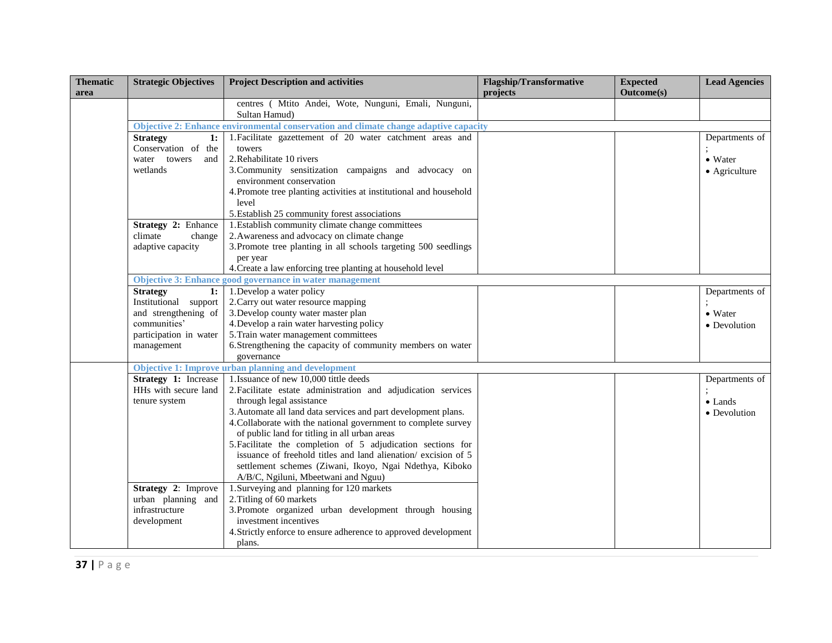| <b>Thematic</b><br>area | <b>Strategic Objectives</b>                    | <b>Project Description and activities</b>                                            | <b>Flagship/Transformative</b><br>projects | <b>Expected</b><br><b>Outcome(s)</b> | <b>Lead Agencies</b> |
|-------------------------|------------------------------------------------|--------------------------------------------------------------------------------------|--------------------------------------------|--------------------------------------|----------------------|
|                         |                                                | centres ( Mtito Andei, Wote, Nunguni, Emali, Nunguni,<br>Sultan Hamud)               |                                            |                                      |                      |
|                         |                                                | Objective 2: Enhance environmental conservation and climate change adaptive capacity |                                            |                                      |                      |
|                         | 1:<br><b>Strategy</b><br>Conservation of the   | 1. Facilitate gazettement of 20 water catchment areas and<br>towers                  |                                            |                                      | Departments of       |
|                         | water towers<br>and                            | 2. Rehabilitate 10 rivers                                                            |                                            |                                      | $\bullet$ Water      |
|                         | wetlands                                       | 3. Community sensitization campaigns and advocacy on                                 |                                            |                                      | • Agriculture        |
|                         |                                                | environment conservation                                                             |                                            |                                      |                      |
|                         |                                                | 4. Promote tree planting activities at institutional and household                   |                                            |                                      |                      |
|                         |                                                | level                                                                                |                                            |                                      |                      |
|                         |                                                | 5. Establish 25 community forest associations                                        |                                            |                                      |                      |
|                         | Strategy 2: Enhance                            | 1. Establish community climate change committees                                     |                                            |                                      |                      |
|                         | climate<br>change                              | 2. Awareness and advocacy on climate change                                          |                                            |                                      |                      |
|                         | adaptive capacity                              | 3. Promote tree planting in all schools targeting 500 seedlings                      |                                            |                                      |                      |
|                         |                                                | per year                                                                             |                                            |                                      |                      |
|                         |                                                | 4. Create a law enforcing tree planting at household level                           |                                            |                                      |                      |
|                         |                                                | Objective 3: Enhance good governance in water management                             |                                            |                                      |                      |
|                         | <b>Strategy</b><br>1:<br>Institutional support | 1. Develop a water policy<br>2. Carry out water resource mapping                     |                                            |                                      | Departments of       |
|                         | and strengthening of                           | 3. Develop county water master plan                                                  |                                            |                                      | $\bullet$ Water      |
|                         | communities'                                   | 4. Develop a rain water harvesting policy                                            |                                            |                                      | • Devolution         |
|                         | participation in water                         | 5. Train water management committees                                                 |                                            |                                      |                      |
|                         | management                                     | 6. Strengthening the capacity of community members on water                          |                                            |                                      |                      |
|                         |                                                | governance                                                                           |                                            |                                      |                      |
|                         |                                                | <b>Objective 1: Improve urban planning and development</b>                           |                                            |                                      |                      |
|                         | <b>Strategy 1:</b> Increase                    | 1. Issuance of new 10,000 tittle deeds                                               |                                            |                                      | Departments of       |
|                         | HHs with secure land                           | 2. Facilitate estate administration and adjudication services                        |                                            |                                      |                      |
|                         | tenure system                                  | through legal assistance                                                             |                                            |                                      | $\bullet$ Lands      |
|                         |                                                | 3. Automate all land data services and part development plans.                       |                                            |                                      | • Devolution         |
|                         |                                                | 4. Collaborate with the national government to complete survey                       |                                            |                                      |                      |
|                         |                                                | of public land for titling in all urban areas                                        |                                            |                                      |                      |
|                         |                                                | 5. Facilitate the completion of 5 adjudication sections for                          |                                            |                                      |                      |
|                         |                                                | issuance of freehold titles and land alienation/excision of 5                        |                                            |                                      |                      |
|                         |                                                | settlement schemes (Ziwani, Ikoyo, Ngai Ndethya, Kiboko                              |                                            |                                      |                      |
|                         |                                                | A/B/C, Ngiluni, Mbeetwani and Nguu)                                                  |                                            |                                      |                      |
|                         | Strategy 2: Improve                            | 1. Surveying and planning for 120 markets                                            |                                            |                                      |                      |
|                         | urban planning and                             | 2. Titling of 60 markets                                                             |                                            |                                      |                      |
|                         | infrastructure                                 | 3. Promote organized urban development through housing                               |                                            |                                      |                      |
|                         | development                                    | investment incentives                                                                |                                            |                                      |                      |
|                         |                                                | 4. Strictly enforce to ensure adherence to approved development                      |                                            |                                      |                      |
|                         |                                                | plans.                                                                               |                                            |                                      |                      |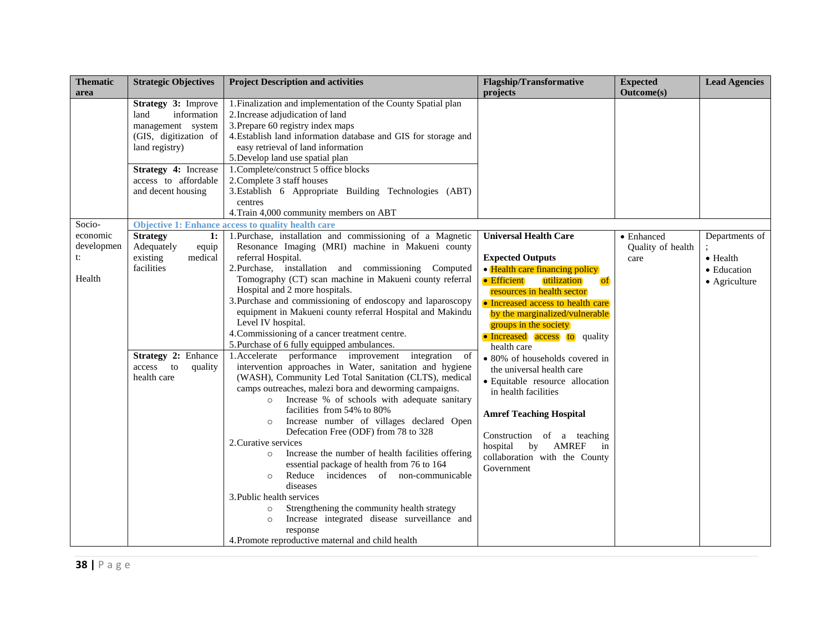|                        |                                                                                                                                                                                                                                                                                                                                                                                                                                                                                                                                                                                                                                                                                                                                                                                                                                                                                                                                                 | <b>Flagship/Transformative</b><br>projects                                                                                                                                                                                                                                                                                                                                                                                                                                                                                                                                                                                                                                                                                                                                                                                                                                                                                                                                               | <b>Expected</b><br><b>Outcome(s)</b>    | <b>Lead Agencies</b>                                               |
|------------------------|-------------------------------------------------------------------------------------------------------------------------------------------------------------------------------------------------------------------------------------------------------------------------------------------------------------------------------------------------------------------------------------------------------------------------------------------------------------------------------------------------------------------------------------------------------------------------------------------------------------------------------------------------------------------------------------------------------------------------------------------------------------------------------------------------------------------------------------------------------------------------------------------------------------------------------------------------|------------------------------------------------------------------------------------------------------------------------------------------------------------------------------------------------------------------------------------------------------------------------------------------------------------------------------------------------------------------------------------------------------------------------------------------------------------------------------------------------------------------------------------------------------------------------------------------------------------------------------------------------------------------------------------------------------------------------------------------------------------------------------------------------------------------------------------------------------------------------------------------------------------------------------------------------------------------------------------------|-----------------------------------------|--------------------------------------------------------------------|
|                        | easy retrieval of land information<br>centres                                                                                                                                                                                                                                                                                                                                                                                                                                                                                                                                                                                                                                                                                                                                                                                                                                                                                                   |                                                                                                                                                                                                                                                                                                                                                                                                                                                                                                                                                                                                                                                                                                                                                                                                                                                                                                                                                                                          |                                         |                                                                    |
|                        |                                                                                                                                                                                                                                                                                                                                                                                                                                                                                                                                                                                                                                                                                                                                                                                                                                                                                                                                                 |                                                                                                                                                                                                                                                                                                                                                                                                                                                                                                                                                                                                                                                                                                                                                                                                                                                                                                                                                                                          |                                         |                                                                    |
| 1:<br>equip<br>quality | Resonance Imaging (MRI) machine in Makueni county<br>referral Hospital.<br>Tomography (CT) scan machine in Makueni county referral<br>Hospital and 2 more hospitals.<br>equipment in Makueni county referral Hospital and Makindu<br>Level IV hospital.<br>intervention approaches in Water, sanitation and hygiene<br>(WASH), Community Led Total Sanitation (CLTS), medical<br>camps outreaches, malezi bora and deworming campaigns.<br>Increase % of schools with adequate sanitary<br>$\circ$<br>facilities from 54% to 80%<br>Increase number of villages declared Open<br>$\circ$<br>Defecation Free (ODF) from 78 to 328<br>Increase the number of health facilities offering<br>$\circ$<br>essential package of health from 76 to 164<br>Reduce incidences of non-communicable<br>$\circ$<br>diseases<br>Strengthening the community health strategy<br>$\circ$<br>Increase integrated disease surveillance and<br>$\circ$<br>response | <b>Expected Outputs</b><br>• Health care financing policy<br>• Efficient<br>utilization<br><b>of</b><br>resources in health sector<br>• Increased access to health care<br>by the marginalized/vulnerable<br>groups in the society<br>• Increased access to quality<br>health care<br>• 80% of households covered in<br>the universal health care<br>· Equitable resource allocation<br>in health facilities<br><b>Amref Teaching Hospital</b><br>Construction of a teaching<br>hospital by<br>AMREF<br>in<br>collaboration with the County<br>Government                                                                                                                                                                                                                                                                                                                                                                                                                                | • Enhanced<br>Quality of health<br>care | Departments of<br>$\bullet$ Health<br>• Education<br>• Agriculture |
|                        | <b>Strategic Objectives</b><br>Strategy 3: Improve<br>information<br>management system<br>(GIS, digitization of<br>Strategy 4: Increase<br>access to affordable<br>and decent housing<br>medical<br>Strategy 2: Enhance                                                                                                                                                                                                                                                                                                                                                                                                                                                                                                                                                                                                                                                                                                                         | <b>Project Description and activities</b><br>1. Finalization and implementation of the County Spatial plan<br>2. Increase adjudication of land<br>3. Prepare 60 registry index maps<br>4. Establish land information database and GIS for storage and<br>5. Develop land use spatial plan<br>1. Complete/construct 5 office blocks<br>2. Complete 3 staff houses<br>3. Establish 6 Appropriate Building Technologies (ABT)<br>4. Train 4,000 community members on ABT<br><b>Objective 1: Enhance access to quality health care</b><br>1. Purchase, installation and commissioning of a Magnetic<br>2. Purchase, installation and commissioning Computed<br>3. Purchase and commissioning of endoscopy and laparoscopy<br>4. Commissioning of a cancer treatment centre.<br>5. Purchase of 6 fully equipped ambulances.<br>1. Accelerate performance improvement integration of<br>2. Curative services<br>3. Public health services<br>4. Promote reproductive maternal and child health | <b>Universal Health Care</b>            |                                                                    |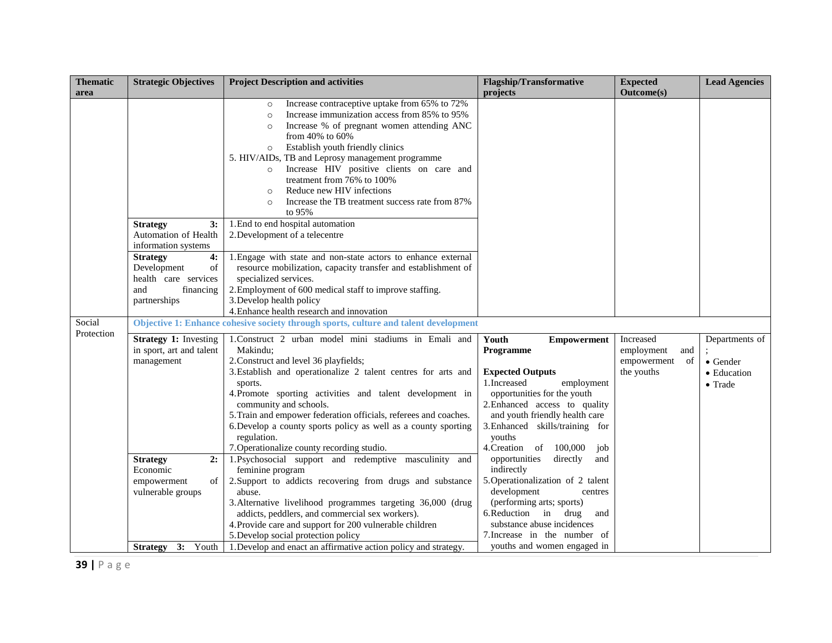| <b>Thematic</b><br>area | <b>Strategic Objectives</b>                                                                            | <b>Project Description and activities</b>                                                                                                                                                                                                                                                                                                                                                                                                                                                                                                                                        | <b>Flagship/Transformative</b><br>projects                                                                                                                                                                                                                                       | <b>Expected</b><br><b>Outcome(s)</b>                              | <b>Lead Agencies</b>                                                 |
|-------------------------|--------------------------------------------------------------------------------------------------------|----------------------------------------------------------------------------------------------------------------------------------------------------------------------------------------------------------------------------------------------------------------------------------------------------------------------------------------------------------------------------------------------------------------------------------------------------------------------------------------------------------------------------------------------------------------------------------|----------------------------------------------------------------------------------------------------------------------------------------------------------------------------------------------------------------------------------------------------------------------------------|-------------------------------------------------------------------|----------------------------------------------------------------------|
|                         | 3:<br><b>Strategy</b><br>Automation of Health<br>information systems                                   | Increase contraceptive uptake from 65% to 72%<br>$\circ$<br>Increase immunization access from 85% to 95%<br>$\circ$<br>Increase % of pregnant women attending ANC<br>$\circ$<br>from 40% to 60%<br>Establish youth friendly clinics<br>$\circ$<br>5. HIV/AIDs, TB and Leprosy management programme<br>Increase HIV positive clients on care and<br>$\circ$<br>treatment from 76% to 100%<br>Reduce new HIV infections<br>$\circ$<br>Increase the TB treatment success rate from 87%<br>$\Omega$<br>to 95%<br>1. End to end hospital automation<br>2. Development of a telecentre |                                                                                                                                                                                                                                                                                  |                                                                   |                                                                      |
|                         | <b>Strategy</b><br>4:<br>Development<br>of<br>health care services<br>and<br>financing<br>partnerships | 1. Engage with state and non-state actors to enhance external<br>resource mobilization, capacity transfer and establishment of<br>specialized services.<br>2. Employment of 600 medical staff to improve staffing.<br>3. Develop health policy<br>4. Enhance health research and innovation                                                                                                                                                                                                                                                                                      |                                                                                                                                                                                                                                                                                  |                                                                   |                                                                      |
| Social<br>Protection    |                                                                                                        | Objective 1: Enhance cohesive society through sports, culture and talent development                                                                                                                                                                                                                                                                                                                                                                                                                                                                                             |                                                                                                                                                                                                                                                                                  |                                                                   |                                                                      |
|                         | <b>Strategy 1:</b> Investing<br>in sport, art and talent<br>management                                 | 1. Construct 2 urban model mini stadiums in Emali and<br>Makindu:<br>2. Construct and level 36 playfields;<br>3. Establish and operationalize 2 talent centres for arts and<br>sports.<br>4. Promote sporting activities and talent development in<br>community and schools.<br>5. Train and empower federation officials, referees and coaches.<br>6. Develop a county sports policy as well as a county sporting<br>regulation.<br>7. Operationalize county recording studio.                                                                                                  | Youth<br><b>Empowerment</b><br>Programme<br><b>Expected Outputs</b><br>1.Increased<br>employment<br>opportunities for the youth<br>2. Enhanced access to quality<br>and youth friendly health care<br>3. Enhanced skills/training for<br>youths<br>4. Creation of 100,000<br>job | Increased<br>employment<br>and<br>of<br>empowerment<br>the youths | Departments of<br>$\bullet$ Gender<br>• Education<br>$\bullet$ Trade |
|                         | 2:<br><b>Strategy</b><br>Economic<br>empowerment<br>of<br>vulnerable groups                            | 1. Psychosocial support and redemptive masculinity and<br>feminine program<br>2. Support to addicts recovering from drugs and substance<br>abuse.<br>3. Alternative livelihood programmes targeting 36,000 (drug<br>addicts, peddlers, and commercial sex workers).<br>4. Provide care and support for 200 vulnerable children<br>5. Develop social protection policy                                                                                                                                                                                                            | opportunities<br>directly<br>and<br>indirectly<br>5. Operationalization of 2 talent<br>development<br>centres<br>(performing arts; sports)<br>6. Reduction in drug<br>and<br>substance abuse incidences<br>7. Increase in the number of                                          |                                                                   |                                                                      |
|                         |                                                                                                        | Strategy 3: Youth   1. Develop and enact an affirmative action policy and strategy.                                                                                                                                                                                                                                                                                                                                                                                                                                                                                              | youths and women engaged in                                                                                                                                                                                                                                                      |                                                                   |                                                                      |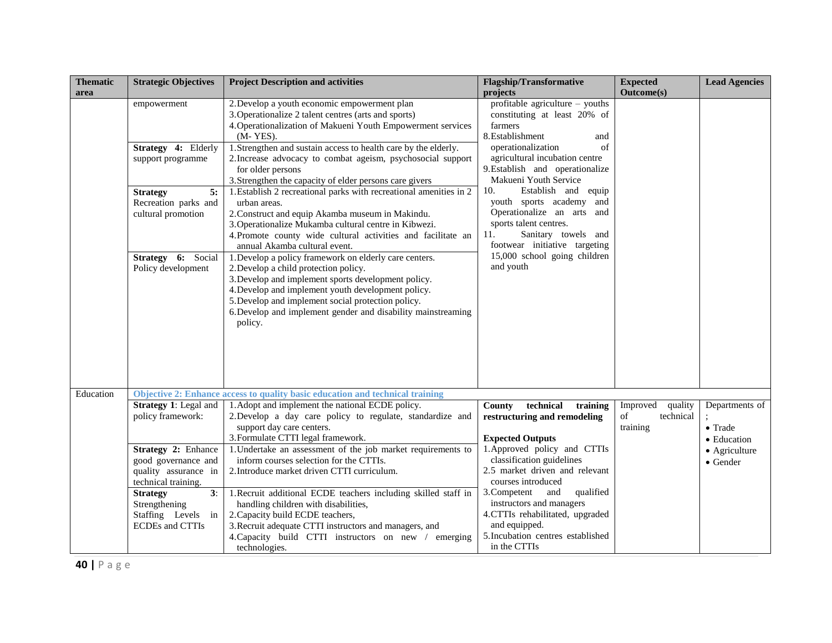| <b>Thematic</b><br>area | <b>Strategic Objectives</b>                                                                                                                                                                       | <b>Project Description and activities</b>                                                                                                                                                                                                                                                                                                                                                                                                                                                                                                                                                                                                                                                                                                                                                                                                                                                                                                                                                                                                                 | <b>Flagship/Transformative</b><br>projects                                                                                                                                                                                                                                                                                                                                                                                                                    | <b>Expected</b><br><b>Outcome(s)</b>               | <b>Lead Agencies</b>                             |
|-------------------------|---------------------------------------------------------------------------------------------------------------------------------------------------------------------------------------------------|-----------------------------------------------------------------------------------------------------------------------------------------------------------------------------------------------------------------------------------------------------------------------------------------------------------------------------------------------------------------------------------------------------------------------------------------------------------------------------------------------------------------------------------------------------------------------------------------------------------------------------------------------------------------------------------------------------------------------------------------------------------------------------------------------------------------------------------------------------------------------------------------------------------------------------------------------------------------------------------------------------------------------------------------------------------|---------------------------------------------------------------------------------------------------------------------------------------------------------------------------------------------------------------------------------------------------------------------------------------------------------------------------------------------------------------------------------------------------------------------------------------------------------------|----------------------------------------------------|--------------------------------------------------|
|                         | empowerment<br>Strategy 4: Elderly<br>support programme<br>5:<br><b>Strategy</b><br>Recreation parks and<br>cultural promotion<br>Strategy 6: Social<br>Policy development                        | 2. Develop a youth economic empowerment plan<br>3. Operationalize 2 talent centres (arts and sports)<br>4. Operationalization of Makueni Youth Empowerment services<br>$(M-YES)$ .<br>1. Strengthen and sustain access to health care by the elderly.<br>2. Increase advocacy to combat ageism, psychosocial support<br>for older persons<br>3. Strengthen the capacity of elder persons care givers<br>1. Establish 2 recreational parks with recreational amenities in 2<br>urban areas.<br>2. Construct and equip Akamba museum in Makindu.<br>3. Operationalize Mukamba cultural centre in Kibwezi.<br>4. Promote county wide cultural activities and facilitate an<br>annual Akamba cultural event.<br>1. Develop a policy framework on elderly care centers.<br>2. Develop a child protection policy.<br>3. Develop and implement sports development policy.<br>4. Develop and implement youth development policy.<br>5. Develop and implement social protection policy.<br>6. Develop and implement gender and disability mainstreaming<br>policy. | profitable agriculture - youths<br>constituting at least 20% of<br>farmers<br>8. Establishment<br>and<br>operationalization<br>of<br>agricultural incubation centre<br>9. Establish and operationalize<br>Makueni Youth Service<br>10.<br>Establish and equip<br>youth sports academy and<br>Operationalize an arts and<br>sports talent centres.<br>Sanitary towels and<br>11.<br>footwear initiative targeting<br>15,000 school going children<br>and youth |                                                    |                                                  |
| Education               | Strategy 1: Legal and<br>policy framework:                                                                                                                                                        | Objective 2: Enhance access to quality basic education and technical training<br>1. Adopt and implement the national ECDE policy.<br>2. Develop a day care policy to regulate, standardize and<br>support day care centers.<br>3. Formulate CTTI legal framework.                                                                                                                                                                                                                                                                                                                                                                                                                                                                                                                                                                                                                                                                                                                                                                                         | County<br>technical<br>training<br>restructuring and remodeling<br><b>Expected Outputs</b>                                                                                                                                                                                                                                                                                                                                                                    | Improved<br>quality<br>of<br>technical<br>training | Departments of<br>$\bullet$ Trade<br>• Education |
|                         | Strategy 2: Enhance<br>good governance and<br>quality assurance in<br>technical training.<br>$\overline{3}$ :<br><b>Strategy</b><br>Strengthening<br>Staffing Levels in<br><b>ECDEs</b> and CTTIs | 1. Undertake an assessment of the job market requirements to<br>inform courses selection for the CTTIs.<br>2. Introduce market driven CTTI curriculum.<br>1. Recruit additional ECDE teachers including skilled staff in<br>handling children with disabilities,<br>2. Capacity build ECDE teachers,<br>3. Recruit adequate CTTI instructors and managers, and<br>4. Capacity build CTTI instructors on new / emerging<br>technologies.                                                                                                                                                                                                                                                                                                                                                                                                                                                                                                                                                                                                                   | 1. Approved policy and CTTIs<br>classification guidelines<br>2.5 market driven and relevant<br>courses introduced<br>3. Competent<br>and<br>qualified<br>instructors and managers<br>4.CTTIs rehabilitated, upgraded<br>and equipped.<br>5. Incubation centres established<br>in the CTTIs                                                                                                                                                                    |                                                    | • Agriculture<br>$\bullet$ Gender                |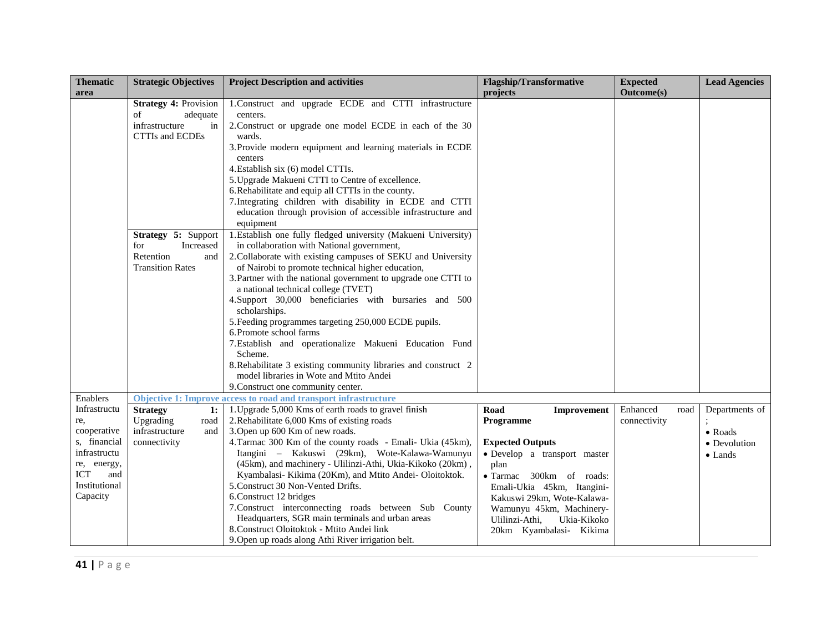| <b>Thematic</b><br>area                                                                                                      | <b>Strategic Objectives</b>                                                                                                                                                                | <b>Project Description and activities</b>                                                                                                                                                                                                                                                                                                                                                                                                                                                                                                                                                                                                                                                                                                                                                                                                                                                                        | <b>Flagship/Transformative</b><br>projects                                                                                                                                                                                                                                          | <b>Expected</b><br><b>Outcome(s)</b> | <b>Lead Agencies</b>                                         |
|------------------------------------------------------------------------------------------------------------------------------|--------------------------------------------------------------------------------------------------------------------------------------------------------------------------------------------|------------------------------------------------------------------------------------------------------------------------------------------------------------------------------------------------------------------------------------------------------------------------------------------------------------------------------------------------------------------------------------------------------------------------------------------------------------------------------------------------------------------------------------------------------------------------------------------------------------------------------------------------------------------------------------------------------------------------------------------------------------------------------------------------------------------------------------------------------------------------------------------------------------------|-------------------------------------------------------------------------------------------------------------------------------------------------------------------------------------------------------------------------------------------------------------------------------------|--------------------------------------|--------------------------------------------------------------|
|                                                                                                                              | <b>Strategy 4: Provision</b><br>of<br>adequate<br>infrastructure<br>in<br><b>CTTIs and ECDEs</b><br>Strategy 5: Support<br>Increased<br>for<br>Retention<br>and<br><b>Transition Rates</b> | 1. Construct and upgrade ECDE and CTTI infrastructure<br>centers.<br>2. Construct or upgrade one model ECDE in each of the 30<br>wards.<br>3. Provide modern equipment and learning materials in ECDE<br>centers<br>4. Establish six (6) model CTTIs.<br>5. Upgrade Makueni CTTI to Centre of excellence.<br>6. Rehabilitate and equip all CTTIs in the county.<br>7. Integrating children with disability in ECDE and CTTI<br>education through provision of accessible infrastructure and<br>equipment<br>1. Establish one fully fledged university (Makueni University)<br>in collaboration with National government,<br>2. Collaborate with existing campuses of SEKU and University<br>of Nairobi to promote technical higher education,<br>3. Partner with the national government to upgrade one CTTI to<br>a national technical college (TVET)<br>4. Support 30,000 beneficiaries with bursaries and 500 |                                                                                                                                                                                                                                                                                     |                                      |                                                              |
|                                                                                                                              |                                                                                                                                                                                            | scholarships.<br>5. Feeding programmes targeting 250,000 ECDE pupils.<br>6. Promote school farms<br>7. Establish and operationalize Makueni Education Fund<br>Scheme.<br>8. Rehabilitate 3 existing community libraries and construct 2<br>model libraries in Wote and Mtito Andei<br>9. Construct one community center.                                                                                                                                                                                                                                                                                                                                                                                                                                                                                                                                                                                         |                                                                                                                                                                                                                                                                                     |                                      |                                                              |
| Enablers                                                                                                                     |                                                                                                                                                                                            | Objective 1: Improve access to road and transport infrastructure                                                                                                                                                                                                                                                                                                                                                                                                                                                                                                                                                                                                                                                                                                                                                                                                                                                 |                                                                                                                                                                                                                                                                                     |                                      |                                                              |
| Infrastructu<br>re,<br>cooperative<br>s, financial<br>infrastructu<br>re, energy,<br>ICT<br>and<br>Institutional<br>Capacity | <b>Strategy</b><br>1:<br>Upgrading<br>road<br>infrastructure<br>and<br>connectivity                                                                                                        | 1. Upgrade 5,000 Kms of earth roads to gravel finish<br>2. Rehabilitate 6,000 Kms of existing roads<br>3. Open up 600 Km of new roads.<br>4. Tarmac 300 Km of the county roads - Emali- Ukia (45km),<br>Itangini - Kakuswi (29km), Wote-Kalawa-Wamunyu<br>(45km), and machinery - Ulilinzi-Athi, Ukia-Kikoko (20km),<br>Kyambalasi- Kikima (20Km), and Mtito Andei-Oloitoktok.<br>5. Construct 30 Non-Vented Drifts.<br>6. Construct 12 bridges<br>7. Construct interconnecting roads between Sub County<br>Headquarters, SGR main terminals and urban areas<br>8. Construct Oloitoktok - Mtito Andei link<br>9. Open up roads along Athi River irrigation belt.                                                                                                                                                                                                                                                 | Road<br>Improvement<br>Programme<br><b>Expected Outputs</b><br>· Develop a transport master<br>plan<br>• Tarmac 300km of roads:<br>Emali-Ukia 45km, Itangini-<br>Kakuswi 29km, Wote-Kalawa-<br>Wamunyu 45km, Machinery-<br>Ukia-Kikoko<br>Ulilinzi-Athi,<br>20km Kyambalasi- Kikima | Enhanced<br>road<br>connectivity     | Departments of<br>• Roads<br>• Devolution<br>$\bullet$ Lands |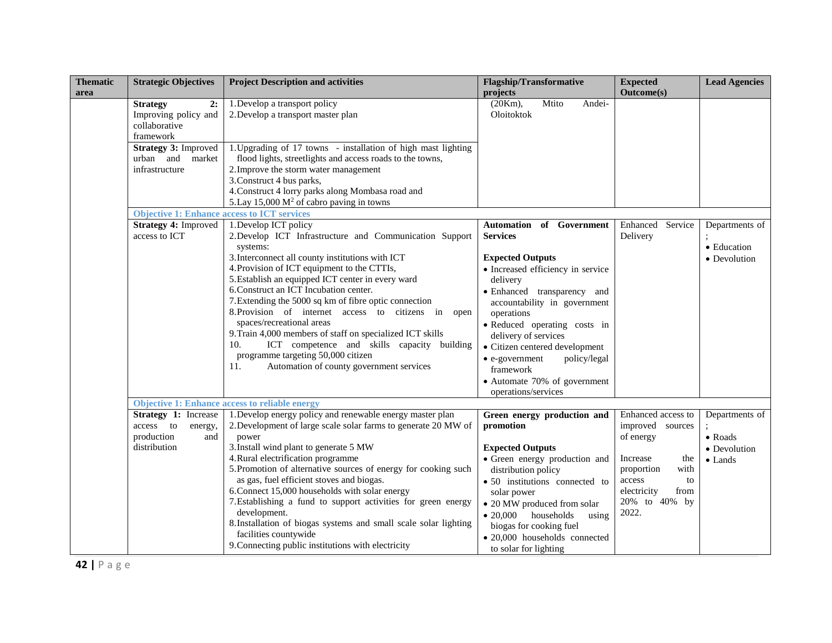| <b>Thematic</b><br>area                                    | <b>Strategic Objectives</b>                                                                                                                      | <b>Project Description and activities</b>                                                                                                                                                                                                                                                                                                                                                                                                                                                                                                                                                                                                 | <b>Flagship/Transformative</b><br>projects                                                                                                                                                                                                                                                                                                                                                                             | <b>Expected</b><br><b>Outcome(s)</b>                                                                                                                          | <b>Lead Agencies</b>                                                 |
|------------------------------------------------------------|--------------------------------------------------------------------------------------------------------------------------------------------------|-------------------------------------------------------------------------------------------------------------------------------------------------------------------------------------------------------------------------------------------------------------------------------------------------------------------------------------------------------------------------------------------------------------------------------------------------------------------------------------------------------------------------------------------------------------------------------------------------------------------------------------------|------------------------------------------------------------------------------------------------------------------------------------------------------------------------------------------------------------------------------------------------------------------------------------------------------------------------------------------------------------------------------------------------------------------------|---------------------------------------------------------------------------------------------------------------------------------------------------------------|----------------------------------------------------------------------|
|                                                            | 2:<br><b>Strategy</b><br>Improving policy and<br>collaborative<br>framework<br><b>Strategy 3: Improved</b><br>urban and market<br>infrastructure | 1. Develop a transport policy<br>2. Develop a transport master plan<br>1. Upgrading of 17 towns - installation of high mast lighting<br>flood lights, streetlights and access roads to the towns,<br>2. Improve the storm water management<br>3. Construct 4 bus parks,<br>4. Construct 4 lorry parks along Mombasa road and<br>5. Lay 15,000 $M^2$ of cabro paving in towns                                                                                                                                                                                                                                                              | $(20Km)$ ,<br>Mtito<br>Andei-<br>Oloitoktok                                                                                                                                                                                                                                                                                                                                                                            |                                                                                                                                                               |                                                                      |
|                                                            | <b>Objective 1: Enhance access to ICT services</b>                                                                                               |                                                                                                                                                                                                                                                                                                                                                                                                                                                                                                                                                                                                                                           |                                                                                                                                                                                                                                                                                                                                                                                                                        |                                                                                                                                                               |                                                                      |
| <b>Strategy 4: Improved</b><br>access to ICT<br>10.<br>11. |                                                                                                                                                  | 1. Develop ICT policy<br>2. Develop ICT Infrastructure and Communication Support<br>systems:<br>3. Interconnect all county institutions with ICT<br>4. Provision of ICT equipment to the CTTIs,<br>5. Establish an equipped ICT center in every ward<br>6. Construct an ICT Incubation center.<br>7. Extending the 5000 sq km of fibre optic connection<br>8. Provision of internet access to citizens in open<br>spaces/recreational areas<br>9. Train 4,000 members of staff on specialized ICT skills<br>ICT competence and skills capacity building<br>programme targeting 50,000 citizen<br>Automation of county government services | of Government<br><b>Automation</b><br><b>Services</b><br><b>Expected Outputs</b><br>• Increased efficiency in service<br>delivery<br>· Enhanced transparency and<br>accountability in government<br>operations<br>· Reduced operating costs in<br>delivery of services<br>• Citizen centered development<br>$\bullet$ e-government<br>policy/legal<br>framework<br>• Automate 70% of government<br>operations/services | Enhanced Service<br>Delivery                                                                                                                                  | Departments of<br>• Education<br>• Devolution                        |
|                                                            |                                                                                                                                                  | <b>Objective 1: Enhance access to reliable energy</b>                                                                                                                                                                                                                                                                                                                                                                                                                                                                                                                                                                                     |                                                                                                                                                                                                                                                                                                                                                                                                                        |                                                                                                                                                               |                                                                      |
|                                                            | Strategy 1: Increase<br>access to<br>energy,<br>production<br>and<br>distribution                                                                | 1. Develop energy policy and renewable energy master plan<br>2. Development of large scale solar farms to generate 20 MW of<br>power<br>3. Install wind plant to generate 5 MW<br>4. Rural electrification programme<br>5. Promotion of alternative sources of energy for cooking such<br>as gas, fuel efficient stoves and biogas.<br>6. Connect 15,000 households with solar energy<br>7. Establishing a fund to support activities for green energy<br>development.<br>8. Installation of biogas systems and small scale solar lighting<br>facilities countywide<br>9. Connecting public institutions with electricity                 | Green energy production and<br>promotion<br><b>Expected Outputs</b><br>· Green energy production and<br>distribution policy<br>• 50 institutions connected to<br>solar power<br>• 20 MW produced from solar<br>· 20,000 households<br>using<br>biogas for cooking fuel<br>· 20,000 households connected<br>to solar for lighting                                                                                       | Enhanced access to<br>improved sources<br>of energy<br>Increase<br>the<br>proportion<br>with<br>access<br>to<br>electricity<br>from<br>20% to 40% by<br>2022. | Departments of<br>$\bullet$ Roads<br>• Devolution<br>$\bullet$ Lands |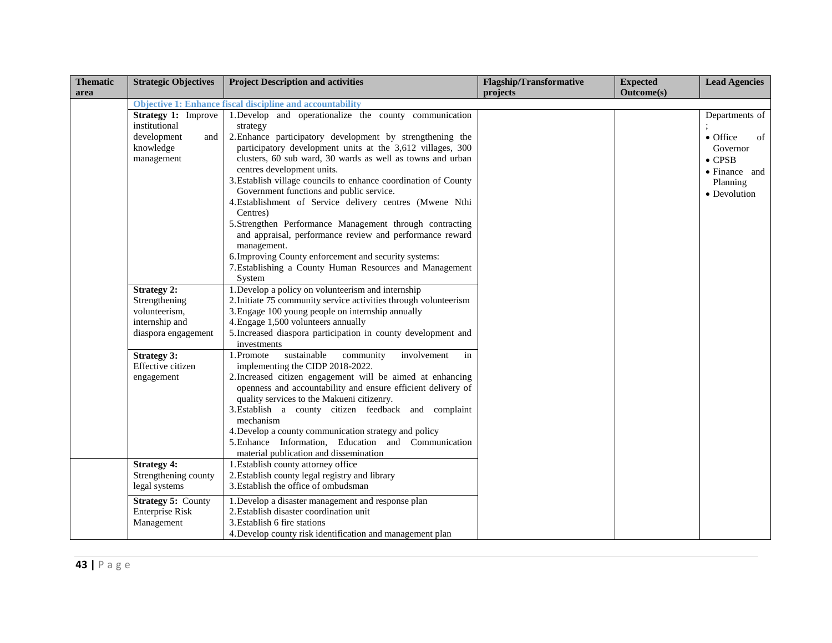| <b>Thematic</b><br>area | <b>Strategic Objectives</b>                                                                                                                            | <b>Project Description and activities</b>                                                                                                                                                                                                                                                                                                                                                                                                                                                                                                                                                                                                                                                                                                                             | <b>Flagship/Transformative</b><br>projects | <b>Expected</b><br><b>Outcome(s)</b> | <b>Lead Agencies</b>                                                                                        |
|-------------------------|--------------------------------------------------------------------------------------------------------------------------------------------------------|-----------------------------------------------------------------------------------------------------------------------------------------------------------------------------------------------------------------------------------------------------------------------------------------------------------------------------------------------------------------------------------------------------------------------------------------------------------------------------------------------------------------------------------------------------------------------------------------------------------------------------------------------------------------------------------------------------------------------------------------------------------------------|--------------------------------------------|--------------------------------------|-------------------------------------------------------------------------------------------------------------|
|                         |                                                                                                                                                        | <b>Objective 1: Enhance fiscal discipline and accountability</b>                                                                                                                                                                                                                                                                                                                                                                                                                                                                                                                                                                                                                                                                                                      |                                            |                                      |                                                                                                             |
|                         | <b>Strategy 1: Improve</b><br>institutional<br>development<br>and<br>knowledge<br>management                                                           | 1. Develop and operationalize the county communication<br>strategy<br>2. Enhance participatory development by strengthening the<br>participatory development units at the 3,612 villages, 300<br>clusters, 60 sub ward, 30 wards as well as towns and urban<br>centres development units.<br>3. Establish village councils to enhance coordination of County<br>Government functions and public service.<br>4. Establishment of Service delivery centres (Mwene Nthi<br>Centres)<br>5.Strengthen Performance Management through contracting<br>and appraisal, performance review and performance reward<br>management.<br>6. Improving County enforcement and security systems:                                                                                       |                                            |                                      | Departments of<br>• Office<br>of<br>Governor<br>$\bullet$ CPSB<br>• Finance and<br>Planning<br>• Devolution |
|                         |                                                                                                                                                        | 7. Establishing a County Human Resources and Management<br>System                                                                                                                                                                                                                                                                                                                                                                                                                                                                                                                                                                                                                                                                                                     |                                            |                                      |                                                                                                             |
|                         | <b>Strategy 2:</b><br>Strengthening<br>volunteerism,<br>internship and<br>diaspora engagement<br><b>Strategy 3:</b><br>Effective citizen<br>engagement | 1. Develop a policy on volunteerism and internship<br>2. Initiate 75 community service activities through volunteerism<br>3. Engage 100 young people on internship annually<br>4. Engage 1,500 volunteers annually<br>5. Increased diaspora participation in county development and<br>investments<br>sustainable<br>1.Promote<br>community<br>involvement<br>in<br>implementing the CIDP 2018-2022.<br>2. Increased citizen engagement will be aimed at enhancing<br>openness and accountability and ensure efficient delivery of<br>quality services to the Makueni citizenry.<br>3. Establish a county citizen feedback and complaint<br>mechanism<br>4. Develop a county communication strategy and policy<br>5. Enhance Information, Education and Communication |                                            |                                      |                                                                                                             |
|                         |                                                                                                                                                        | material publication and dissemination                                                                                                                                                                                                                                                                                                                                                                                                                                                                                                                                                                                                                                                                                                                                |                                            |                                      |                                                                                                             |
|                         | <b>Strategy 4:</b><br>Strengthening county<br>legal systems<br><b>Strategy 5: County</b><br><b>Enterprise Risk</b>                                     | 1. Establish county attorney office<br>2. Establish county legal registry and library<br>3. Establish the office of ombudsman<br>1. Develop a disaster management and response plan<br>2. Establish disaster coordination unit                                                                                                                                                                                                                                                                                                                                                                                                                                                                                                                                        |                                            |                                      |                                                                                                             |
|                         | Management                                                                                                                                             | 3. Establish 6 fire stations<br>4. Develop county risk identification and management plan                                                                                                                                                                                                                                                                                                                                                                                                                                                                                                                                                                                                                                                                             |                                            |                                      |                                                                                                             |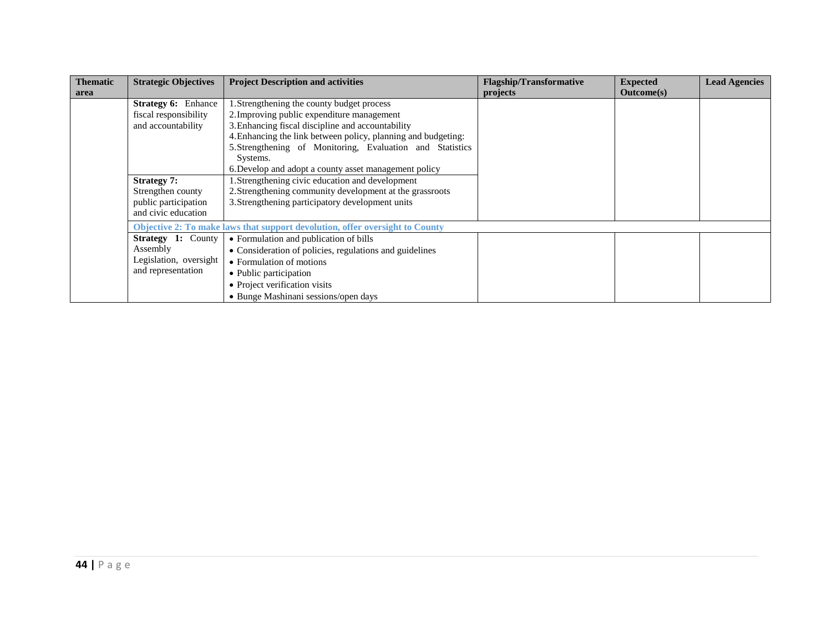| <b>Thematic</b> | <b>Strategic Objectives</b> | <b>Project Description and activities</b>                                    | <b>Flagship/Transformative</b> | <b>Expected</b>   | <b>Lead Agencies</b> |
|-----------------|-----------------------------|------------------------------------------------------------------------------|--------------------------------|-------------------|----------------------|
| area            |                             |                                                                              | projects                       | <b>Outcome(s)</b> |                      |
|                 | <b>Strategy 6: Enhance</b>  | 1. Strengthening the county budget process                                   |                                |                   |                      |
|                 | fiscal responsibility       | 2. Improving public expenditure management                                   |                                |                   |                      |
|                 | and accountability          | 3. Enhancing fiscal discipline and accountability                            |                                |                   |                      |
|                 |                             | 4. Enhancing the link between policy, planning and budgeting:                |                                |                   |                      |
|                 |                             | 5. Strengthening of Monitoring, Evaluation and Statistics                    |                                |                   |                      |
|                 |                             | Systems.                                                                     |                                |                   |                      |
|                 |                             | 6. Develop and adopt a county asset management policy                        |                                |                   |                      |
|                 | <b>Strategy 7:</b>          | 1. Strengthening civic education and development                             |                                |                   |                      |
|                 | Strengthen county           | 2. Strengthening community development at the grassroots                     |                                |                   |                      |
|                 | public participation        | 3. Strengthening participatory development units                             |                                |                   |                      |
|                 | and civic education         |                                                                              |                                |                   |                      |
|                 |                             | Objective 2: To make laws that support devolution, offer oversight to County |                                |                   |                      |
|                 | <b>Strategy 1: County</b>   | • Formulation and publication of bills                                       |                                |                   |                      |
|                 | Assembly                    | • Consideration of policies, regulations and guidelines                      |                                |                   |                      |
|                 | Legislation, oversight      | • Formulation of motions                                                     |                                |                   |                      |
|                 | and representation          | • Public participation                                                       |                                |                   |                      |
|                 |                             | • Project verification visits                                                |                                |                   |                      |
|                 |                             | • Bunge Mashinani sessions/open days                                         |                                |                   |                      |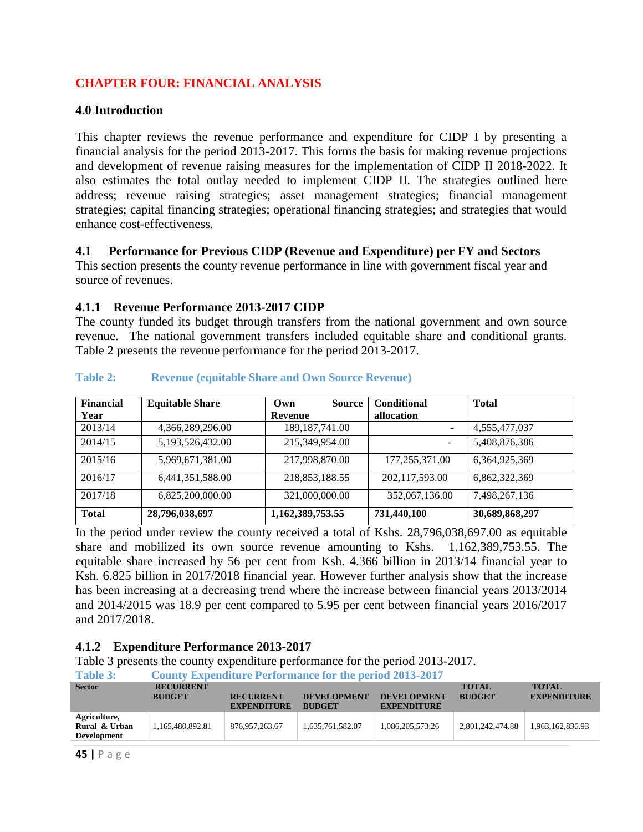## <span id="page-44-0"></span>**CHAPTER FOUR: FINANCIAL ANALYSIS**

#### <span id="page-44-1"></span>**4.0 Introduction**

This chapter reviews the revenue performance and expenditure for CIDP I by presenting a financial analysis for the period 2013-2017. This forms the basis for making revenue projections and development of revenue raising measures for the implementation of CIDP II 2018-2022. It also estimates the total outlay needed to implement CIDP II. The strategies outlined here address; revenue raising strategies; asset management strategies; financial management strategies; capital financing strategies; operational financing strategies; and strategies that would enhance cost-effectiveness.

#### <span id="page-44-2"></span>**4.1 Performance for Previous CIDP (Revenue and Expenditure) per FY and Sectors**

This section presents the county revenue performance in line with government fiscal year and source of revenues.

#### <span id="page-44-3"></span>**4.1.1 Revenue Performance 2013-2017 CIDP**

The county funded its budget through transfers from the national government and own source revenue. The national government transfers included equitable share and conditional grants. Table 2 presents the revenue performance for the period 2013-2017.

| <b>Financial</b> | <b>Equitable Share</b> | <b>Source</b><br>Own | <b>Conditional</b>       | <b>Total</b>   |
|------------------|------------------------|----------------------|--------------------------|----------------|
| Year             |                        | Revenue              | allocation               |                |
| 2013/14          | 4,366,289,296.00       | 189, 187, 741.00     |                          | 4,555,477,037  |
| 2014/15          | 5,193,526,432.00       | 215,349,954.00       | $\overline{\phantom{a}}$ | 5,408,876,386  |
| 2015/16          | 5,969,671,381.00       | 217,998,870.00       | 177,255,371.00           | 6,364,925,369  |
| 2016/17          | 6,441,351,588.00       | 218,853,188.55       | 202,117,593.00           | 6,862,322,369  |
| 2017/18          | 6,825,200,000.00       | 321,000,000.00       | 352,067,136.00           | 7,498,267,136  |
| <b>Total</b>     | 28,796,038,697         | 1,162,389,753.55     | 731,440,100              | 30,689,868,297 |

#### <span id="page-44-5"></span>**Table 2: Revenue (equitable Share and Own Source Revenue)**

In the period under review the county received a total of Kshs. 28,796,038,697.00 as equitable share and mobilized its own source revenue amounting to Kshs. 1,162,389,753.55. The equitable share increased by 56 per cent from Ksh. 4.366 billion in 2013/14 financial year to Ksh. 6.825 billion in 2017/2018 financial year. However further analysis show that the increase has been increasing at a decreasing trend where the increase between financial years 2013/2014 and 2014/2015 was 18.9 per cent compared to 5.95 per cent between financial years 2016/2017 and 2017/2018.

## <span id="page-44-4"></span>**4.1.2 Expenditure Performance 2013-2017**

Table 3 presents the county expenditure performance for the period 2013-2017.

<span id="page-44-6"></span>

| Table 3:                                     | <b>County Expenditure Performance for the period 2013-2017</b> |                                        |                                     |                                          |                               |                                    |  |  |
|----------------------------------------------|----------------------------------------------------------------|----------------------------------------|-------------------------------------|------------------------------------------|-------------------------------|------------------------------------|--|--|
| <b>Sector</b>                                | <b>RECURRENT</b><br><b>BUDGET</b>                              | <b>RECURRENT</b><br><b>EXPENDITURE</b> | <b>DEVELOPMENT</b><br><b>BUDGET</b> | <b>DEVELOPMENT</b><br><b>EXPENDITURE</b> | <b>TOTAL</b><br><b>BUDGET</b> | <b>TOTAL</b><br><b>EXPENDITURE</b> |  |  |
| Agriculture,<br>Rural & Urban<br>Development | 1,165,480,892.81                                               | 876, 957, 263. 67                      | 1,635,761,582.07                    | 1,086,205,573.26                         | 2,801,242,474.88              | 1,963,162,836.93                   |  |  |
|                                              |                                                                |                                        |                                     |                                          |                               |                                    |  |  |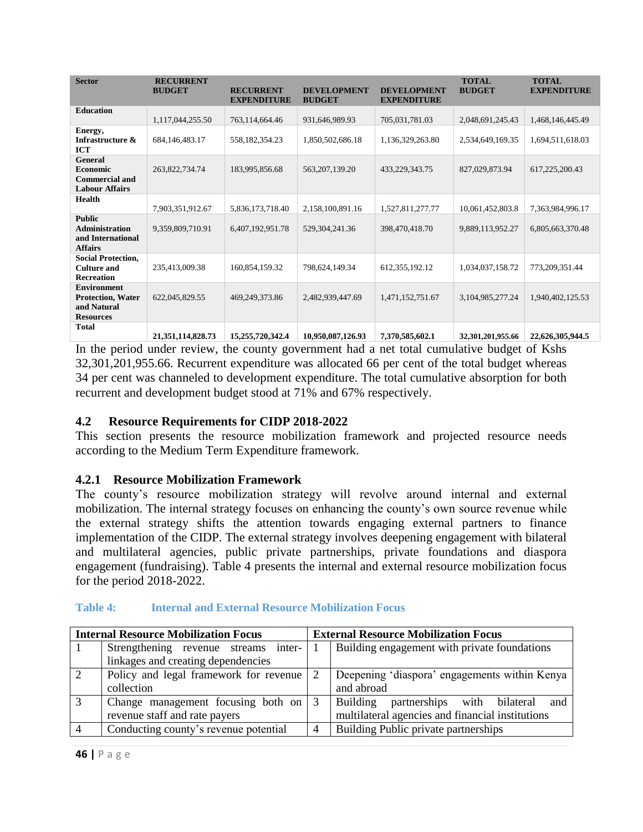| <b>Sector</b>                                                                     | <b>RECURRENT</b><br><b>BUDGET</b> | <b>RECURRENT</b><br><b>EXPENDITURE</b> | <b>DEVELOPMENT</b><br><b>BUDGET</b> | <b>DEVELOPMENT</b><br><b>EXPENDITURE</b> | <b>TOTAL</b><br><b>BUDGET</b> | <b>TOTAL</b><br><b>EXPENDITURE</b> |
|-----------------------------------------------------------------------------------|-----------------------------------|----------------------------------------|-------------------------------------|------------------------------------------|-------------------------------|------------------------------------|
| <b>Education</b>                                                                  | 1,117,044,255.50                  | 763,114,664.46                         | 931,646,989.93                      | 705,031,781.03                           | 2,048,691,245.43              | 1,468,146,445.49                   |
| Energy,<br>Infrastructure &<br><b>ICT</b>                                         | 684, 146, 483. 17                 | 558,182,354.23                         | 1,850,502,686.18                    | 1,136,329,263.80                         | 2,534,649,169.35              | 1,694,511,618.03                   |
| General<br><b>Economic</b><br><b>Commercial and</b><br><b>Labour Affairs</b>      | 263,822,734.74                    | 183,995,856.68                         | 563, 207, 139. 20                   | 433,229,343.75                           | 827,029,873.94                | 617,225,200.43                     |
| <b>Health</b>                                                                     | 7,903,351,912.67                  | 5,836,173,718.40                       | 2,158,100,891.16                    | 1,527,811,277.77                         | 10,061,452,803.8              | 7,363,984,996.17                   |
| <b>Public</b><br><b>Administration</b><br>and International<br><b>Affairs</b>     | 9,359,809,710.91                  | 6,407,192,951.78                       | 529, 304, 241. 36                   | 398,470,418.70                           | 9,889,113,952.27              | 6,805,663,370.48                   |
| <b>Social Protection,</b><br><b>Culture and</b><br>Recreation                     | 235,413,009.38                    | 160,854,159.32                         | 798,624,149.34                      | 612, 355, 192. 12                        | 1,034,037,158.72              | 773,209,351.44                     |
| <b>Environment</b><br><b>Protection, Water</b><br>and Natural<br><b>Resources</b> | 622,045,829.55                    | 469, 249, 373.86                       | 2,482,939,447.69                    | 1,471,152,751.67                         | 3,104,985,277.24              | 1,940,402,125.53                   |
| <b>Total</b>                                                                      |                                   |                                        | $10.050000 = 100000$                | $= 200$ $= 200$                          | $A + A + A + A + A + A + A$   | AA CAC AND ALL                     |

**21,351,114,828.73 15,255,720,342.4 10,950,087,126.93 7,370,585,602.1 32,301,201,955.66 22,626,305,944.5**  In the period under review, the county government had a net total cumulative budget of Kshs 32,301,201,955.66. Recurrent expenditure was allocated 66 per cent of the total budget whereas 34 per cent was channeled to development expenditure. The total cumulative absorption for both recurrent and development budget stood at 71% and 67% respectively.

## <span id="page-45-0"></span>**4.2 Resource Requirements for CIDP 2018-2022**

This section presents the resource mobilization framework and projected resource needs according to the Medium Term Expenditure framework.

#### <span id="page-45-1"></span>**4.2.1 Resource Mobilization Framework**

The county's resource mobilization strategy will revolve around internal and external mobilization. The internal strategy focuses on enhancing the county's own source revenue while the external strategy shifts the attention towards engaging external partners to finance implementation of the CIDP. The external strategy involves deepening engagement with bilateral and multilateral agencies, public private partnerships, private foundations and diaspora engagement (fundraising). Table 4 presents the internal and external resource mobilization focus for the period 2018-2022.

| <b>Internal Resource Mobilization Focus</b> |                                        |  | <b>External Resource Mobilization Focus</b>      |
|---------------------------------------------|----------------------------------------|--|--------------------------------------------------|
|                                             | Strengthening revenue streams inter-   |  | Building engagement with private foundations     |
|                                             | linkages and creating dependencies     |  |                                                  |
| 2                                           | Policy and legal framework for revenue |  | Deepening 'diaspora' engagements within Kenya    |
|                                             | collection                             |  | and abroad                                       |
|                                             | Change management focusing both on     |  | Building<br>partnerships with bilateral<br>and   |
|                                             | revenue staff and rate payers          |  | multilateral agencies and financial institutions |
|                                             | Conducting county's revenue potential  |  | Building Public private partnerships             |

<span id="page-45-2"></span>**Table 4: Internal and External Resource Mobilization Focus**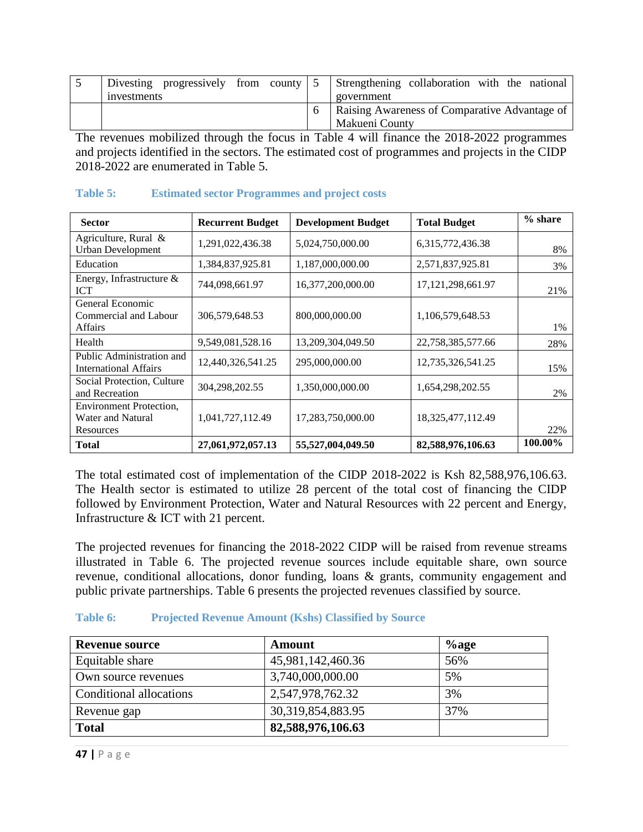| Divesting progressively from county $\vert 5 \rangle$ |  |  |  | Strengthening collaboration with the national |
|-------------------------------------------------------|--|--|--|-----------------------------------------------|
| investments                                           |  |  |  | government                                    |
|                                                       |  |  |  | Raising Awareness of Comparative Advantage of |
|                                                       |  |  |  | Makueni County                                |

The revenues mobilized through the focus in Table 4 will finance the 2018-2022 programmes and projects identified in the sectors. The estimated cost of programmes and projects in the CIDP 2018-2022 are enumerated in Table 5.

#### <span id="page-46-0"></span>**Table 5: Estimated sector Programmes and project costs**

| <b>Sector</b>                                                    | <b>Recurrent Budget</b> | <b>Development Budget</b> | <b>Total Budget</b>   | $%$ share |
|------------------------------------------------------------------|-------------------------|---------------------------|-----------------------|-----------|
| Agriculture, Rural &<br>Urban Development                        | 1,291,022,436.38        | 5,024,750,000.00          | 6,315,772,436.38      | 8%        |
| Education                                                        | 1,384,837,925.81        | 1,187,000,000.00          | 2,571,837,925.81      | 3%        |
| Energy, Infrastructure $\&$<br><b>ICT</b>                        | 744,098,661.97          | 16,377,200,000.00         | 17, 121, 298, 661. 97 | 21%       |
| General Economic<br>Commercial and Labour<br><b>Affairs</b>      | 306,579,648.53          | 800,000,000.00            | 1,106,579,648.53      | $1\%$     |
| Health                                                           | 9,549,081,528.16        | 13,209,304,049.50         | 22,758,385,577.66     | 28%       |
| Public Administration and<br><b>International Affairs</b>        | 12,440,326,541.25       | 295,000,000.00            | 12,735,326,541.25     | 15%       |
| Social Protection, Culture<br>and Recreation                     | 304,298,202.55          | 1,350,000,000.00          | 1,654,298,202.55      | 2%        |
| <b>Environment Protection,</b><br>Water and Natural<br>Resources | 1,041,727,112.49        | 17,283,750,000.00         | 18, 325, 477, 112. 49 | 22%       |
| Total                                                            | 27,061,972,057.13       | 55,527,004,049.50         | 82,588,976,106.63     | 100.00%   |

The total estimated cost of implementation of the CIDP 2018-2022 is Ksh 82,588,976,106.63. The Health sector is estimated to utilize 28 percent of the total cost of financing the CIDP followed by Environment Protection, Water and Natural Resources with 22 percent and Energy, Infrastructure & ICT with 21 percent.

The projected revenues for financing the 2018-2022 CIDP will be raised from revenue streams illustrated in Table 6. The projected revenue sources include equitable share, own source revenue, conditional allocations, donor funding, loans & grants, community engagement and public private partnerships. Table 6 presents the projected revenues classified by source.

#### <span id="page-46-1"></span>**Table 6: Projected Revenue Amount (Kshs) Classified by Source**

| <b>Revenue source</b>   | Amount                | $%$ age |
|-------------------------|-----------------------|---------|
| Equitable share         | 45,981,142,460.36     | 56%     |
| Own source revenues     | 3,740,000,000.00      | 5%      |
| Conditional allocations | 2,547,978,762.32      | 3%      |
| Revenue gap             | 30, 319, 854, 883. 95 | 37%     |
| <b>Total</b>            | 82,588,976,106.63     |         |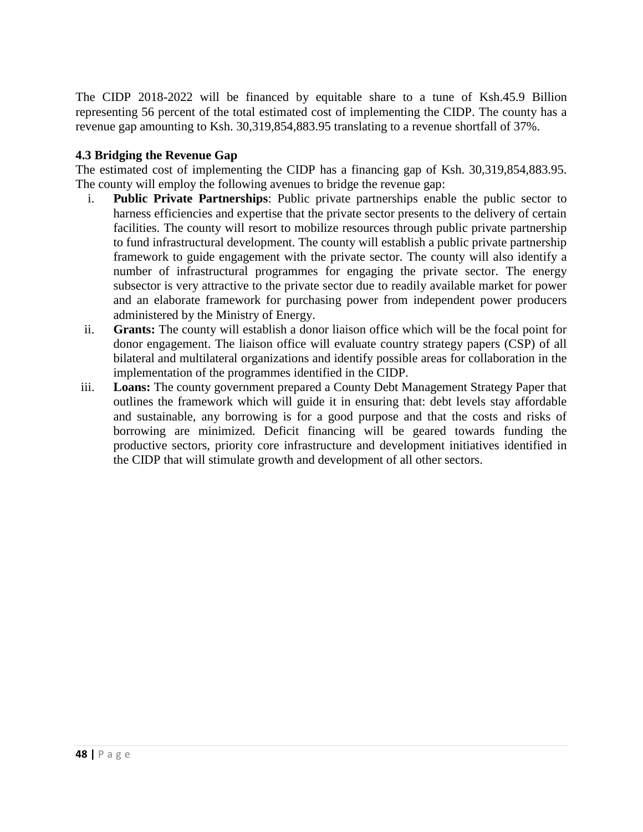The CIDP 2018-2022 will be financed by equitable share to a tune of Ksh.45.9 Billion representing 56 percent of the total estimated cost of implementing the CIDP. The county has a revenue gap amounting to Ksh. 30,319,854,883.95 translating to a revenue shortfall of 37%.

#### <span id="page-47-0"></span>**4.3 Bridging the Revenue Gap**

The estimated cost of implementing the CIDP has a financing gap of Ksh. 30,319,854,883.95. The county will employ the following avenues to bridge the revenue gap:

- i. **Public Private Partnerships**: Public private partnerships enable the public sector to harness efficiencies and expertise that the private sector presents to the delivery of certain facilities. The county will resort to mobilize resources through public private partnership to fund infrastructural development. The county will establish a public private partnership framework to guide engagement with the private sector. The county will also identify a number of infrastructural programmes for engaging the private sector. The energy subsector is very attractive to the private sector due to readily available market for power and an elaborate framework for purchasing power from independent power producers administered by the Ministry of Energy.
- ii. **Grants:** The county will establish a donor liaison office which will be the focal point for donor engagement. The liaison office will evaluate country strategy papers (CSP) of all bilateral and multilateral organizations and identify possible areas for collaboration in the implementation of the programmes identified in the CIDP.
- iii. **Loans:** The county government prepared a County Debt Management Strategy Paper that outlines the framework which will guide it in ensuring that: debt levels stay affordable and sustainable, any borrowing is for a good purpose and that the costs and risks of borrowing are minimized. Deficit financing will be geared towards funding the productive sectors, priority core infrastructure and development initiatives identified in the CIDP that will stimulate growth and development of all other sectors.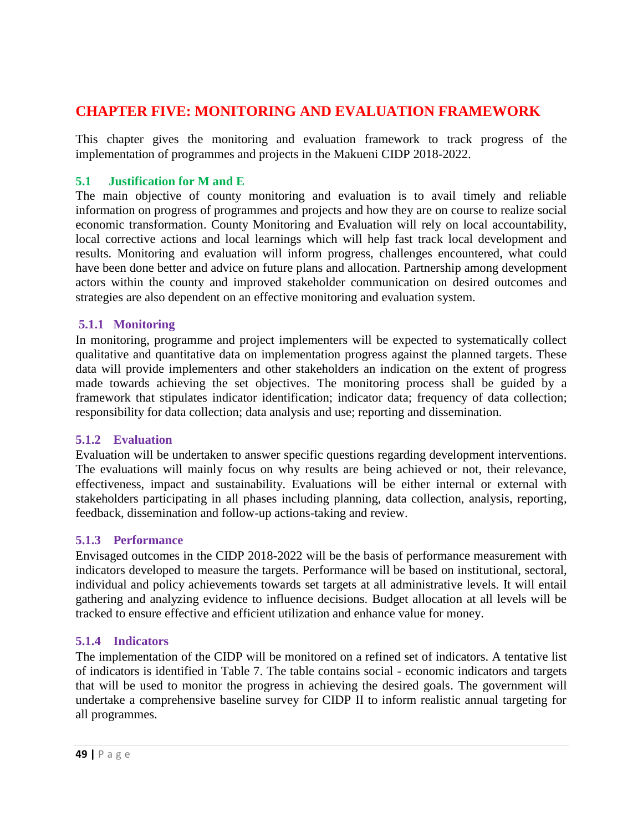# <span id="page-48-0"></span>**CHAPTER FIVE: MONITORING AND EVALUATION FRAMEWORK**

This chapter gives the monitoring and evaluation framework to track progress of the implementation of programmes and projects in the Makueni CIDP 2018-2022.

### <span id="page-48-1"></span>**5.1 Justification for M and E**

The main objective of county monitoring and evaluation is to avail timely and reliable information on progress of programmes and projects and how they are on course to realize social economic transformation. County Monitoring and Evaluation will rely on local accountability, local corrective actions and local learnings which will help fast track local development and results. Monitoring and evaluation will inform progress, challenges encountered, what could have been done better and advice on future plans and allocation. Partnership among development actors within the county and improved stakeholder communication on desired outcomes and strategies are also dependent on an effective monitoring and evaluation system.

#### <span id="page-48-2"></span>**5.1.1 Monitoring**

In monitoring, programme and project implementers will be expected to systematically collect qualitative and quantitative data on implementation progress against the planned targets. These data will provide implementers and other stakeholders an indication on the extent of progress made towards achieving the set objectives. The monitoring process shall be guided by a framework that stipulates indicator identification; indicator data; frequency of data collection; responsibility for data collection; data analysis and use; reporting and dissemination.

## <span id="page-48-3"></span>**5.1.2 Evaluation**

Evaluation will be undertaken to answer specific questions regarding development interventions. The evaluations will mainly focus on why results are being achieved or not, their relevance, effectiveness, impact and sustainability. Evaluations will be either internal or external with stakeholders participating in all phases including planning, data collection, analysis, reporting, feedback, dissemination and follow-up actions-taking and review.

## <span id="page-48-4"></span>**5.1.3 Performance**

Envisaged outcomes in the CIDP 2018-2022 will be the basis of performance measurement with indicators developed to measure the targets. Performance will be based on institutional, sectoral, individual and policy achievements towards set targets at all administrative levels. It will entail gathering and analyzing evidence to influence decisions. Budget allocation at all levels will be tracked to ensure effective and efficient utilization and enhance value for money.

## <span id="page-48-5"></span>**5.1.4 Indicators**

The implementation of the CIDP will be monitored on a refined set of indicators. A tentative list of indicators is identified in Table 7. The table contains social - economic indicators and targets that will be used to monitor the progress in achieving the desired goals. The government will undertake a comprehensive baseline survey for CIDP II to inform realistic annual targeting for all programmes.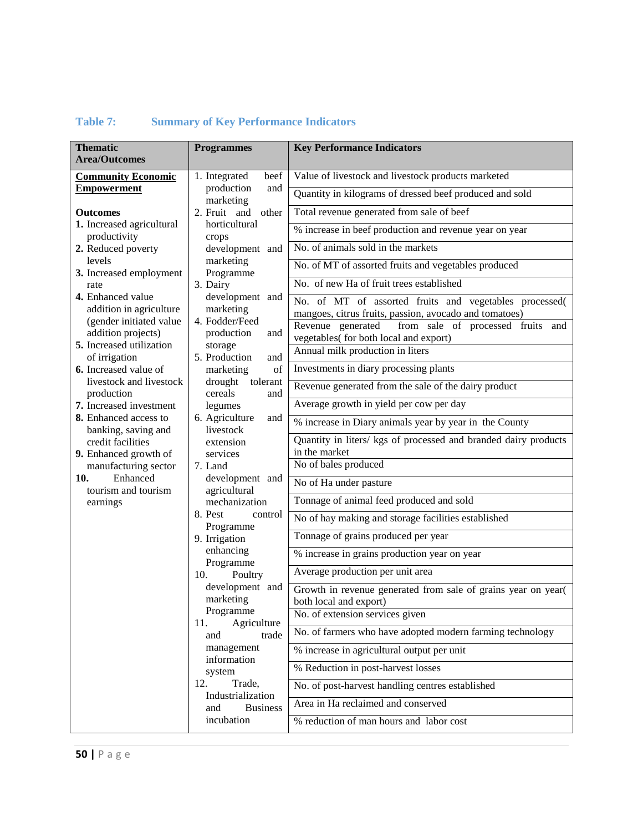| <b>Thematic</b>                                    | <b>Programmes</b>                         | <b>Key Performance Indicators</b>                                                                   |
|----------------------------------------------------|-------------------------------------------|-----------------------------------------------------------------------------------------------------|
| <b>Area/Outcomes</b>                               |                                           |                                                                                                     |
| <b>Community Economic</b>                          | 1. Integrated<br>beef                     | Value of livestock and livestock products marketed                                                  |
| <b>Empowerment</b>                                 | production<br>and<br>marketing            | Quantity in kilograms of dressed beef produced and sold                                             |
| <b>Outcomes</b>                                    | 2. Fruit and<br>other                     | Total revenue generated from sale of beef                                                           |
| 1. Increased agricultural<br>productivity          | horticultural<br>crops<br>development and | % increase in beef production and revenue year on year                                              |
| 2. Reduced poverty                                 |                                           | No. of animals sold in the markets                                                                  |
| levels                                             | marketing<br>Programme                    | No. of MT of assorted fruits and vegetables produced                                                |
| 3. Increased employment<br>rate                    | 3. Dairy                                  | No. of new Ha of fruit trees established                                                            |
| 4. Enhanced value                                  | development and                           | No. of MT of assorted fruits and vegetables processed(                                              |
| addition in agriculture<br>(gender initiated value | marketing<br>4. Fodder/Feed               | mangoes, citrus fruits, passion, avocado and tomatoes)                                              |
| addition projects)                                 | production<br>and                         | Revenue generated<br>from sale of processed fruits<br>and<br>vegetables( for both local and export) |
| 5. Increased utilization<br>of irrigation          | storage<br>5. Production<br>and           | Annual milk production in liters                                                                    |
| 6. Increased value of                              | marketing<br>of                           | Investments in diary processing plants                                                              |
| livestock and livestock<br>production              | drought<br>tolerant<br>cereals<br>and     | Revenue generated from the sale of the dairy product                                                |
| 7. Increased investment                            | legumes                                   | Average growth in yield per cow per day                                                             |
| 8. Enhanced access to<br>banking, saving and       | 6. Agriculture<br>and<br>livestock        | % increase in Diary animals year by year in the County                                              |
| credit facilities                                  | extension                                 | Quantity in liters/ kgs of processed and branded dairy products                                     |
| 9. Enhanced growth of                              | services                                  | in the market                                                                                       |
| manufacturing sector                               | 7. Land                                   | No of bales produced                                                                                |
| Enhanced<br>10.<br>tourism and tourism             | development and<br>agricultural           | No of Ha under pasture                                                                              |
| earnings                                           | mechanization                             | Tonnage of animal feed produced and sold                                                            |
|                                                    | 8. Pest<br>control<br>Programme           | No of hay making and storage facilities established                                                 |
|                                                    | 9. Irrigation                             | Tonnage of grains produced per year                                                                 |
|                                                    | enhancing<br>Programme                    | % increase in grains production year on year                                                        |
|                                                    | 10.<br>Poultry                            | Average production per unit area                                                                    |
|                                                    | development and<br>marketing              | Growth in revenue generated from sale of grains year on year(                                       |
|                                                    | Programme                                 | both local and export)<br>No. of extension services given                                           |
|                                                    | Agriculture<br>11.<br>trade<br>and        | No. of farmers who have adopted modern farming technology                                           |
|                                                    | management                                | % increase in agricultural output per unit                                                          |
|                                                    | information<br>system                     | % Reduction in post-harvest losses                                                                  |
|                                                    | 12.<br>Trade,                             | No. of post-harvest handling centres established                                                    |
|                                                    | Industrialization<br><b>Business</b>      | Area in Ha reclaimed and conserved                                                                  |
|                                                    | and<br>incubation                         | % reduction of man hours and labor cost                                                             |
|                                                    |                                           |                                                                                                     |

## <span id="page-49-0"></span>**Table 7: Summary of Key Performance Indicators**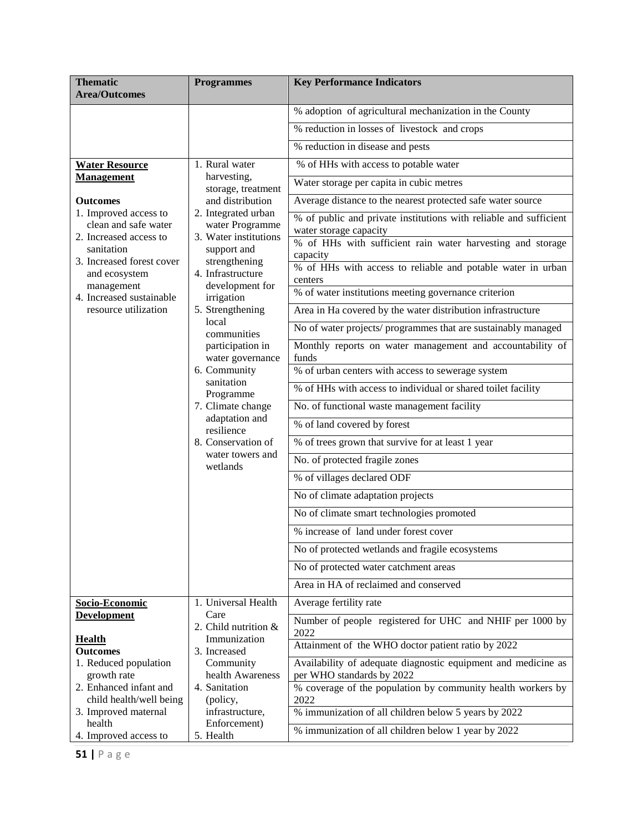| <b>Thematic</b><br><b>Area/Outcomes</b>       | <b>Programmes</b>                                     | <b>Key Performance Indicators</b>                                                        |
|-----------------------------------------------|-------------------------------------------------------|------------------------------------------------------------------------------------------|
|                                               |                                                       | % adoption of agricultural mechanization in the County                                   |
|                                               |                                                       | % reduction in losses of livestock and crops                                             |
|                                               |                                                       | % reduction in disease and pests                                                         |
| <b>Water Resource</b>                         | 1. Rural water                                        | % of HHs with access to potable water                                                    |
| <b>Management</b>                             | harvesting,<br>storage, treatment                     | Water storage per capita in cubic metres                                                 |
| <b>Outcomes</b>                               | and distribution                                      | Average distance to the nearest protected safe water source                              |
| 1. Improved access to<br>clean and safe water | 2. Integrated urban<br>water Programme                | % of public and private institutions with reliable and sufficient                        |
| 2. Increased access to                        | 3. Water institutions                                 | water storage capacity                                                                   |
| sanitation                                    | support and                                           | % of HHs with sufficient rain water harvesting and storage<br>capacity                   |
| 3. Increased forest cover<br>and ecosystem    | strengthening<br>4. Infrastructure<br>development for | % of HHs with access to reliable and potable water in urban<br>centers                   |
| management<br>4. Increased sustainable        | irrigation                                            | % of water institutions meeting governance criterion                                     |
| resource utilization                          | 5. Strengthening                                      | Area in Ha covered by the water distribution infrastructure                              |
|                                               | local<br>communities                                  | No of water projects/ programmes that are sustainably managed                            |
|                                               | participation in<br>water governance                  | Monthly reports on water management and accountability of<br>funds                       |
|                                               | 6. Community                                          | % of urban centers with access to sewerage system                                        |
|                                               | sanitation<br>Programme                               | % of HHs with access to individual or shared toilet facility                             |
|                                               | 7. Climate change                                     | No. of functional waste management facility                                              |
|                                               | adaptation and<br>resilience                          | % of land covered by forest                                                              |
|                                               | 8. Conservation of                                    | % of trees grown that survive for at least 1 year                                        |
|                                               | water towers and<br>wetlands                          | No. of protected fragile zones                                                           |
|                                               |                                                       | % of villages declared ODF                                                               |
|                                               |                                                       | No of climate adaptation projects                                                        |
|                                               |                                                       | No of climate smart technologies promoted                                                |
|                                               |                                                       | % increase of land under forest cover                                                    |
|                                               |                                                       | No of protected wetlands and fragile ecosystems                                          |
|                                               |                                                       | No of protected water catchment areas                                                    |
|                                               | Area in HA of reclaimed and conserved                 |                                                                                          |
| Socio-Economic                                | 1. Universal Health                                   | Average fertility rate                                                                   |
| <b>Development</b>                            | Care<br>2. Child nutrition $&$                        | Number of people registered for UHC and NHIF per 1000 by<br>2022                         |
| <b>Health</b><br><b>Outcomes</b>              | Immunization<br>3. Increased                          | Attainment of the WHO doctor patient ratio by 2022                                       |
| 1. Reduced population                         | Community                                             | Availability of adequate diagnostic equipment and medicine as                            |
| growth rate<br>2. Enhanced infant and         | health Awareness<br>4. Sanitation                     | per WHO standards by 2022<br>% coverage of the population by community health workers by |
| child health/well being                       | (policy,                                              | 2022                                                                                     |
| 3. Improved maternal                          | infrastructure,                                       | % immunization of all children below 5 years by 2022                                     |
| health<br>4. Improved access to               | Enforcement)<br>5. Health                             | % immunization of all children below 1 year by 2022                                      |

**51 |** P a g e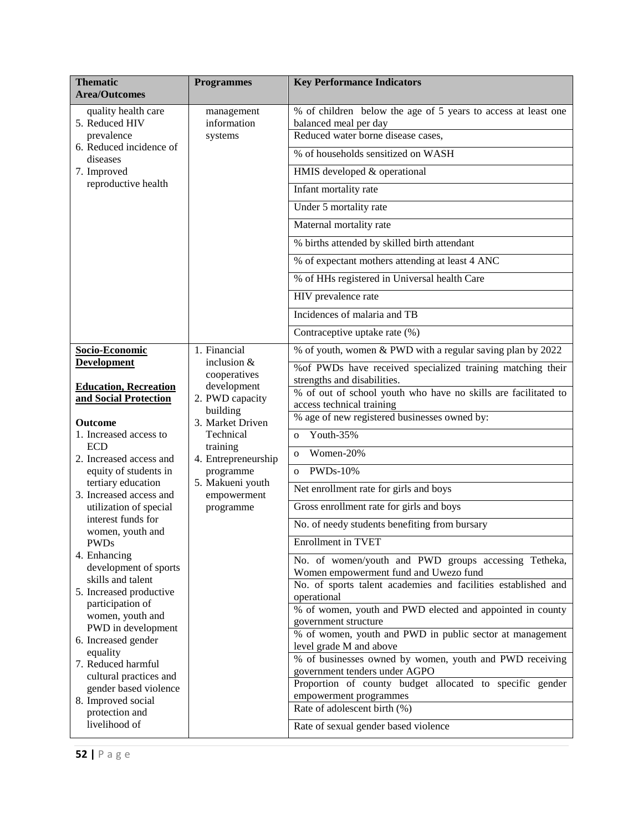| <b>Thematic</b><br><b>Area/Outcomes</b>         | <b>Programmes</b>             | <b>Key Performance Indicators</b>                                                                      |
|-------------------------------------------------|-------------------------------|--------------------------------------------------------------------------------------------------------|
| quality health care<br>5. Reduced HIV           | management<br>information     | % of children below the age of 5 years to access at least one<br>balanced meal per day                 |
| prevalence<br>6. Reduced incidence of           | systems                       | Reduced water borne disease cases,<br>% of households sensitized on WASH                               |
| diseases                                        |                               |                                                                                                        |
| 7. Improved<br>reproductive health              |                               | HMIS developed & operational                                                                           |
|                                                 |                               | Infant mortality rate                                                                                  |
|                                                 |                               | Under 5 mortality rate                                                                                 |
|                                                 |                               | Maternal mortality rate                                                                                |
|                                                 |                               | % births attended by skilled birth attendant                                                           |
|                                                 |                               | % of expectant mothers attending at least 4 ANC                                                        |
|                                                 |                               | % of HHs registered in Universal health Care                                                           |
|                                                 |                               | HIV prevalence rate                                                                                    |
|                                                 |                               | Incidences of malaria and TB                                                                           |
|                                                 |                               | Contraceptive uptake rate (%)                                                                          |
| Socio-Economic<br><b>Development</b>            | 1. Financial<br>inclusion &   | % of youth, women & PWD with a regular saving plan by 2022                                             |
|                                                 | cooperatives                  | % of PWDs have received specialized training matching their                                            |
| <b>Education, Recreation</b>                    | development                   | strengths and disabilities.<br>% of out of school youth who have no skills are facilitated to          |
| and Social Protection                           | 2. PWD capacity<br>building   | access technical training                                                                              |
| <b>Outcome</b>                                  | 3. Market Driven              | % age of new registered businesses owned by:                                                           |
| 1. Increased access to<br><b>ECD</b>            | Technical<br>training         | Youth-35%<br>$\Omega$                                                                                  |
| 2. Increased access and                         | 4. Entrepreneurship           | Women-20%<br>$\Omega$                                                                                  |
| equity of students in<br>tertiary education     | programme<br>5. Makueni youth | <b>PWDs-10%</b><br>$\Omega$                                                                            |
| 3. Increased access and                         | empowerment                   | Net enrollment rate for girls and boys                                                                 |
| utilization of special                          | programme                     | Gross enrollment rate for girls and boys                                                               |
| interest funds for<br>women, youth and          |                               | No. of needy students benefiting from bursary                                                          |
| PWDs                                            |                               | Enrollment in TVET                                                                                     |
| 4. Enhancing<br>development of sports           |                               | No. of women/youth and PWD groups accessing Tetheka,                                                   |
| skills and talent                               |                               | Women empowerment fund and Uwezo fund<br>No. of sports talent academies and facilities established and |
| 5. Increased productive<br>participation of     |                               | operational                                                                                            |
| women, youth and                                |                               | % of women, youth and PWD elected and appointed in county                                              |
| PWD in development                              |                               | government structure<br>% of women, youth and PWD in public sector at management                       |
| 6. Increased gender<br>equality                 |                               | level grade M and above                                                                                |
| 7. Reduced harmful                              |                               | % of businesses owned by women, youth and PWD receiving<br>government tenders under AGPO               |
| cultural practices and<br>gender based violence |                               | Proportion of county budget allocated to specific gender                                               |
| 8. Improved social                              |                               | empowerment programmes                                                                                 |
| protection and                                  |                               | Rate of adolescent birth (%)                                                                           |
| livelihood of                                   |                               | Rate of sexual gender based violence                                                                   |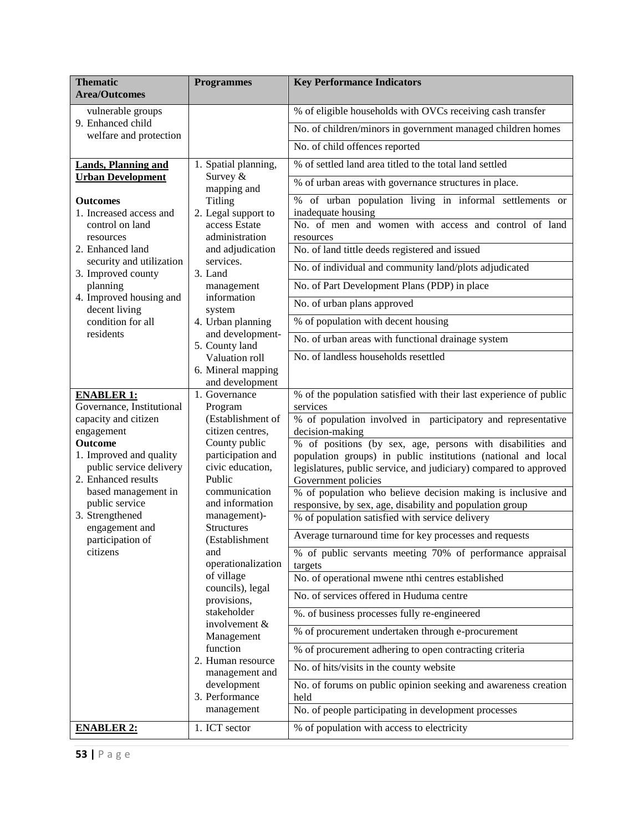| <b>Thematic</b><br><b>Area/Outcomes</b>                                                                                                                                                                                                                                                                                                                                                                                                                                                                                                                                                                                                                                                                                                               | <b>Programmes</b>                                                                                                                                                                                                                                                                                                                                                                                                                                                                                                                                                           | <b>Key Performance Indicators</b>                                                                                                                                                                                                                                                                                                                                                                                                  |
|-------------------------------------------------------------------------------------------------------------------------------------------------------------------------------------------------------------------------------------------------------------------------------------------------------------------------------------------------------------------------------------------------------------------------------------------------------------------------------------------------------------------------------------------------------------------------------------------------------------------------------------------------------------------------------------------------------------------------------------------------------|-----------------------------------------------------------------------------------------------------------------------------------------------------------------------------------------------------------------------------------------------------------------------------------------------------------------------------------------------------------------------------------------------------------------------------------------------------------------------------------------------------------------------------------------------------------------------------|------------------------------------------------------------------------------------------------------------------------------------------------------------------------------------------------------------------------------------------------------------------------------------------------------------------------------------------------------------------------------------------------------------------------------------|
| vulnerable groups<br>9. Enhanced child<br>welfare and protection                                                                                                                                                                                                                                                                                                                                                                                                                                                                                                                                                                                                                                                                                      |                                                                                                                                                                                                                                                                                                                                                                                                                                                                                                                                                                             | % of eligible households with OVCs receiving cash transfer<br>No. of children/minors in government managed children homes<br>No. of child offences reported                                                                                                                                                                                                                                                                        |
| <b>Lands, Planning and</b><br><b>Urban Development</b><br><b>Outcomes</b><br>1. Increased access and<br>control on land<br>resources<br>2. Enhanced land<br>security and utilization<br>3. Improved county<br>planning                                                                                                                                                                                                                                                                                                                                                                                                                                                                                                                                | 1. Spatial planning,<br>Survey &<br>mapping and<br>Titling<br>2. Legal support to<br>access Estate<br>administration<br>and adjudication<br>services.<br>3. Land<br>management                                                                                                                                                                                                                                                                                                                                                                                              | % of settled land area titled to the total land settled<br>% of urban areas with governance structures in place.<br>% of urban population living in informal settlements or<br>inadequate housing<br>No. of men and women with access and control of land<br>resources<br>No. of land tittle deeds registered and issued<br>No. of individual and community land/plots adjudicated<br>No. of Part Development Plans (PDP) in place |
| 4. Improved housing and<br>information<br>decent living<br>system<br>condition for all<br>4. Urban planning<br>residents<br>and development-<br>5. County land<br>Valuation roll<br>6. Mineral mapping<br>and development                                                                                                                                                                                                                                                                                                                                                                                                                                                                                                                             | No. of urban plans approved<br>% of population with decent housing<br>No. of urban areas with functional drainage system<br>No. of landless households resettled                                                                                                                                                                                                                                                                                                                                                                                                            |                                                                                                                                                                                                                                                                                                                                                                                                                                    |
| 1. Governance<br><b>ENABLER 1:</b><br>Governance, Institutional<br>Program<br>capacity and citizen<br>(Establishment of<br>engagement<br>citizen centres,<br><b>Outcome</b><br>County public<br>1. Improved and quality<br>participation and<br>public service delivery<br>civic education,<br>2. Enhanced results<br>Public<br>based management in<br>communication<br>public service<br>and information<br>3. Strengthened<br>management)-<br><b>Structures</b><br>engagement and<br>participation of<br>(Establishment<br>citizens<br>and<br>operationalization<br>of village<br>councils), legal<br>provisions,<br>stakeholder<br>involvement &<br>Management<br>function<br>2. Human resource<br>management and<br>development<br>3. Performance | % of the population satisfied with their last experience of public<br>services<br>% of population involved in participatory and representative<br>decision-making<br>% of positions (by sex, age, persons with disabilities and<br>population groups) in public institutions (national and local<br>legislatures, public service, and judiciary) compared to approved<br>Government policies<br>% of population who believe decision making is inclusive and<br>responsive, by sex, age, disability and population group<br>% of population satisfied with service delivery |                                                                                                                                                                                                                                                                                                                                                                                                                                    |
|                                                                                                                                                                                                                                                                                                                                                                                                                                                                                                                                                                                                                                                                                                                                                       | Average turnaround time for key processes and requests<br>% of public servants meeting 70% of performance appraisal<br>targets<br>No. of operational mwene nthi centres established<br>No. of services offered in Huduma centre<br>%. of business processes fully re-engineered<br>% of procurement undertaken through e-procurement<br>% of procurement adhering to open contracting criteria<br>No. of hits/visits in the county website<br>No. of forums on public opinion seeking and awareness creation<br>held                                                        |                                                                                                                                                                                                                                                                                                                                                                                                                                    |
| <b>ENABLER 2:</b>                                                                                                                                                                                                                                                                                                                                                                                                                                                                                                                                                                                                                                                                                                                                     | management<br>1. ICT sector                                                                                                                                                                                                                                                                                                                                                                                                                                                                                                                                                 | No. of people participating in development processes<br>% of population with access to electricity                                                                                                                                                                                                                                                                                                                                 |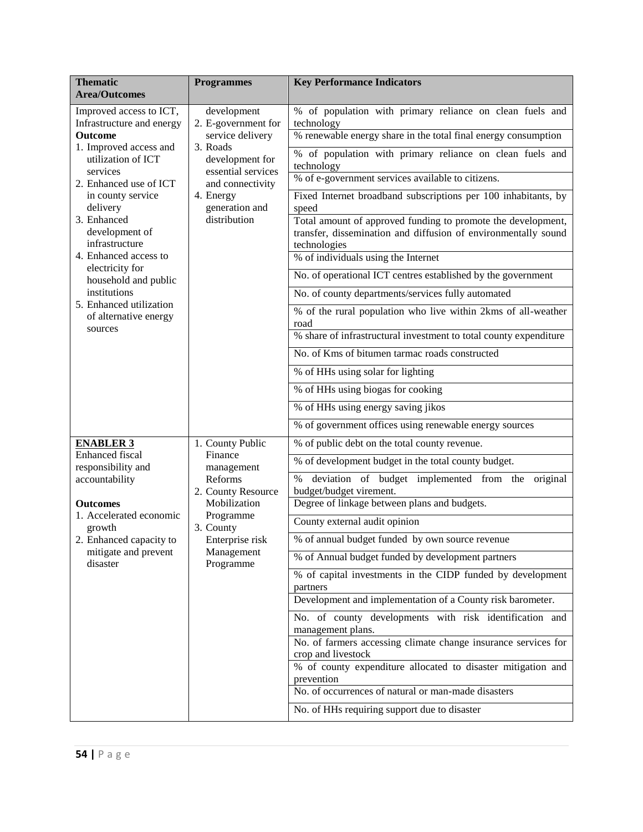| <b>Thematic</b>                                             | <b>Programmes</b>                                      | <b>Key Performance Indicators</b>                                                    |
|-------------------------------------------------------------|--------------------------------------------------------|--------------------------------------------------------------------------------------|
| <b>Area/Outcomes</b>                                        |                                                        |                                                                                      |
| Improved access to ICT,<br>Infrastructure and energy        | development<br>2. E-government for                     | % of population with primary reliance on clean fuels and<br>technology               |
| <b>Outcome</b>                                              | service delivery                                       | % renewable energy share in the total final energy consumption                       |
| 1. Improved access and<br>utilization of ICT                | 3. Roads<br>development for                            | % of population with primary reliance on clean fuels and<br>technology               |
| services<br>2. Enhanced use of ICT                          | essential services<br>and connectivity                 | % of e-government services available to citizens.                                    |
| in county service                                           | 4. Energy                                              | Fixed Internet broadband subscriptions per 100 inhabitants, by                       |
| delivery<br>3. Enhanced                                     | generation and<br>distribution                         | speed<br>Total amount of approved funding to promote the development,                |
| development of                                              |                                                        | transfer, dissemination and diffusion of environmentally sound                       |
| infrastructure<br>4. Enhanced access to                     |                                                        | technologies<br>% of individuals using the Internet                                  |
| electricity for                                             |                                                        | No. of operational ICT centres established by the government                         |
| household and public<br>institutions                        |                                                        | No. of county departments/services fully automated                                   |
| 5. Enhanced utilization                                     |                                                        | % of the rural population who live within 2kms of all-weather                        |
| of alternative energy                                       |                                                        | road                                                                                 |
| sources                                                     |                                                        | % share of infrastructural investment to total county expenditure                    |
|                                                             |                                                        | No. of Kms of bitumen tarmac roads constructed                                       |
|                                                             |                                                        | % of HHs using solar for lighting                                                    |
|                                                             |                                                        | % of HHs using biogas for cooking                                                    |
|                                                             |                                                        | % of HHs using energy saving jikos                                                   |
|                                                             |                                                        | % of government offices using renewable energy sources                               |
| <b>ENABLER 3</b><br><b>Enhanced</b> fiscal                  | 1. County Public                                       | % of public debt on the total county revenue.                                        |
| responsibility and                                          | Finance<br>management<br>Reforms<br>2. County Resource | % of development budget in the total county budget.                                  |
| accountability                                              |                                                        | deviation of budget implemented from the original<br>$\%$<br>budget/budget virement. |
| <b>Outcomes</b>                                             | Mobilization                                           | Degree of linkage between plans and budgets.                                         |
| 1. Accelerated economic<br>growth                           | Programme<br>3. County                                 | County external audit opinion                                                        |
| 2. Enhanced capacity to<br>mitigate and prevent<br>disaster | Enterprise risk<br>Management<br>Programme             | % of annual budget funded by own source revenue                                      |
|                                                             |                                                        | % of Annual budget funded by development partners                                    |
|                                                             |                                                        | % of capital investments in the CIDP funded by development                           |
|                                                             |                                                        | partners<br>Development and implementation of a County risk barometer.               |
|                                                             |                                                        | No. of county developments with risk identification and                              |
|                                                             |                                                        | management plans.                                                                    |
|                                                             |                                                        | No. of farmers accessing climate change insurance services for<br>crop and livestock |
|                                                             |                                                        | % of county expenditure allocated to disaster mitigation and                         |
|                                                             |                                                        | prevention<br>No. of occurrences of natural or man-made disasters                    |
|                                                             |                                                        |                                                                                      |
|                                                             |                                                        | No. of HHs requiring support due to disaster                                         |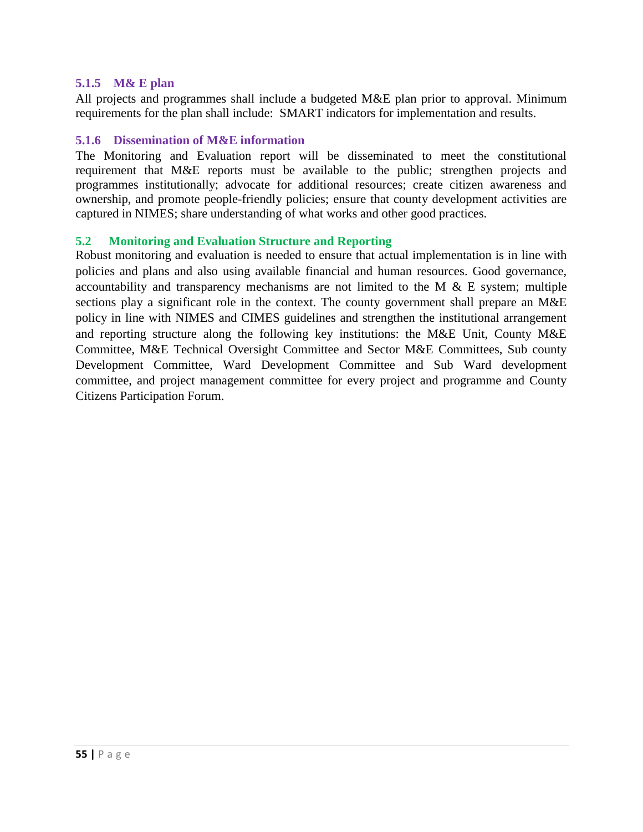#### <span id="page-54-0"></span>**5.1.5 M& E plan**

All projects and programmes shall include a budgeted M&E plan prior to approval. Minimum requirements for the plan shall include: SMART indicators for implementation and results.

#### <span id="page-54-1"></span>**5.1.6 Dissemination of M&E information**

The Monitoring and Evaluation report will be disseminated to meet the constitutional requirement that M&E reports must be available to the public; strengthen projects and programmes institutionally; advocate for additional resources; create citizen awareness and ownership, and promote people-friendly policies; ensure that county development activities are captured in NIMES; share understanding of what works and other good practices.

#### <span id="page-54-2"></span>**5.2 Monitoring and Evaluation Structure and Reporting**

Robust monitoring and evaluation is needed to ensure that actual implementation is in line with policies and plans and also using available financial and human resources. Good governance, accountability and transparency mechanisms are not limited to the M  $\&$  E system; multiple sections play a significant role in the context. The county government shall prepare an M&E policy in line with NIMES and CIMES guidelines and strengthen the institutional arrangement and reporting structure along the following key institutions: the M&E Unit, County M&E Committee, M&E Technical Oversight Committee and Sector M&E Committees, Sub county Development Committee, Ward Development Committee and Sub Ward development committee, and project management committee for every project and programme and County Citizens Participation Forum.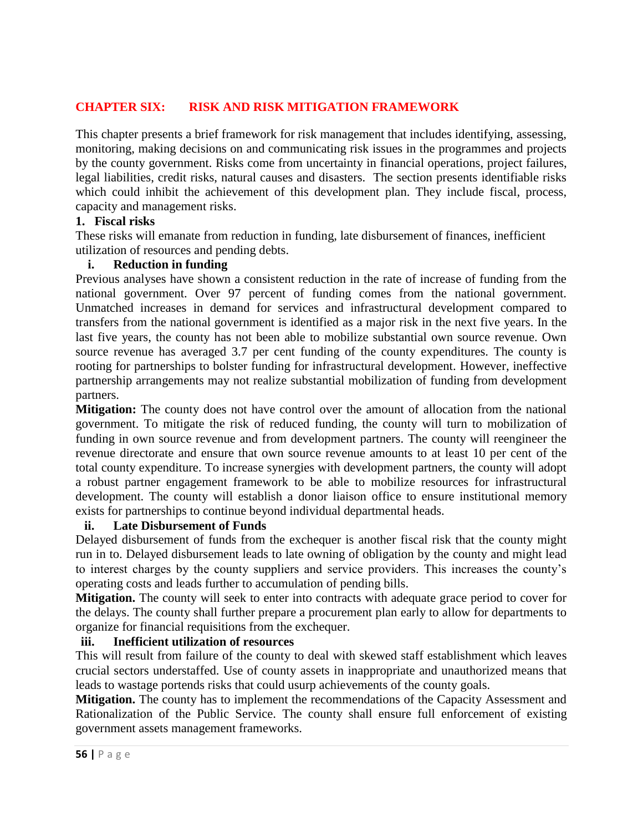## <span id="page-55-0"></span>**CHAPTER SIX: RISK AND RISK MITIGATION FRAMEWORK**

This chapter presents a brief framework for risk management that includes identifying, assessing, monitoring, making decisions on and communicating risk issues in the programmes and projects by the county government. Risks come from uncertainty in financial operations, project failures, legal liabilities, credit risks, natural causes and disasters. The section presents identifiable risks which could inhibit the achievement of this development plan. They include fiscal, process, capacity and management risks.

#### **1. Fiscal risks**

These risks will emanate from reduction in funding, late disbursement of finances, inefficient utilization of resources and pending debts.

#### **i. Reduction in funding**

Previous analyses have shown a consistent reduction in the rate of increase of funding from the national government. Over 97 percent of funding comes from the national government. Unmatched increases in demand for services and infrastructural development compared to transfers from the national government is identified as a major risk in the next five years. In the last five years, the county has not been able to mobilize substantial own source revenue. Own source revenue has averaged 3.7 per cent funding of the county expenditures. The county is rooting for partnerships to bolster funding for infrastructural development. However, ineffective partnership arrangements may not realize substantial mobilization of funding from development partners.

**Mitigation:** The county does not have control over the amount of allocation from the national government. To mitigate the risk of reduced funding, the county will turn to mobilization of funding in own source revenue and from development partners. The county will reengineer the revenue directorate and ensure that own source revenue amounts to at least 10 per cent of the total county expenditure. To increase synergies with development partners, the county will adopt a robust partner engagement framework to be able to mobilize resources for infrastructural development. The county will establish a donor liaison office to ensure institutional memory exists for partnerships to continue beyond individual departmental heads.

## **ii. Late Disbursement of Funds**

Delayed disbursement of funds from the exchequer is another fiscal risk that the county might run in to. Delayed disbursement leads to late owning of obligation by the county and might lead to interest charges by the county suppliers and service providers. This increases the county's operating costs and leads further to accumulation of pending bills.

**Mitigation.** The county will seek to enter into contracts with adequate grace period to cover for the delays. The county shall further prepare a procurement plan early to allow for departments to organize for financial requisitions from the exchequer.

## **iii. Inefficient utilization of resources**

This will result from failure of the county to deal with skewed staff establishment which leaves crucial sectors understaffed. Use of county assets in inappropriate and unauthorized means that leads to wastage portends risks that could usurp achievements of the county goals.

**Mitigation.** The county has to implement the recommendations of the Capacity Assessment and Rationalization of the Public Service. The county shall ensure full enforcement of existing government assets management frameworks.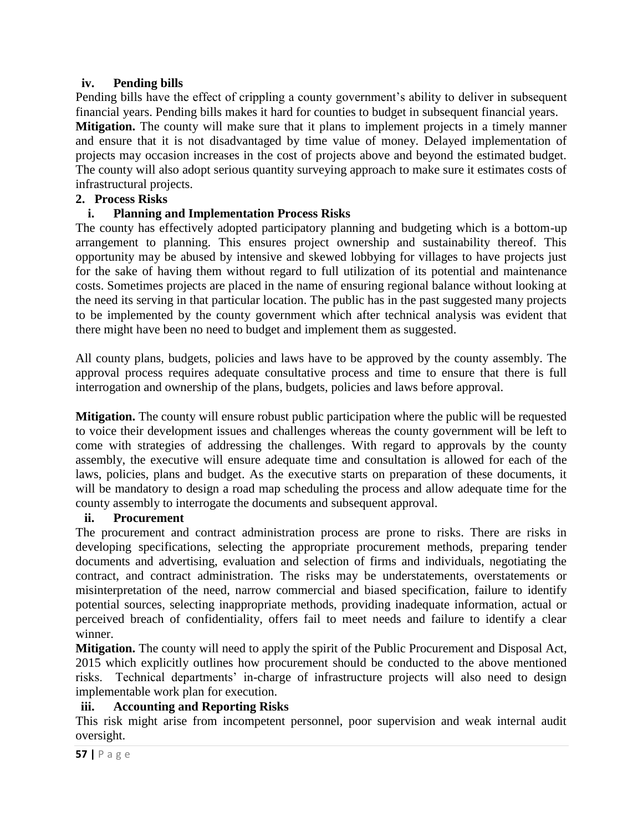## **iv. Pending bills**

Pending bills have the effect of crippling a county government's ability to deliver in subsequent financial years. Pending bills makes it hard for counties to budget in subsequent financial years.

**Mitigation.** The county will make sure that it plans to implement projects in a timely manner and ensure that it is not disadvantaged by time value of money. Delayed implementation of projects may occasion increases in the cost of projects above and beyond the estimated budget. The county will also adopt serious quantity surveying approach to make sure it estimates costs of infrastructural projects.

#### **2. Process Risks**

## **i. Planning and Implementation Process Risks**

The county has effectively adopted participatory planning and budgeting which is a bottom-up arrangement to planning. This ensures project ownership and sustainability thereof. This opportunity may be abused by intensive and skewed lobbying for villages to have projects just for the sake of having them without regard to full utilization of its potential and maintenance costs. Sometimes projects are placed in the name of ensuring regional balance without looking at the need its serving in that particular location. The public has in the past suggested many projects to be implemented by the county government which after technical analysis was evident that there might have been no need to budget and implement them as suggested.

All county plans, budgets, policies and laws have to be approved by the county assembly. The approval process requires adequate consultative process and time to ensure that there is full interrogation and ownership of the plans, budgets, policies and laws before approval.

**Mitigation.** The county will ensure robust public participation where the public will be requested to voice their development issues and challenges whereas the county government will be left to come with strategies of addressing the challenges. With regard to approvals by the county assembly, the executive will ensure adequate time and consultation is allowed for each of the laws, policies, plans and budget. As the executive starts on preparation of these documents, it will be mandatory to design a road map scheduling the process and allow adequate time for the county assembly to interrogate the documents and subsequent approval.

#### **ii. Procurement**

The procurement and contract administration process are prone to risks. There are risks in developing specifications, selecting the appropriate procurement methods, preparing tender documents and advertising, evaluation and selection of firms and individuals, negotiating the contract, and contract administration. The risks may be understatements, overstatements or misinterpretation of the need, narrow commercial and biased specification, failure to identify potential sources, selecting inappropriate methods, providing inadequate information, actual or perceived breach of confidentiality, offers fail to meet needs and failure to identify a clear winner.

**Mitigation.** The county will need to apply the spirit of the Public Procurement and Disposal Act, 2015 which explicitly outlines how procurement should be conducted to the above mentioned risks. Technical departments' in-charge of infrastructure projects will also need to design implementable work plan for execution.

#### **iii. Accounting and Reporting Risks**

This risk might arise from incompetent personnel, poor supervision and weak internal audit oversight.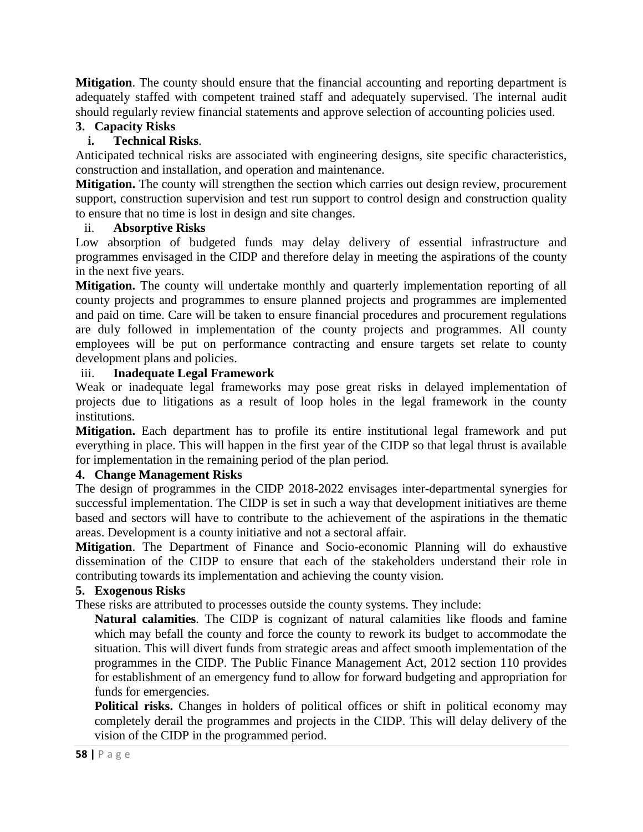**Mitigation**. The county should ensure that the financial accounting and reporting department is adequately staffed with competent trained staff and adequately supervised. The internal audit should regularly review financial statements and approve selection of accounting policies used.

## **3. Capacity Risks**

## **i. Technical Risks**.

Anticipated technical risks are associated with engineering designs, site specific characteristics, construction and installation, and operation and maintenance.

**Mitigation.** The county will strengthen the section which carries out design review, procurement support, construction supervision and test run support to control design and construction quality to ensure that no time is lost in design and site changes.

#### ii. **Absorptive Risks**

Low absorption of budgeted funds may delay delivery of essential infrastructure and programmes envisaged in the CIDP and therefore delay in meeting the aspirations of the county in the next five years.

**Mitigation.** The county will undertake monthly and quarterly implementation reporting of all county projects and programmes to ensure planned projects and programmes are implemented and paid on time. Care will be taken to ensure financial procedures and procurement regulations are duly followed in implementation of the county projects and programmes. All county employees will be put on performance contracting and ensure targets set relate to county development plans and policies.

## iii. **Inadequate Legal Framework**

Weak or inadequate legal frameworks may pose great risks in delayed implementation of projects due to litigations as a result of loop holes in the legal framework in the county institutions.

**Mitigation.** Each department has to profile its entire institutional legal framework and put everything in place. This will happen in the first year of the CIDP so that legal thrust is available for implementation in the remaining period of the plan period.

## **4. Change Management Risks**

The design of programmes in the CIDP 2018-2022 envisages inter-departmental synergies for successful implementation. The CIDP is set in such a way that development initiatives are theme based and sectors will have to contribute to the achievement of the aspirations in the thematic areas. Development is a county initiative and not a sectoral affair.

**Mitigation**. The Department of Finance and Socio-economic Planning will do exhaustive dissemination of the CIDP to ensure that each of the stakeholders understand their role in contributing towards its implementation and achieving the county vision.

## **5. Exogenous Risks**

These risks are attributed to processes outside the county systems. They include:

**Natural calamities**. The CIDP is cognizant of natural calamities like floods and famine which may befall the county and force the county to rework its budget to accommodate the situation. This will divert funds from strategic areas and affect smooth implementation of the programmes in the CIDP. The Public Finance Management Act, 2012 section 110 provides for establishment of an emergency fund to allow for forward budgeting and appropriation for funds for emergencies.

**Political risks.** Changes in holders of political offices or shift in political economy may completely derail the programmes and projects in the CIDP. This will delay delivery of the vision of the CIDP in the programmed period.